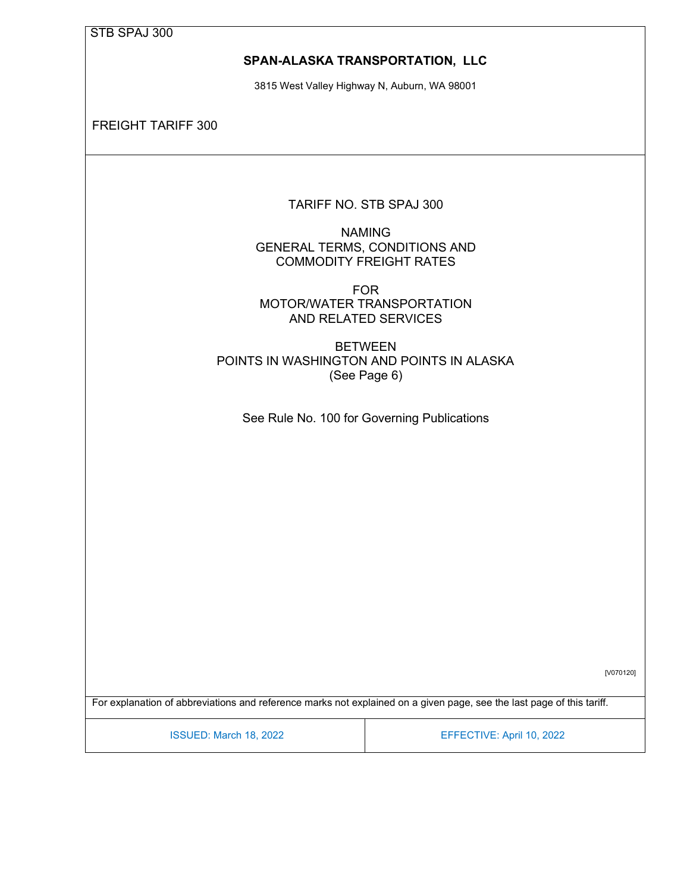#### **SPAN-ALASKA TRANSPORTATION, LLC**

3815 West Valley Highway N, Auburn, WA 98001

FREIGHT TARIFF 300

TARIFF NO. STB SPAJ 300

NAMING GENERAL TERMS, CONDITIONS AND COMMODITY FREIGHT RATES

FOR MOTOR/WATER TRANSPORTATION AND RELATED SERVICES

BETWEEN POINTS IN WASHINGTON AND POINTS IN ALASKA (See Page 6)

See Rule No. 100 for Governing Publications

[V070120]

For explanation of abbreviations and reference marks not explained on a given page, see the last page of this tariff.

ISSUED: March 18, 2022 EFFECTIVE: April 10, 2022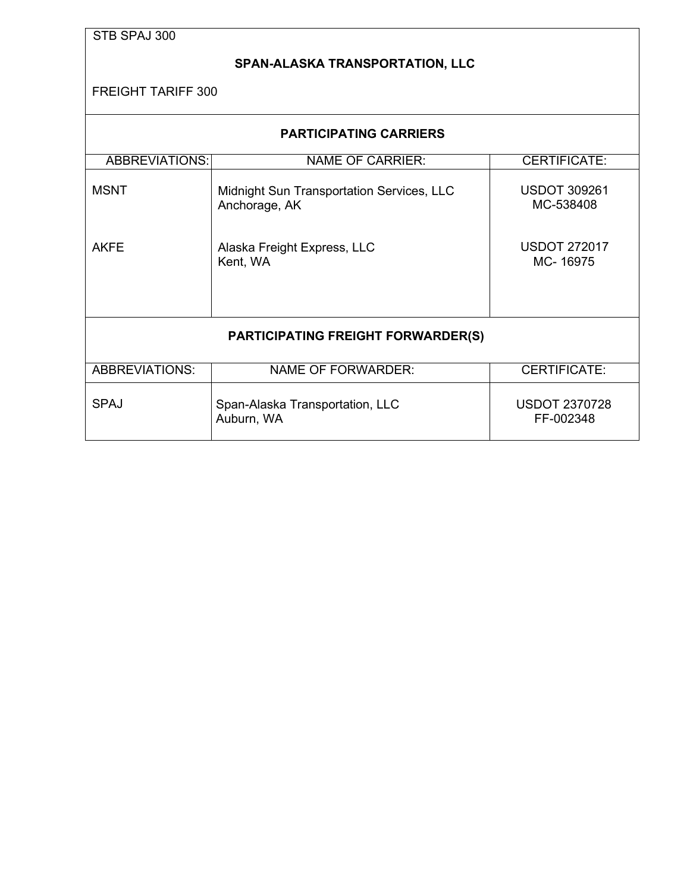### <span id="page-1-0"></span>**SPAN-ALASKA TRANSPORTATION, LLC**

| <b>PARTICIPATING CARRIERS</b>                                           |                                                            |                                   |  |  |  |
|-------------------------------------------------------------------------|------------------------------------------------------------|-----------------------------------|--|--|--|
| <b>ABBREVIATIONS:</b><br><b>NAME OF CARRIER:</b><br><b>CERTIFICATE:</b> |                                                            |                                   |  |  |  |
| <b>MSNT</b>                                                             | Midnight Sun Transportation Services, LLC<br>Anchorage, AK | <b>USDOT 309261</b><br>MC-538408  |  |  |  |
| <b>AKFE</b>                                                             | Alaska Freight Express, LLC<br>Kent, WA                    | <b>USDOT 272017</b><br>MC-16975   |  |  |  |
| <b>PARTICIPATING FREIGHT FORWARDER(S)</b>                               |                                                            |                                   |  |  |  |
| <b>ABBREVIATIONS:</b>                                                   | <b>NAME OF FORWARDER:</b>                                  | <b>CERTIFICATE:</b>               |  |  |  |
| <b>SPAJ</b>                                                             | Span-Alaska Transportation, LLC<br>Auburn, WA              | <b>USDOT 2370728</b><br>FF-002348 |  |  |  |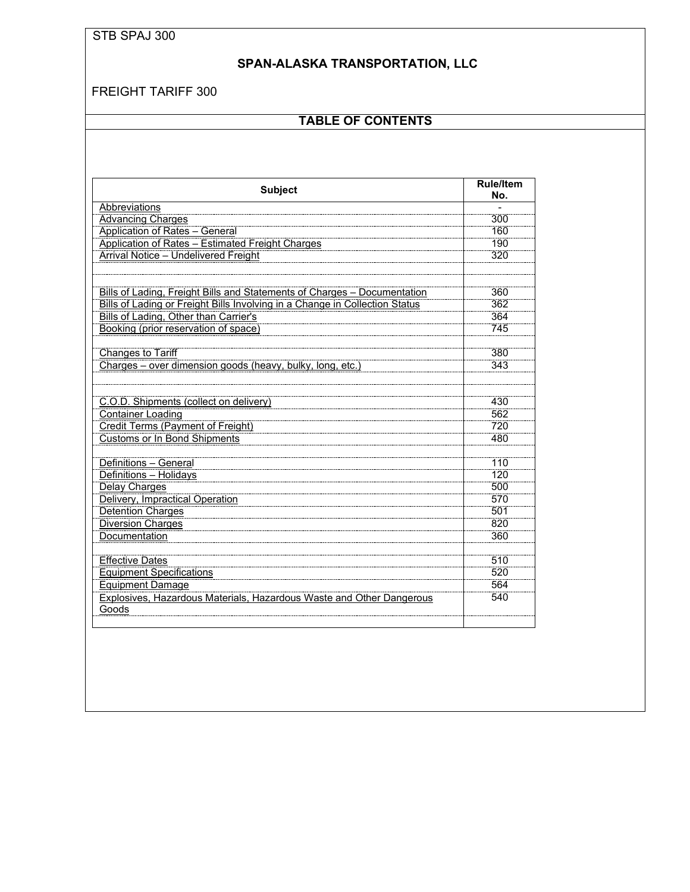# **SPAN-ALASKA TRANSPORTATION, LLC**

### FREIGHT TARIFF 300

# **TABLE OF CONTENTS**

| <b>Subject</b>                                                                     | <b>Rule/Item</b><br>No. |
|------------------------------------------------------------------------------------|-------------------------|
| Abbreviations                                                                      |                         |
| <b>Advancing Charges</b>                                                           | 300                     |
| <b>Application of Rates - General</b>                                              | 160                     |
| <b>Application of Rates - Estimated Freight Charges</b>                            | 190                     |
| <b>Arrival Notice - Undelivered Freight</b>                                        | 320                     |
|                                                                                    |                         |
|                                                                                    |                         |
| Bills of Lading, Freight Bills and Statements of Charges - Documentation           | 360                     |
| <b>Bills of Lading or Freight Bills Involving in a Change in Collection Status</b> | 362                     |
| <b>Bills of Lading, Other than Carrier's</b>                                       | 364                     |
| Booking (prior reservation of space)                                               | 745                     |
|                                                                                    |                         |
| <b>Changes to Tariff</b>                                                           | 380                     |
| Charges - over dimension goods (heavy, bulky, long, etc.)                          | 343                     |
|                                                                                    |                         |
|                                                                                    |                         |
| C.O.D. Shipments (collect on delivery)                                             | 430<br>562              |
| <b>Container Loading</b><br><b>Credit Terms (Payment of Freight)</b>               | 720                     |
|                                                                                    | 480                     |
| <b>Customs or In Bond Shipments</b>                                                |                         |
| Definitions - General                                                              | 110                     |
| Definitions - Holidays                                                             | 120                     |
| <b>Delay Charges</b>                                                               | 500                     |
| <b>Delivery, Impractical Operation</b>                                             | 570                     |
| <b>Detention Charges</b>                                                           | 501                     |
| <b>Diversion Charges</b>                                                           | 820                     |
| <b>Documentation</b>                                                               | 360                     |
|                                                                                    |                         |
| <b>Effective Dates</b>                                                             | 510                     |
| <b>Equipment Specifications</b>                                                    | 520                     |
| <b>Equipment Damage</b>                                                            | 564                     |
| <b>Explosives, Hazardous Materials, Hazardous Waste and Other Dangerous</b>        | 540                     |
| Goods                                                                              |                         |
|                                                                                    |                         |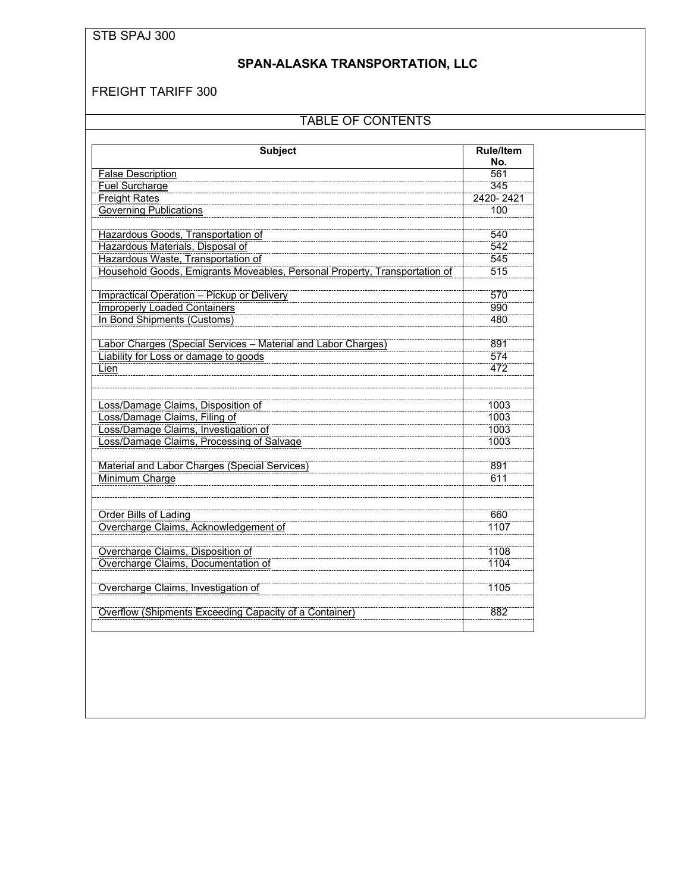## **SPAN-ALASKA TRANSPORTATION, LLC**

### FREIGHT TARIFF 300

## TABLE OF CONTENTS

| <b>Subject</b>                                                             | <b>Rule/Item</b><br>No. |
|----------------------------------------------------------------------------|-------------------------|
| <b>False Description</b>                                                   | 561                     |
| <b>Fuel Surcharge</b>                                                      | 345                     |
| <b>Freight Rates</b>                                                       | 2420-2421               |
| <b>Governing Publications</b>                                              | 100                     |
|                                                                            |                         |
| Hazardous Goods, Transportation of                                         | 540                     |
| Hazardous Materials, Disposal of                                           | 542                     |
| Hazardous Waste, Transportation of                                         | 545                     |
| Household Goods, Emigrants Moveables, Personal Property, Transportation of | 515                     |
|                                                                            |                         |
| <b>Impractical Operation - Pickup or Delivery</b>                          | 570                     |
| <b>Improperly Loaded Containers</b>                                        | 990                     |
| In Bond Shipments (Customs)                                                | 480                     |
|                                                                            |                         |
| Labor Charges (Special Services - Material and Labor Charges)              | 891                     |
| Liability for Loss or damage to goods                                      | 574                     |
| Lien                                                                       | 472                     |
|                                                                            |                         |
|                                                                            |                         |
| Loss/Damage Claims, Disposition of                                         | 1003                    |
| Loss/Damage Claims, Filing of                                              | 1003                    |
| Loss/Damage Claims, Investigation of                                       | 1003                    |
| Loss/Damage Claims, Processing of Salvage                                  | 1003                    |
|                                                                            |                         |
| Material and Labor Charges (Special Services)                              | 891                     |
| Minimum Charge                                                             | 611                     |
|                                                                            |                         |
|                                                                            |                         |
| <b>Order Bills of Lading</b>                                               | 660                     |
| Overcharge Claims, Acknowledgement of                                      | 1107                    |
|                                                                            |                         |
| Overcharge Claims, Disposition of                                          | 1108                    |
| Overcharge Claims, Documentation of                                        | 1104                    |
|                                                                            |                         |
| Overcharge Claims, Investigation of                                        | 1105                    |
| Overflow (Shipments Exceeding Capacity of a Container)                     | 882                     |
|                                                                            |                         |
|                                                                            |                         |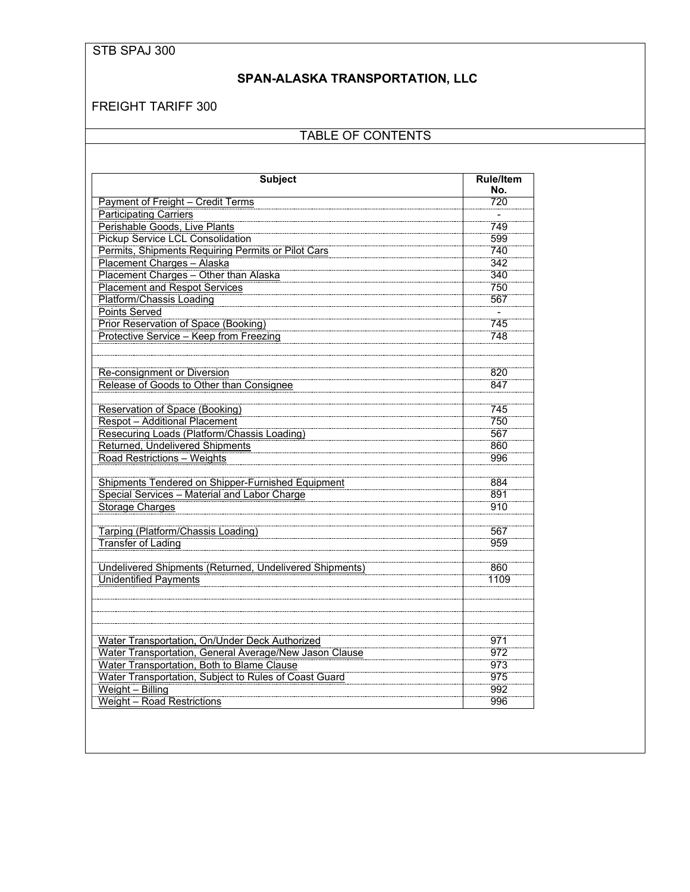## **SPAN-ALASKA TRANSPORTATION, LLC**

### FREIGHT TARIFF 300

## TABLE OF CONTENTS

| <b>Subject</b>                                          | <b>Rule/Item</b><br>No. |
|---------------------------------------------------------|-------------------------|
| Payment of Freight - Credit Terms                       | 720                     |
| <b>Participating Carriers</b>                           |                         |
| Perishable Goods, Live Plants                           | 749                     |
| <b>Pickup Service LCL Consolidation</b>                 | 599                     |
| Permits, Shipments Requiring Permits or Pilot Cars      | 740                     |
| Placement Charges - Alaska                              | 342                     |
| Placement Charges - Other than Alaska                   | 340                     |
| <b>Placement and Respot Services</b>                    | 750                     |
| Platform/Chassis Loading                                | 567                     |
| <b>Points Served</b>                                    |                         |
| <b>Prior Reservation of Space (Booking)</b>             | 745                     |
| Protective Service - Keep from Freezing                 | 748                     |
|                                                         |                         |
|                                                         |                         |
| <b>Re-consignment or Diversion</b>                      | 820                     |
| Release of Goods to Other than Consignee                | 847                     |
|                                                         |                         |
| Reservation of Space (Booking)                          | 745                     |
| <b>Respot</b> - Additional Placement                    | 750                     |
| Resecuring Loads (Platform/Chassis Loading)             | 567                     |
| <b>Returned, Undelivered Shipments</b>                  | 860                     |
| Road Restrictions - Weights                             | 996                     |
|                                                         |                         |
| Shipments Tendered on Shipper-Furnished Equipment       | 884                     |
| Special Services - Material and Labor Charge            | 891                     |
| <b>Storage Charges</b>                                  | 910                     |
|                                                         |                         |
| Tarping (Platform/Chassis Loading)                      | 567                     |
| <b>Transfer of Lading</b>                               | 959                     |
|                                                         |                         |
| Undelivered Shipments (Returned, Undelivered Shipments) | 860                     |
| <b>Unidentified Payments</b>                            | 1109                    |
|                                                         |                         |
|                                                         |                         |
|                                                         |                         |
|                                                         |                         |
| Water Transportation, On/Under Deck Authorized          | 971                     |
| Water Transportation, General Average/New Jason Clause  | 972                     |
| Water Transportation, Both to Blame Clause              | 973                     |
| Water Transportation, Subject to Rules of Coast Guard   | 975                     |
| Weight - Billing                                        | 992                     |
| <b>Weight</b> - Road Restrictions                       | 996                     |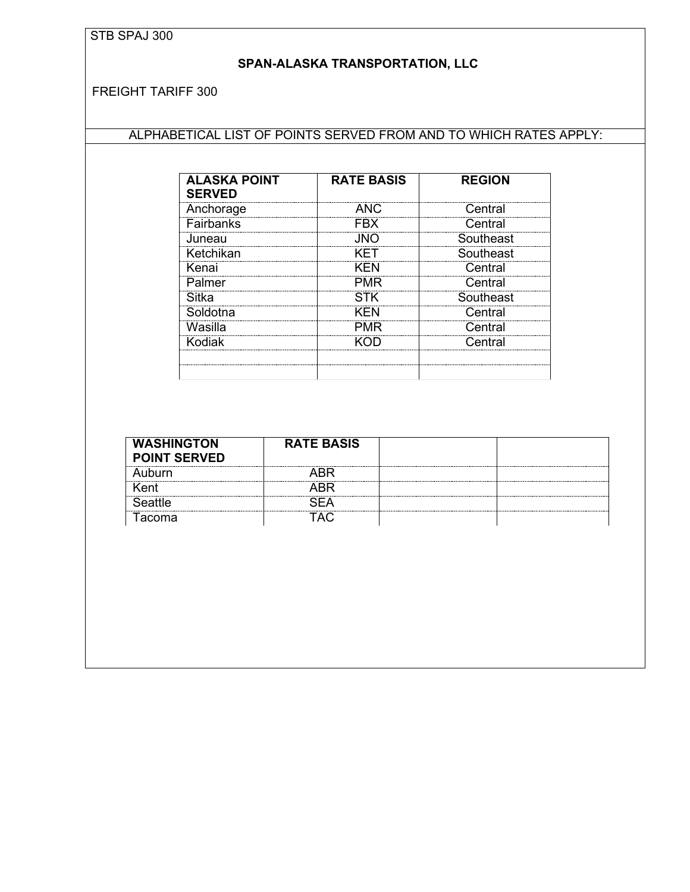## <span id="page-5-0"></span>**SPAN-ALASKA TRANSPORTATION, LLC**

FREIGHT TARIFF 300

# ALPHABETICAL LIST OF POINTS SERVED FROM AND TO WHICH RATES APPLY:

| <b>ALASKA POINT</b><br><b>SERVED</b> | <b>RATE BASIS</b> | <b>REGION</b> |
|--------------------------------------|-------------------|---------------|
| Anchorage                            | <b>ANC</b>        | Central       |
| Fairbanks                            | <b>FRX</b>        | Central       |
| Juneau                               | .INO              | Southeast     |
| Ketchikan                            | KFT               | Southeast     |
| Kenai                                | <b>KFN</b>        | Central       |
| Palmer                               | <b>PMR</b>        | Central       |
| Sitka                                | <b>STK</b>        | Southeast     |
| Soldotna                             | KFN               | Central       |
| Wasilla                              | PMR               | Central       |
| Kodiak                               |                   | Central       |
|                                      |                   |               |
|                                      |                   |               |

| <b>WASHINGTON</b>   | <b>RATE BASIS</b> |  |
|---------------------|-------------------|--|
| <b>POINT SERVED</b> |                   |  |
| ihurn               |                   |  |
|                     |                   |  |
|                     |                   |  |
| acoma               |                   |  |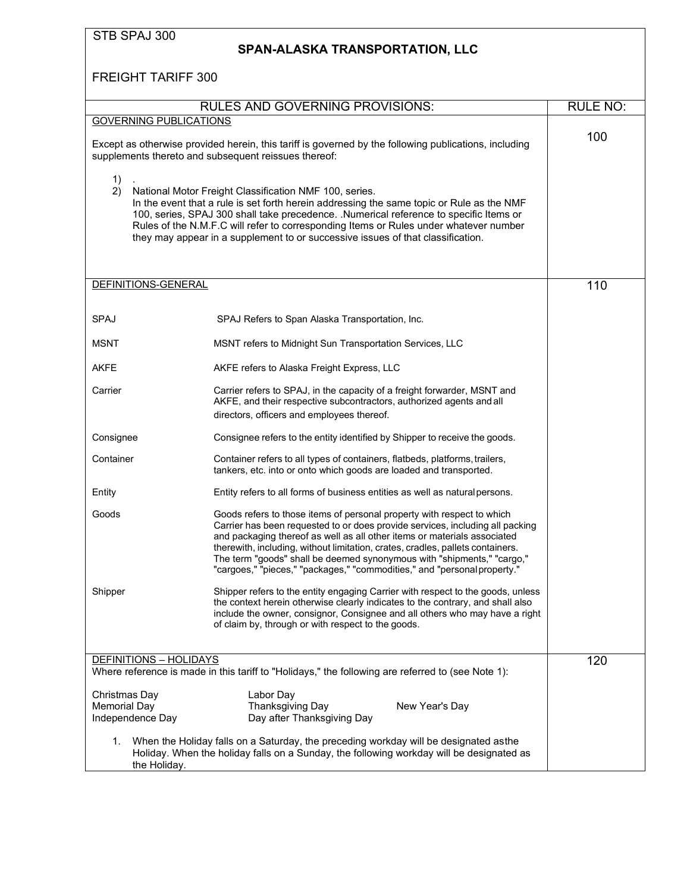<span id="page-6-0"></span>

| STB SPAJ 300                                             | SPAN-ALASKA TRANSPORTATION, LLC                                                                                                                                                                                                                                                                                                                                                                                                                                             |                 |
|----------------------------------------------------------|-----------------------------------------------------------------------------------------------------------------------------------------------------------------------------------------------------------------------------------------------------------------------------------------------------------------------------------------------------------------------------------------------------------------------------------------------------------------------------|-----------------|
| <b>FREIGHT TARIFF 300</b>                                |                                                                                                                                                                                                                                                                                                                                                                                                                                                                             |                 |
|                                                          | <b>RULES AND GOVERNING PROVISIONS:</b>                                                                                                                                                                                                                                                                                                                                                                                                                                      | <b>RULE NO:</b> |
| <b>GOVERNING PUBLICATIONS</b>                            |                                                                                                                                                                                                                                                                                                                                                                                                                                                                             |                 |
|                                                          | Except as otherwise provided herein, this tariff is governed by the following publications, including<br>supplements thereto and subsequent reissues thereof:                                                                                                                                                                                                                                                                                                               | 100             |
| 1)<br>2)                                                 | National Motor Freight Classification NMF 100, series.<br>In the event that a rule is set forth herein addressing the same topic or Rule as the NMF<br>100, series, SPAJ 300 shall take precedence. .Numerical reference to specific Items or<br>Rules of the N.M.F.C will refer to corresponding Items or Rules under whatever number<br>they may appear in a supplement to or successive issues of that classification.                                                   |                 |
| DEFINITIONS-GENERAL                                      |                                                                                                                                                                                                                                                                                                                                                                                                                                                                             | 110             |
| SPAJ                                                     | SPAJ Refers to Span Alaska Transportation, Inc.                                                                                                                                                                                                                                                                                                                                                                                                                             |                 |
| <b>MSNT</b>                                              | MSNT refers to Midnight Sun Transportation Services, LLC                                                                                                                                                                                                                                                                                                                                                                                                                    |                 |
| AKFE                                                     | AKFE refers to Alaska Freight Express, LLC                                                                                                                                                                                                                                                                                                                                                                                                                                  |                 |
| Carrier                                                  | Carrier refers to SPAJ, in the capacity of a freight forwarder, MSNT and<br>AKFE, and their respective subcontractors, authorized agents and all<br>directors, officers and employees thereof.                                                                                                                                                                                                                                                                              |                 |
| Consignee                                                | Consignee refers to the entity identified by Shipper to receive the goods.                                                                                                                                                                                                                                                                                                                                                                                                  |                 |
| Container                                                | Container refers to all types of containers, flatbeds, platforms, trailers,<br>tankers, etc. into or onto which goods are loaded and transported.                                                                                                                                                                                                                                                                                                                           |                 |
| Entity                                                   | Entity refers to all forms of business entities as well as natural persons.                                                                                                                                                                                                                                                                                                                                                                                                 |                 |
| Goods                                                    | Goods refers to those items of personal property with respect to which<br>Carrier has been requested to or does provide services, including all packing<br>and packaging thereof as well as all other items or materials associated<br>therewith, including, without limitation, crates, cradles, pallets containers.<br>The term "goods" shall be deemed synonymous with "shipments," "cargo,"<br>"cargoes," "pieces," "packages," "commodities," and "personal property." |                 |
| Shipper                                                  | Shipper refers to the entity engaging Carrier with respect to the goods, unless<br>the context herein otherwise clearly indicates to the contrary, and shall also<br>include the owner, consignor, Consignee and all others who may have a right<br>of claim by, through or with respect to the goods.                                                                                                                                                                      |                 |
| <b>DEFINITIONS - HOLIDAYS</b>                            | Where reference is made in this tariff to "Holidays," the following are referred to (see Note 1):                                                                                                                                                                                                                                                                                                                                                                           | 120             |
| Christmas Day<br><b>Memorial Day</b><br>Independence Day | Labor Day<br>Thanksgiving Day<br>New Year's Day<br>Day after Thanksgiving Day                                                                                                                                                                                                                                                                                                                                                                                               |                 |
| 1.<br>the Holiday.                                       | When the Holiday falls on a Saturday, the preceding workday will be designated asthe<br>Holiday. When the holiday falls on a Sunday, the following workday will be designated as                                                                                                                                                                                                                                                                                            |                 |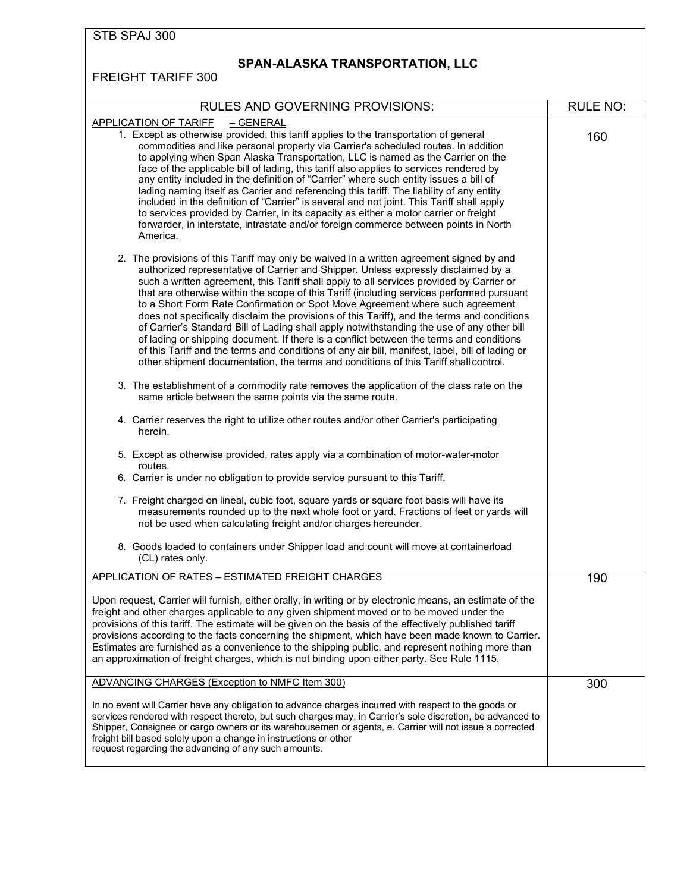# <span id="page-7-0"></span>**SPAN-ALASKA TRANSPORTATION, LLC**

| <b>RULES AND GOVERNING PROVISIONS:</b>                                                                                                                                                                                                                                                                                                                                                                                                                                                                                                                                                                                                                                                                                                                                                                                                                                                                                                      | <b>RULE NO:</b> |
|---------------------------------------------------------------------------------------------------------------------------------------------------------------------------------------------------------------------------------------------------------------------------------------------------------------------------------------------------------------------------------------------------------------------------------------------------------------------------------------------------------------------------------------------------------------------------------------------------------------------------------------------------------------------------------------------------------------------------------------------------------------------------------------------------------------------------------------------------------------------------------------------------------------------------------------------|-----------------|
| <b>APPLICATION OF TARIFF</b><br><u>– GENERAL</u><br>1. Except as otherwise provided, this tariff applies to the transportation of general<br>commodities and like personal property via Carrier's scheduled routes. In addition<br>to applying when Span Alaska Transportation, LLC is named as the Carrier on the<br>face of the applicable bill of lading, this tariff also applies to services rendered by<br>any entity included in the definition of "Carrier" where such entity issues a bill of<br>lading naming itself as Carrier and referencing this tariff. The liability of any entity<br>included in the definition of "Carrier" is several and not joint. This Tariff shall apply<br>to services provided by Carrier, in its capacity as either a motor carrier or freight<br>forwarder, in interstate, intrastate and/or foreign commerce between points in North<br>America.                                                | 160             |
| 2. The provisions of this Tariff may only be waived in a written agreement signed by and<br>authorized representative of Carrier and Shipper. Unless expressly disclaimed by a<br>such a written agreement, this Tariff shall apply to all services provided by Carrier or<br>that are otherwise within the scope of this Tariff (including services performed pursuant<br>to a Short Form Rate Confirmation or Spot Move Agreement where such agreement<br>does not specifically disclaim the provisions of this Tariff), and the terms and conditions<br>of Carrier's Standard Bill of Lading shall apply notwithstanding the use of any other bill<br>of lading or shipping document. If there is a conflict between the terms and conditions<br>of this Tariff and the terms and conditions of any air bill, manifest, label, bill of lading or<br>other shipment documentation, the terms and conditions of this Tariff shall control. |                 |
| 3. The establishment of a commodity rate removes the application of the class rate on the<br>same article between the same points via the same route.                                                                                                                                                                                                                                                                                                                                                                                                                                                                                                                                                                                                                                                                                                                                                                                       |                 |
| 4. Carrier reserves the right to utilize other routes and/or other Carrier's participating<br>herein.                                                                                                                                                                                                                                                                                                                                                                                                                                                                                                                                                                                                                                                                                                                                                                                                                                       |                 |
| 5. Except as otherwise provided, rates apply via a combination of motor-water-motor<br>routes.                                                                                                                                                                                                                                                                                                                                                                                                                                                                                                                                                                                                                                                                                                                                                                                                                                              |                 |
| 6. Carrier is under no obligation to provide service pursuant to this Tariff.                                                                                                                                                                                                                                                                                                                                                                                                                                                                                                                                                                                                                                                                                                                                                                                                                                                               |                 |
| 7. Freight charged on lineal, cubic foot, square yards or square foot basis will have its<br>measurements rounded up to the next whole foot or yard. Fractions of feet or yards will<br>not be used when calculating freight and/or charges hereunder.                                                                                                                                                                                                                                                                                                                                                                                                                                                                                                                                                                                                                                                                                      |                 |
| 8. Goods loaded to containers under Shipper load and count will move at containerload<br>(CL) rates only.                                                                                                                                                                                                                                                                                                                                                                                                                                                                                                                                                                                                                                                                                                                                                                                                                                   |                 |
| APPLICATION OF RATES - ESTIMATED FREIGHT CHARGES                                                                                                                                                                                                                                                                                                                                                                                                                                                                                                                                                                                                                                                                                                                                                                                                                                                                                            | 190             |
| Upon request, Carrier will furnish, either orally, in writing or by electronic means, an estimate of the<br>freight and other charges applicable to any given shipment moved or to be moved under the<br>provisions of this tariff. The estimate will be given on the basis of the effectively published tariff<br>provisions according to the facts concerning the shipment, which have been made known to Carrier.<br>Estimates are furnished as a convenience to the shipping public, and represent nothing more than<br>an approximation of freight charges, which is not binding upon either party. See Rule 1115.                                                                                                                                                                                                                                                                                                                     |                 |
| ADVANCING CHARGES (Exception to NMFC Item 300)                                                                                                                                                                                                                                                                                                                                                                                                                                                                                                                                                                                                                                                                                                                                                                                                                                                                                              | 300             |
| In no event will Carrier have any obligation to advance charges incurred with respect to the goods or<br>services rendered with respect thereto, but such charges may, in Carrier's sole discretion, be advanced to<br>Shipper, Consignee or cargo owners or its warehousemen or agents, e. Carrier will not issue a corrected<br>freight bill based solely upon a change in instructions or other<br>request regarding the advancing of any such amounts.                                                                                                                                                                                                                                                                                                                                                                                                                                                                                  |                 |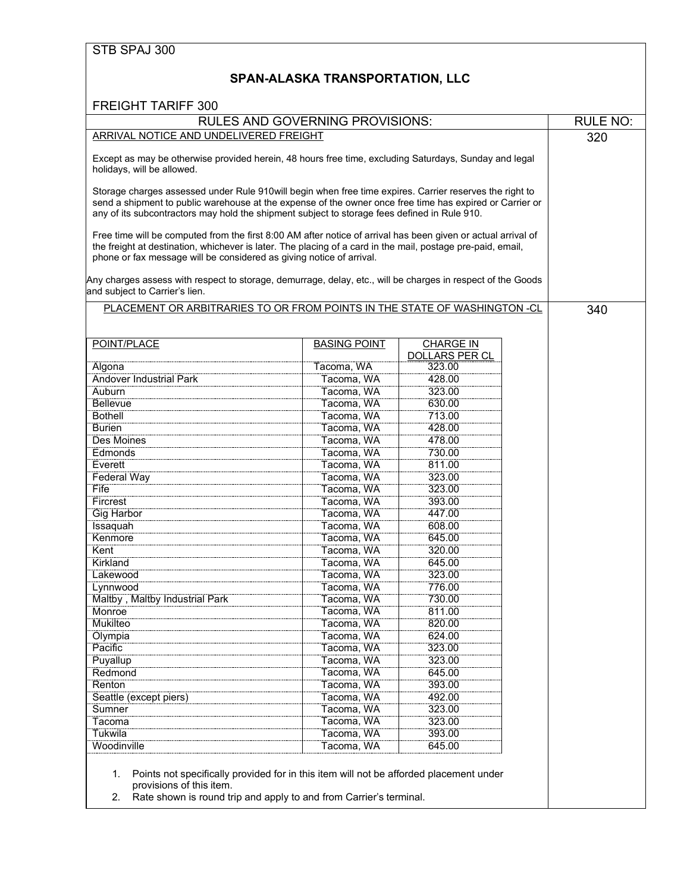### **SPAN-ALASKA TRANSPORTATION, LLC**

|                                                                                                                                                                                                                                                                                                                     | <b>RULES AND GOVERNING PROVISIONS:</b> |                                           |  | <b>RULE NO:</b> |
|---------------------------------------------------------------------------------------------------------------------------------------------------------------------------------------------------------------------------------------------------------------------------------------------------------------------|----------------------------------------|-------------------------------------------|--|-----------------|
| ARRIVAL NOTICE AND UNDELIVERED FREIGHT                                                                                                                                                                                                                                                                              |                                        |                                           |  | 320             |
| Except as may be otherwise provided herein, 48 hours free time, excluding Saturdays, Sunday and legal<br>holidays, will be allowed.                                                                                                                                                                                 |                                        |                                           |  |                 |
| Storage charges assessed under Rule 910will begin when free time expires. Carrier reserves the right to<br>send a shipment to public warehouse at the expense of the owner once free time has expired or Carrier or<br>any of its subcontractors may hold the shipment subject to storage fees defined in Rule 910. |                                        |                                           |  |                 |
| Free time will be computed from the first 8:00 AM after notice of arrival has been given or actual arrival of<br>the freight at destination, whichever is later. The placing of a card in the mail, postage pre-paid, email,<br>phone or fax message will be considered as giving notice of arrival.                |                                        |                                           |  |                 |
| Any charges assess with respect to storage, demurrage, delay, etc., will be charges in respect of the Goods<br>and subject to Carrier's lien.                                                                                                                                                                       |                                        |                                           |  |                 |
| PLACEMENT OR ARBITRARIES TO OR FROM POINTS IN THE STATE OF WASHINGTON -CL                                                                                                                                                                                                                                           |                                        |                                           |  | 340             |
| POINT/PLACE                                                                                                                                                                                                                                                                                                         | <b>BASING POINT</b>                    | <b>CHARGE IN</b><br><b>DOLLARS PER CL</b> |  |                 |
| Algona                                                                                                                                                                                                                                                                                                              | Tacoma, WA                             | 323.00                                    |  |                 |
| <b>Andover Industrial Park</b>                                                                                                                                                                                                                                                                                      | Tacoma, WA                             | 428.00                                    |  |                 |
| Auburn                                                                                                                                                                                                                                                                                                              | Tacoma, WA                             | 323.00                                    |  |                 |
| <b>Bellevue</b>                                                                                                                                                                                                                                                                                                     | Tacoma, WA                             | 630.00                                    |  |                 |
| <b>Bothell</b>                                                                                                                                                                                                                                                                                                      | Tacoma, WA                             | 713.00                                    |  |                 |
| <b>Burien</b>                                                                                                                                                                                                                                                                                                       | Tacoma, WA                             | 428.00                                    |  |                 |
| Des Moines                                                                                                                                                                                                                                                                                                          | Tacoma, WA                             | 478.00                                    |  |                 |
| Edmonds                                                                                                                                                                                                                                                                                                             | Tacoma, WA                             | 730.00                                    |  |                 |
| Everett                                                                                                                                                                                                                                                                                                             | Tacoma, WA                             | 811.00                                    |  |                 |
| <b>Federal Way</b>                                                                                                                                                                                                                                                                                                  | Tacoma, WA                             | 323.00                                    |  |                 |
| Fife                                                                                                                                                                                                                                                                                                                | Tacoma, WA                             | 323.00                                    |  |                 |
| Fircrest                                                                                                                                                                                                                                                                                                            | Tacoma, WA                             | 393.00                                    |  |                 |
| <b>Gig Harbor</b>                                                                                                                                                                                                                                                                                                   | Tacoma, WA                             | 447.00                                    |  |                 |
| Issaquah                                                                                                                                                                                                                                                                                                            | Tacoma, WA                             | 608.00                                    |  |                 |
| Kenmore                                                                                                                                                                                                                                                                                                             | Tacoma, WA                             | 645.00                                    |  |                 |
| Kent                                                                                                                                                                                                                                                                                                                | Tacoma, WA                             | 320.00                                    |  |                 |
| Kirkland                                                                                                                                                                                                                                                                                                            | Tacoma, WA                             | 645.00                                    |  |                 |
| Lakewood                                                                                                                                                                                                                                                                                                            | Tacoma, WA                             | 323.00                                    |  |                 |
| Lynnwood                                                                                                                                                                                                                                                                                                            | Tacoma, WA                             | 776.00                                    |  |                 |
| Maltby , Maltby Industrial Park                                                                                                                                                                                                                                                                                     | Tacoma, WA                             | 730.00                                    |  |                 |
| Monroe                                                                                                                                                                                                                                                                                                              | Tacoma, WA                             | 811.00                                    |  |                 |
| Mukilteo                                                                                                                                                                                                                                                                                                            | Tacoma, WA                             | 820.00                                    |  |                 |
| Olympia                                                                                                                                                                                                                                                                                                             | Tacoma, WA                             | 624.00                                    |  |                 |
| Pacific                                                                                                                                                                                                                                                                                                             | Tacoma, WA                             | 323.00                                    |  |                 |
| Puyallup                                                                                                                                                                                                                                                                                                            | Tacoma, WA                             | 323.00                                    |  |                 |
| Redmond                                                                                                                                                                                                                                                                                                             | Tacoma, WA                             | 645.00                                    |  |                 |
| Renton                                                                                                                                                                                                                                                                                                              | Tacoma, WA                             | 393.00                                    |  |                 |
| Seattle (except piers)                                                                                                                                                                                                                                                                                              | Tacoma, WA                             | 492.00                                    |  |                 |
| Sumner                                                                                                                                                                                                                                                                                                              | Tacoma, WA                             | 323.00                                    |  |                 |
| Tacoma                                                                                                                                                                                                                                                                                                              | Tacoma, WA                             | 323.00                                    |  |                 |
| Tukwila                                                                                                                                                                                                                                                                                                             | Tacoma, WA                             | 393.00                                    |  |                 |
| Woodinville                                                                                                                                                                                                                                                                                                         | Tacoma, WA                             | 645.00                                    |  |                 |
|                                                                                                                                                                                                                                                                                                                     |                                        |                                           |  |                 |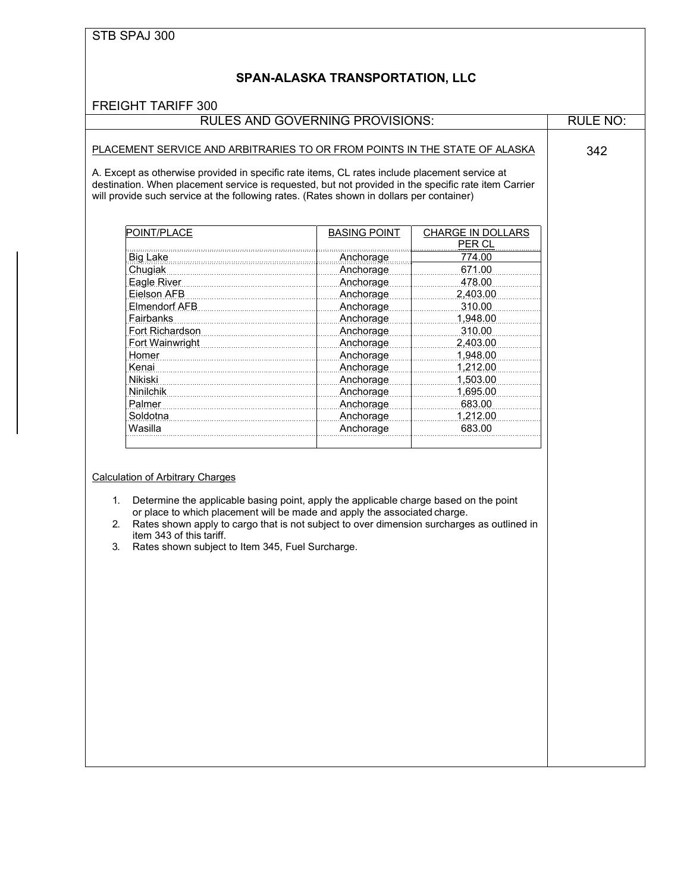| <b>FREIGHT TARIFF 300</b>                                                                                                                                                                                                                                                                                                                                                                                     | <b>RULES AND GOVERNING PROVISIONS:</b> |                   | <b>RULE NO:</b> |
|---------------------------------------------------------------------------------------------------------------------------------------------------------------------------------------------------------------------------------------------------------------------------------------------------------------------------------------------------------------------------------------------------------------|----------------------------------------|-------------------|-----------------|
|                                                                                                                                                                                                                                                                                                                                                                                                               |                                        |                   |                 |
| PLACEMENT SERVICE AND ARBITRARIES TO OR FROM POINTS IN THE STATE OF ALASKA<br>A. Except as otherwise provided in specific rate items, CL rates include placement service at<br>destination. When placement service is requested, but not provided in the specific rate item Carrier<br>will provide such service at the following rates. (Rates shown in dollars per container)                               |                                        |                   | 342             |
| POINT/PLACE                                                                                                                                                                                                                                                                                                                                                                                                   | <b>BASING POINT</b>                    | CHARGE IN DOLLARS |                 |
|                                                                                                                                                                                                                                                                                                                                                                                                               |                                        | PER CL            |                 |
| <b>Big Lake</b>                                                                                                                                                                                                                                                                                                                                                                                               | ,,,,,,,,,,,,,,,,,,,,,,,<br>Anchorage   | 774.00            |                 |
| Chugiak                                                                                                                                                                                                                                                                                                                                                                                                       | Anchorage                              | 671.00            |                 |
| Eagle River                                                                                                                                                                                                                                                                                                                                                                                                   |                                        | 478.00            |                 |
| Eielson AFB                                                                                                                                                                                                                                                                                                                                                                                                   | Anchorage<br>Anchorage                 | 2,403.00          |                 |
| Elmendorf AFB                                                                                                                                                                                                                                                                                                                                                                                                 | Anchorage                              | 310.00            |                 |
| <b>Fairbanks</b>                                                                                                                                                                                                                                                                                                                                                                                              | Anchorage                              | 1,948.00          |                 |
| Fort Richardson                                                                                                                                                                                                                                                                                                                                                                                               | Anchorage                              | 310.00            |                 |
| Fort Wainwright                                                                                                                                                                                                                                                                                                                                                                                               | Anchorage                              | 2,403.00          |                 |
| Homer                                                                                                                                                                                                                                                                                                                                                                                                         | Anchorage                              | 1,948.00          |                 |
|                                                                                                                                                                                                                                                                                                                                                                                                               |                                        |                   |                 |
| Kenai<br>Nikiski                                                                                                                                                                                                                                                                                                                                                                                              | Anchorage                              | 1,212.00          |                 |
|                                                                                                                                                                                                                                                                                                                                                                                                               | Anchorage                              | 1,503.00          |                 |
| <b>Ninilchik</b>                                                                                                                                                                                                                                                                                                                                                                                              | Anchorage                              | 1,695.00          |                 |
| Palmer                                                                                                                                                                                                                                                                                                                                                                                                        | Anchorage                              | 683.00            |                 |
| Soldotna                                                                                                                                                                                                                                                                                                                                                                                                      | Anchorage                              | 1,212.00          |                 |
| Wasilla                                                                                                                                                                                                                                                                                                                                                                                                       | Anchorage                              | 683.00            |                 |
| <b>Calculation of Arbitrary Charges</b><br>Determine the applicable basing point, apply the applicable charge based on the point<br>1.<br>or place to which placement will be made and apply the associated charge.<br>Rates shown apply to cargo that is not subject to over dimension surcharges as outlined in<br>2.<br>item 343 of this tariff.<br>Rates shown subject to Item 345, Fuel Surcharge.<br>3. |                                        |                   |                 |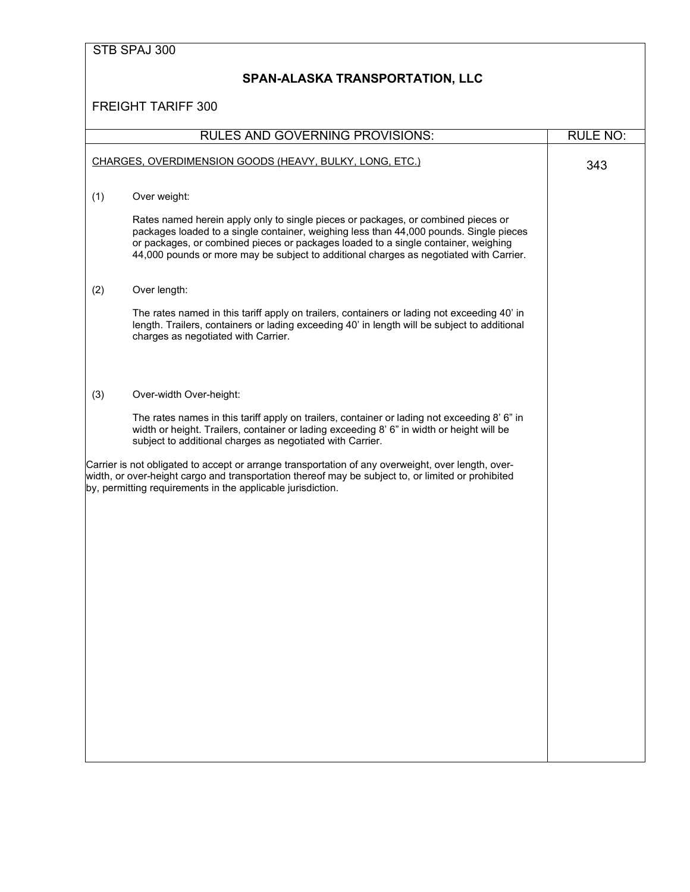|     | STB SPAJ 300                                                                                                                                                                                                                                                                                                                                                |                 |
|-----|-------------------------------------------------------------------------------------------------------------------------------------------------------------------------------------------------------------------------------------------------------------------------------------------------------------------------------------------------------------|-----------------|
|     | <b>SPAN-ALASKA TRANSPORTATION, LLC</b>                                                                                                                                                                                                                                                                                                                      |                 |
|     | <b>FREIGHT TARIFF 300</b>                                                                                                                                                                                                                                                                                                                                   |                 |
|     | <b>RULES AND GOVERNING PROVISIONS:</b>                                                                                                                                                                                                                                                                                                                      | <b>RULE NO:</b> |
|     | CHARGES, OVERDIMENSION GOODS (HEAVY, BULKY, LONG, ETC.)                                                                                                                                                                                                                                                                                                     | 343             |
| (1) | Over weight:                                                                                                                                                                                                                                                                                                                                                |                 |
|     | Rates named herein apply only to single pieces or packages, or combined pieces or<br>packages loaded to a single container, weighing less than 44,000 pounds. Single pieces<br>or packages, or combined pieces or packages loaded to a single container, weighing<br>44,000 pounds or more may be subject to additional charges as negotiated with Carrier. |                 |
| (2) | Over length:                                                                                                                                                                                                                                                                                                                                                |                 |
|     | The rates named in this tariff apply on trailers, containers or lading not exceeding 40' in<br>length. Trailers, containers or lading exceeding 40' in length will be subject to additional<br>charges as negotiated with Carrier.                                                                                                                          |                 |
| (3) | Over-width Over-height:                                                                                                                                                                                                                                                                                                                                     |                 |
|     | The rates names in this tariff apply on trailers, container or lading not exceeding 8' 6" in<br>width or height. Trailers, container or lading exceeding 8' 6" in width or height will be<br>subject to additional charges as negotiated with Carrier.                                                                                                      |                 |
|     | Carrier is not obligated to accept or arrange transportation of any overweight, over length, over-<br>width, or over-height cargo and transportation thereof may be subject to, or limited or prohibited<br>by, permitting requirements in the applicable jurisdiction.                                                                                     |                 |
|     |                                                                                                                                                                                                                                                                                                                                                             |                 |
|     |                                                                                                                                                                                                                                                                                                                                                             |                 |
|     |                                                                                                                                                                                                                                                                                                                                                             |                 |
|     |                                                                                                                                                                                                                                                                                                                                                             |                 |
|     |                                                                                                                                                                                                                                                                                                                                                             |                 |
|     |                                                                                                                                                                                                                                                                                                                                                             |                 |
|     |                                                                                                                                                                                                                                                                                                                                                             |                 |
|     |                                                                                                                                                                                                                                                                                                                                                             |                 |
|     |                                                                                                                                                                                                                                                                                                                                                             |                 |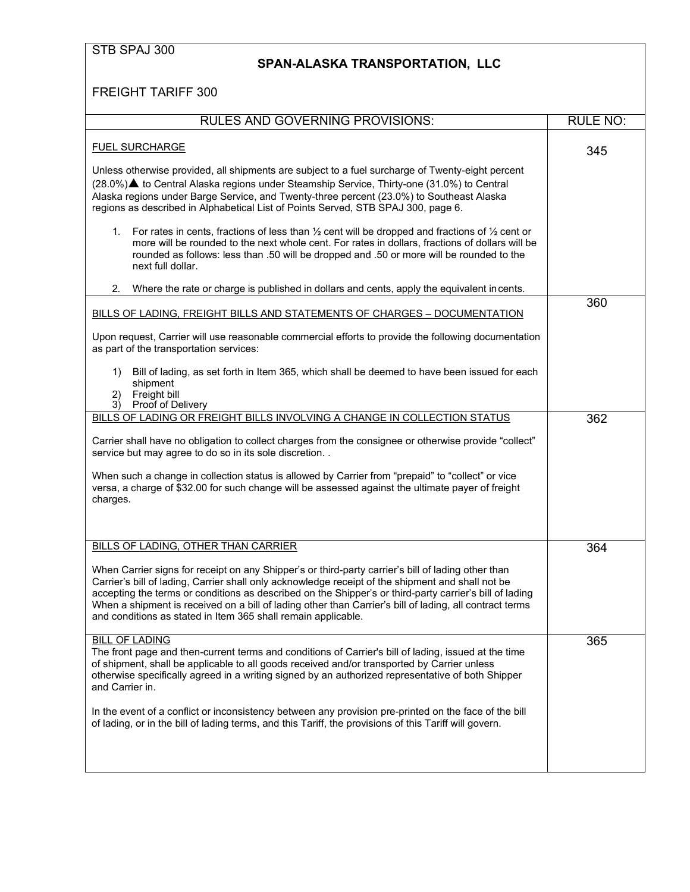### **SPAN-ALASKA TRANSPORTATION, LLC**

| <b>RULES AND GOVERNING PROVISIONS:</b>                                                                                                                                                                                                                                                                                                                                                                                                                                                         | <b>RULE NO:</b> |
|------------------------------------------------------------------------------------------------------------------------------------------------------------------------------------------------------------------------------------------------------------------------------------------------------------------------------------------------------------------------------------------------------------------------------------------------------------------------------------------------|-----------------|
| <b>FUEL SURCHARGE</b>                                                                                                                                                                                                                                                                                                                                                                                                                                                                          | 345             |
| Unless otherwise provided, all shipments are subject to a fuel surcharge of Twenty-eight percent<br>(28.0%)▲ to Central Alaska regions under Steamship Service, Thirty-one (31.0%) to Central<br>Alaska regions under Barge Service, and Twenty-three percent (23.0%) to Southeast Alaska<br>regions as described in Alphabetical List of Points Served, STB SPAJ 300, page 6.                                                                                                                 |                 |
| 1. For rates in cents, fractions of less than $\frac{1}{2}$ cent will be dropped and fractions of $\frac{1}{2}$ cent or<br>more will be rounded to the next whole cent. For rates in dollars, fractions of dollars will be<br>rounded as follows: less than .50 will be dropped and .50 or more will be rounded to the<br>next full dollar.                                                                                                                                                    |                 |
| 2.<br>Where the rate or charge is published in dollars and cents, apply the equivalent incents.                                                                                                                                                                                                                                                                                                                                                                                                |                 |
| BILLS OF LADING, FREIGHT BILLS AND STATEMENTS OF CHARGES - DOCUMENTATION                                                                                                                                                                                                                                                                                                                                                                                                                       | 360             |
| Upon request, Carrier will use reasonable commercial efforts to provide the following documentation<br>as part of the transportation services:                                                                                                                                                                                                                                                                                                                                                 |                 |
| Bill of lading, as set forth in Item 365, which shall be deemed to have been issued for each<br>1)<br>shipment<br>Freight bill<br>2)<br>3)<br>Proof of Delivery                                                                                                                                                                                                                                                                                                                                |                 |
| BILLS OF LADING OR FREIGHT BILLS INVOLVING A CHANGE IN COLLECTION STATUS                                                                                                                                                                                                                                                                                                                                                                                                                       | 362             |
| Carrier shall have no obligation to collect charges from the consignee or otherwise provide "collect"<br>service but may agree to do so in its sole discretion                                                                                                                                                                                                                                                                                                                                 |                 |
| When such a change in collection status is allowed by Carrier from "prepaid" to "collect" or vice<br>versa, a charge of \$32.00 for such change will be assessed against the ultimate payer of freight<br>charges.                                                                                                                                                                                                                                                                             |                 |
| BILLS OF LADING, OTHER THAN CARRIER                                                                                                                                                                                                                                                                                                                                                                                                                                                            | 364             |
|                                                                                                                                                                                                                                                                                                                                                                                                                                                                                                |                 |
| When Carrier signs for receipt on any Shipper's or third-party carrier's bill of lading other than<br>Carrier's bill of lading, Carrier shall only acknowledge receipt of the shipment and shall not be<br>accepting the terms or conditions as described on the Shipper's or third-party carrier's bill of lading<br>When a shipment is received on a bill of lading other than Carrier's bill of lading, all contract terms<br>and conditions as stated in Item 365 shall remain applicable. |                 |
| <b>BILL OF LADING</b><br>The front page and then-current terms and conditions of Carrier's bill of lading, issued at the time<br>of shipment, shall be applicable to all goods received and/or transported by Carrier unless<br>otherwise specifically agreed in a writing signed by an authorized representative of both Shipper<br>and Carrier in.                                                                                                                                           | 365             |
| In the event of a conflict or inconsistency between any provision pre-printed on the face of the bill<br>of lading, or in the bill of lading terms, and this Tariff, the provisions of this Tariff will govern.                                                                                                                                                                                                                                                                                |                 |
|                                                                                                                                                                                                                                                                                                                                                                                                                                                                                                |                 |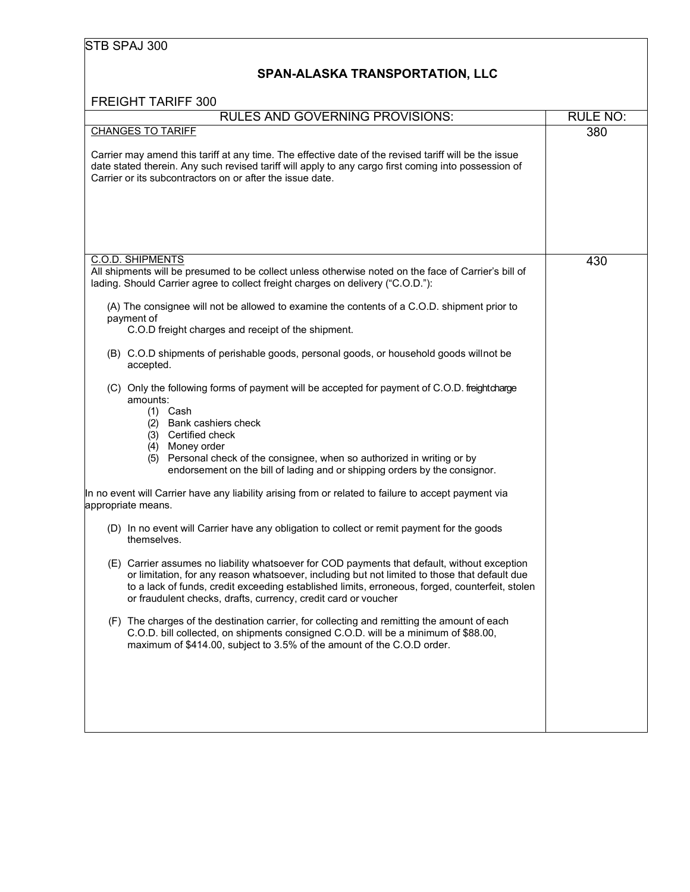|  | STB SPAJ 300 |  |
|--|--------------|--|
|--|--------------|--|

### **SPAN-ALASKA TRANSPORTATION, LLC**

| <b>FREIGHT TARIFF 300</b>                                                                                                                                                                                                                                                                                                                                          |                 |
|--------------------------------------------------------------------------------------------------------------------------------------------------------------------------------------------------------------------------------------------------------------------------------------------------------------------------------------------------------------------|-----------------|
| <b>RULES AND GOVERNING PROVISIONS:</b>                                                                                                                                                                                                                                                                                                                             | <b>RULE NO:</b> |
| <b>CHANGES TO TARIFF</b>                                                                                                                                                                                                                                                                                                                                           | 380             |
| Carrier may amend this tariff at any time. The effective date of the revised tariff will be the issue<br>date stated therein. Any such revised tariff will apply to any cargo first coming into possession of<br>Carrier or its subcontractors on or after the issue date.                                                                                         |                 |
| <b>C.O.D. SHIPMENTS</b>                                                                                                                                                                                                                                                                                                                                            |                 |
| All shipments will be presumed to be collect unless otherwise noted on the face of Carrier's bill of<br>lading. Should Carrier agree to collect freight charges on delivery ("C.O.D."):                                                                                                                                                                            | 430             |
| (A) The consignee will not be allowed to examine the contents of a C.O.D. shipment prior to<br>payment of<br>C.O.D freight charges and receipt of the shipment.                                                                                                                                                                                                    |                 |
| (B) C.O.D shipments of perishable goods, personal goods, or household goods willnot be<br>accepted.                                                                                                                                                                                                                                                                |                 |
| (C) Only the following forms of payment will be accepted for payment of C.O.D. freightcharge<br>amounts:<br>$(1)$ Cash<br>(2) Bank cashiers check<br>(3) Certified check<br>Money order<br>(4)<br>Personal check of the consignee, when so authorized in writing or by<br>(5)<br>endorsement on the bill of lading and or shipping orders by the consignor.        |                 |
| In no event will Carrier have any liability arising from or related to failure to accept payment via<br>appropriate means.                                                                                                                                                                                                                                         |                 |
| (D) In no event will Carrier have any obligation to collect or remit payment for the goods<br>themselves.                                                                                                                                                                                                                                                          |                 |
| (E) Carrier assumes no liability whatsoever for COD payments that default, without exception<br>or limitation, for any reason whatsoever, including but not limited to those that default due<br>to a lack of funds, credit exceeding established limits, erroneous, forged, counterfeit, stolen<br>or fraudulent checks, drafts, currency, credit card or voucher |                 |
| (F) The charges of the destination carrier, for collecting and remitting the amount of each<br>C.O.D. bill collected, on shipments consigned C.O.D. will be a minimum of \$88.00,<br>maximum of \$414.00, subject to 3.5% of the amount of the C.O.D order.                                                                                                        |                 |
|                                                                                                                                                                                                                                                                                                                                                                    |                 |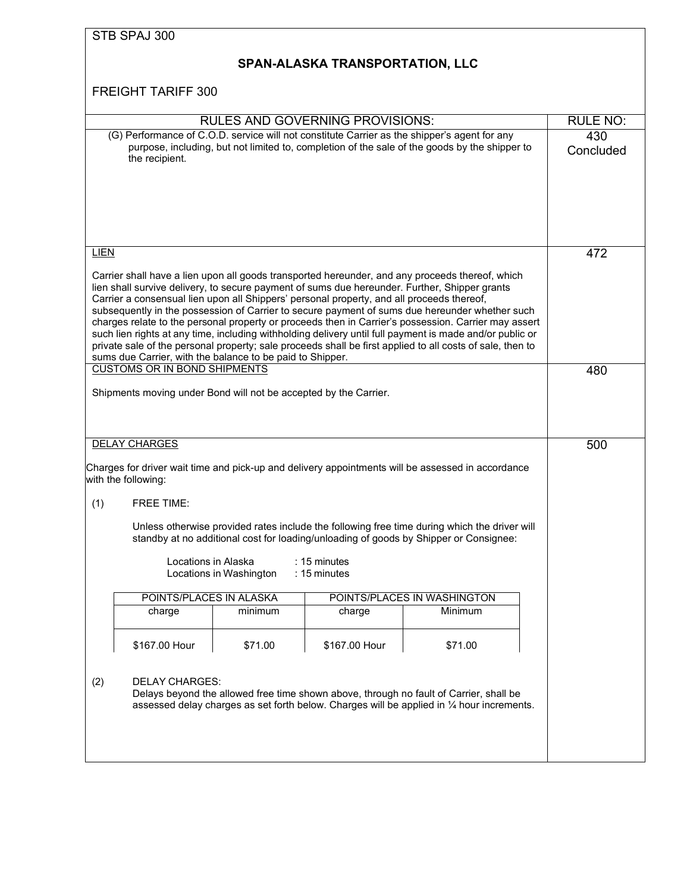|             | STB SPAJ 300                                                                                                                                           |                         |                                        |                                                                                                                                                                                                                                                                                                                                                                                                                                                                                                                                                                                                                                     |                  |
|-------------|--------------------------------------------------------------------------------------------------------------------------------------------------------|-------------------------|----------------------------------------|-------------------------------------------------------------------------------------------------------------------------------------------------------------------------------------------------------------------------------------------------------------------------------------------------------------------------------------------------------------------------------------------------------------------------------------------------------------------------------------------------------------------------------------------------------------------------------------------------------------------------------------|------------------|
|             |                                                                                                                                                        |                         | SPAN-ALASKA TRANSPORTATION, LLC        |                                                                                                                                                                                                                                                                                                                                                                                                                                                                                                                                                                                                                                     |                  |
|             | <b>FREIGHT TARIFF 300</b>                                                                                                                              |                         |                                        |                                                                                                                                                                                                                                                                                                                                                                                                                                                                                                                                                                                                                                     |                  |
|             |                                                                                                                                                        |                         | <b>RULES AND GOVERNING PROVISIONS:</b> |                                                                                                                                                                                                                                                                                                                                                                                                                                                                                                                                                                                                                                     | <b>RULE NO:</b>  |
|             | the recipient.                                                                                                                                         |                         |                                        | (G) Performance of C.O.D. service will not constitute Carrier as the shipper's agent for any<br>purpose, including, but not limited to, completion of the sale of the goods by the shipper to                                                                                                                                                                                                                                                                                                                                                                                                                                       | 430<br>Concluded |
| <b>LIEN</b> | Carrier a consensual lien upon all Shippers' personal property, and all proceeds thereof,<br>sums due Carrier, with the balance to be paid to Shipper. |                         |                                        | Carrier shall have a lien upon all goods transported hereunder, and any proceeds thereof, which<br>lien shall survive delivery, to secure payment of sums due hereunder. Further, Shipper grants<br>subsequently in the possession of Carrier to secure payment of sums due hereunder whether such<br>charges relate to the personal property or proceeds then in Carrier's possession. Carrier may assert<br>such lien rights at any time, including withholding delivery until full payment is made and/or public or<br>private sale of the personal property; sale proceeds shall be first applied to all costs of sale, then to | 472              |
|             | <b>CUSTOMS OR IN BOND SHIPMENTS</b>                                                                                                                    |                         |                                        |                                                                                                                                                                                                                                                                                                                                                                                                                                                                                                                                                                                                                                     | 480              |
|             | Shipments moving under Bond will not be accepted by the Carrier.                                                                                       |                         |                                        |                                                                                                                                                                                                                                                                                                                                                                                                                                                                                                                                                                                                                                     |                  |
|             | <b>DELAY CHARGES</b>                                                                                                                                   |                         |                                        |                                                                                                                                                                                                                                                                                                                                                                                                                                                                                                                                                                                                                                     | 500              |
|             | with the following:                                                                                                                                    |                         |                                        | Charges for driver wait time and pick-up and delivery appointments will be assessed in accordance                                                                                                                                                                                                                                                                                                                                                                                                                                                                                                                                   |                  |
| (1)         | <b>FREE TIME:</b>                                                                                                                                      |                         |                                        |                                                                                                                                                                                                                                                                                                                                                                                                                                                                                                                                                                                                                                     |                  |
|             | Locations in Alaska                                                                                                                                    | Locations in Washington | $: 15$ minutes<br>: 15 minutes         | Unless otherwise provided rates include the following free time during which the driver will<br>standby at no additional cost for loading/unloading of goods by Shipper or Consignee:                                                                                                                                                                                                                                                                                                                                                                                                                                               |                  |
|             | POINTS/PLACES IN ALASKA                                                                                                                                |                         |                                        | POINTS/PLACES IN WASHINGTON                                                                                                                                                                                                                                                                                                                                                                                                                                                                                                                                                                                                         |                  |
|             | charge                                                                                                                                                 | minimum                 | charge                                 | Minimum                                                                                                                                                                                                                                                                                                                                                                                                                                                                                                                                                                                                                             |                  |
|             | \$167.00 Hour                                                                                                                                          | \$71.00                 | \$167.00 Hour                          | \$71.00                                                                                                                                                                                                                                                                                                                                                                                                                                                                                                                                                                                                                             |                  |
| (2)         | <b>DELAY CHARGES:</b>                                                                                                                                  |                         |                                        | Delays beyond the allowed free time shown above, through no fault of Carrier, shall be<br>assessed delay charges as set forth below. Charges will be applied in 1/4 hour increments.                                                                                                                                                                                                                                                                                                                                                                                                                                                |                  |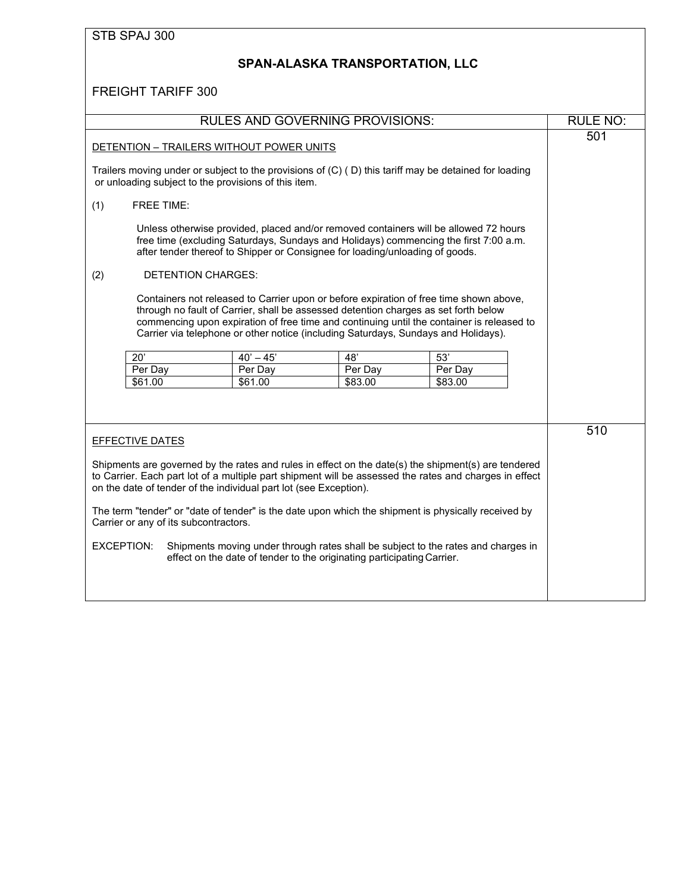# **SPAN-ALASKA TRANSPORTATION, LLC**

|                                                                                                                                                                                                                                                                                                                                                                                           |                                                      | <b>RULES AND GOVERNING PROVISIONS:</b>                                                                                                                                                                                                                       |         |                                                                                   | RULE NO: |
|-------------------------------------------------------------------------------------------------------------------------------------------------------------------------------------------------------------------------------------------------------------------------------------------------------------------------------------------------------------------------------------------|------------------------------------------------------|--------------------------------------------------------------------------------------------------------------------------------------------------------------------------------------------------------------------------------------------------------------|---------|-----------------------------------------------------------------------------------|----------|
| DETENTION - TRAILERS WITHOUT POWER UNITS                                                                                                                                                                                                                                                                                                                                                  |                                                      |                                                                                                                                                                                                                                                              | 501     |                                                                                   |          |
|                                                                                                                                                                                                                                                                                                                                                                                           | or unloading subject to the provisions of this item. | Trailers moving under or subject to the provisions of (C) (D) this tariff may be detained for loading                                                                                                                                                        |         |                                                                                   |          |
| (1)                                                                                                                                                                                                                                                                                                                                                                                       | <b>FREE TIME:</b>                                    |                                                                                                                                                                                                                                                              |         |                                                                                   |          |
|                                                                                                                                                                                                                                                                                                                                                                                           |                                                      | Unless otherwise provided, placed and/or removed containers will be allowed 72 hours<br>free time (excluding Saturdays, Sundays and Holidays) commencing the first 7:00 a.m.<br>after tender thereof to Shipper or Consignee for loading/unloading of goods. |         |                                                                                   |          |
| (2)                                                                                                                                                                                                                                                                                                                                                                                       | <b>DETENTION CHARGES:</b>                            |                                                                                                                                                                                                                                                              |         |                                                                                   |          |
| Containers not released to Carrier upon or before expiration of free time shown above,<br>through no fault of Carrier, shall be assessed detention charges as set forth below<br>commencing upon expiration of free time and continuing until the container is released to<br>Carrier via telephone or other notice (including Saturdays, Sundays and Holidays).                          |                                                      |                                                                                                                                                                                                                                                              |         |                                                                                   |          |
|                                                                                                                                                                                                                                                                                                                                                                                           | $\overline{20'}$                                     | $40' - 45'$                                                                                                                                                                                                                                                  | 48'     | $\overline{53'}$                                                                  |          |
|                                                                                                                                                                                                                                                                                                                                                                                           | Per Day                                              | Per Day                                                                                                                                                                                                                                                      | Per Day | Per Day                                                                           |          |
|                                                                                                                                                                                                                                                                                                                                                                                           | \$61.00                                              | \$61.00                                                                                                                                                                                                                                                      | \$83.00 | \$83.00                                                                           |          |
|                                                                                                                                                                                                                                                                                                                                                                                           | <b>EFFECTIVE DATES</b>                               |                                                                                                                                                                                                                                                              |         |                                                                                   | 510      |
| Shipments are governed by the rates and rules in effect on the date(s) the shipment(s) are tendered<br>to Carrier. Each part lot of a multiple part shipment will be assessed the rates and charges in effect<br>on the date of tender of the individual part lot (see Exception).<br>The term "tender" or "date of tender" is the date upon which the shipment is physically received by |                                                      |                                                                                                                                                                                                                                                              |         |                                                                                   |          |
|                                                                                                                                                                                                                                                                                                                                                                                           | Carrier or any of its subcontractors.                |                                                                                                                                                                                                                                                              |         |                                                                                   |          |
| EXCEPTION:                                                                                                                                                                                                                                                                                                                                                                                |                                                      | effect on the date of tender to the originating participating Carrier.                                                                                                                                                                                       |         | Shipments moving under through rates shall be subject to the rates and charges in |          |
|                                                                                                                                                                                                                                                                                                                                                                                           |                                                      |                                                                                                                                                                                                                                                              |         |                                                                                   |          |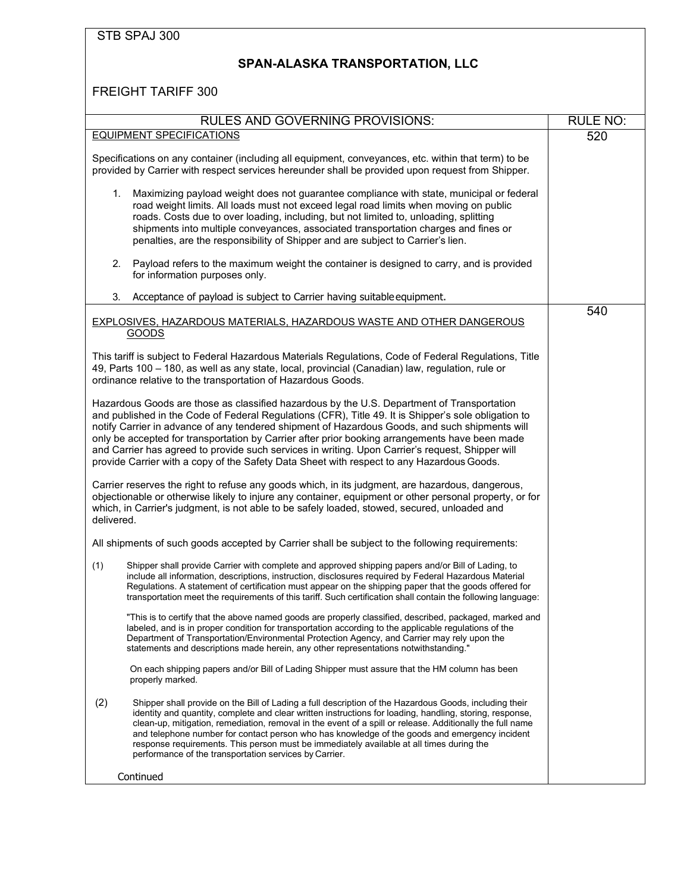# <span id="page-15-0"></span>**SPAN-ALASKA TRANSPORTATION, LLC**

| RULES AND GOVERNING PROVISIONS:                                                                                                                                                                                                                                                                                                                                                                                                                                                                                                                                                                         | RULE NO: |
|---------------------------------------------------------------------------------------------------------------------------------------------------------------------------------------------------------------------------------------------------------------------------------------------------------------------------------------------------------------------------------------------------------------------------------------------------------------------------------------------------------------------------------------------------------------------------------------------------------|----------|
| <b>EQUIPMENT SPECIFICATIONS</b>                                                                                                                                                                                                                                                                                                                                                                                                                                                                                                                                                                         | 520      |
| Specifications on any container (including all equipment, conveyances, etc. within that term) to be<br>provided by Carrier with respect services hereunder shall be provided upon request from Shipper.                                                                                                                                                                                                                                                                                                                                                                                                 |          |
| Maximizing payload weight does not guarantee compliance with state, municipal or federal<br>1.<br>road weight limits. All loads must not exceed legal road limits when moving on public<br>roads. Costs due to over loading, including, but not limited to, unloading, splitting<br>shipments into multiple conveyances, associated transportation charges and fines or<br>penalties, are the responsibility of Shipper and are subject to Carrier's lien.                                                                                                                                              |          |
| 2.<br>Payload refers to the maximum weight the container is designed to carry, and is provided<br>for information purposes only.                                                                                                                                                                                                                                                                                                                                                                                                                                                                        |          |
| 3.<br>Acceptance of payload is subject to Carrier having suitable equipment.                                                                                                                                                                                                                                                                                                                                                                                                                                                                                                                            |          |
| EXPLOSIVES, HAZARDOUS MATERIALS, HAZARDOUS WASTE AND OTHER DANGEROUS<br>GOODS                                                                                                                                                                                                                                                                                                                                                                                                                                                                                                                           | 540      |
| This tariff is subject to Federal Hazardous Materials Regulations, Code of Federal Regulations, Title<br>49, Parts 100 - 180, as well as any state, local, provincial (Canadian) law, regulation, rule or<br>ordinance relative to the transportation of Hazardous Goods.                                                                                                                                                                                                                                                                                                                               |          |
| Hazardous Goods are those as classified hazardous by the U.S. Department of Transportation<br>and published in the Code of Federal Regulations (CFR), Title 49. It is Shipper's sole obligation to<br>notify Carrier in advance of any tendered shipment of Hazardous Goods, and such shipments will<br>only be accepted for transportation by Carrier after prior booking arrangements have been made<br>and Carrier has agreed to provide such services in writing. Upon Carrier's request, Shipper will<br>provide Carrier with a copy of the Safety Data Sheet with respect to any Hazardous Goods. |          |
| Carrier reserves the right to refuse any goods which, in its judgment, are hazardous, dangerous,<br>objectionable or otherwise likely to injure any container, equipment or other personal property, or for<br>which, in Carrier's judgment, is not able to be safely loaded, stowed, secured, unloaded and<br>delivered.                                                                                                                                                                                                                                                                               |          |
| All shipments of such goods accepted by Carrier shall be subject to the following requirements:                                                                                                                                                                                                                                                                                                                                                                                                                                                                                                         |          |
| (1)<br>Shipper shall provide Carrier with complete and approved shipping papers and/or Bill of Lading, to<br>include all information, descriptions, instruction, disclosures required by Federal Hazardous Material<br>Regulations. A statement of certification must appear on the shipping paper that the goods offered for<br>transportation meet the requirements of this tariff. Such certification shall contain the following language:                                                                                                                                                          |          |
| "This is to certify that the above named goods are properly classified, described, packaged, marked and<br>labeled, and is in proper condition for transportation according to the applicable regulations of the<br>Department of Transportation/Environmental Protection Agency, and Carrier may rely upon the<br>statements and descriptions made herein, any other representations notwithstanding."                                                                                                                                                                                                 |          |
| On each shipping papers and/or Bill of Lading Shipper must assure that the HM column has been<br>properly marked.                                                                                                                                                                                                                                                                                                                                                                                                                                                                                       |          |
| (2)<br>Shipper shall provide on the Bill of Lading a full description of the Hazardous Goods, including their<br>identity and quantity, complete and clear written instructions for loading, handling, storing, response,<br>clean-up, mitigation, remediation, removal in the event of a spill or release. Additionally the full name<br>and telephone number for contact person who has knowledge of the goods and emergency incident<br>response requirements. This person must be immediately available at all times during the<br>performance of the transportation services by Carrier.           |          |
| Continued                                                                                                                                                                                                                                                                                                                                                                                                                                                                                                                                                                                               |          |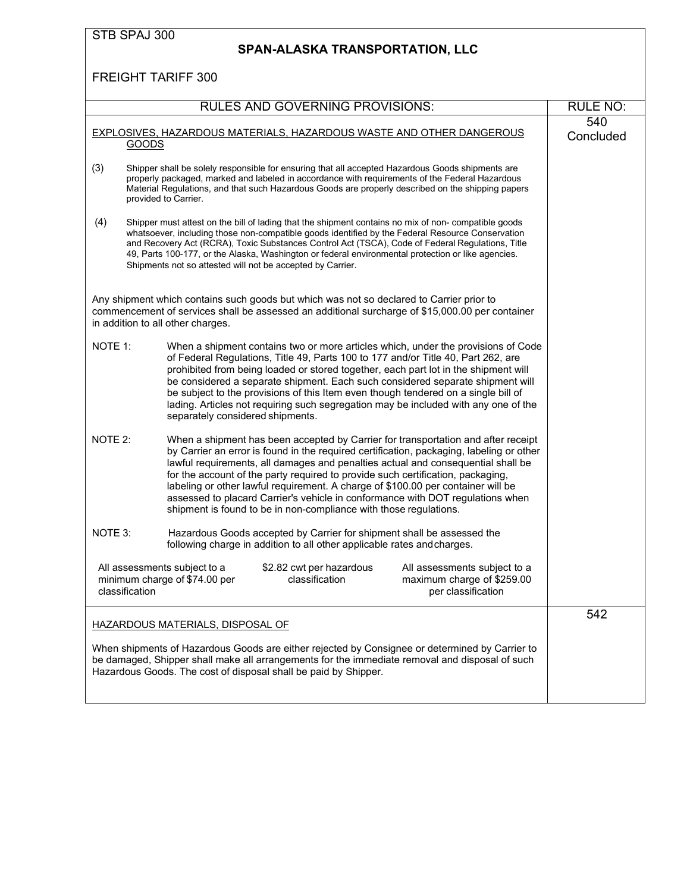| STB SPAJ 300<br>SPAN-ALASKA TRANSPORTATION, LLC                                                                                                                                                                                                                                                                                                                                                                                                                                                                                                                                                            |                  |
|------------------------------------------------------------------------------------------------------------------------------------------------------------------------------------------------------------------------------------------------------------------------------------------------------------------------------------------------------------------------------------------------------------------------------------------------------------------------------------------------------------------------------------------------------------------------------------------------------------|------------------|
| <b>FREIGHT TARIFF 300</b>                                                                                                                                                                                                                                                                                                                                                                                                                                                                                                                                                                                  |                  |
| <b>RULES AND GOVERNING PROVISIONS:</b>                                                                                                                                                                                                                                                                                                                                                                                                                                                                                                                                                                     | <b>RULE NO:</b>  |
| <b>EXPLOSIVES, HAZARDOUS MATERIALS, HAZARDOUS WASTE AND OTHER DANGEROUS</b><br><b>GOODS</b>                                                                                                                                                                                                                                                                                                                                                                                                                                                                                                                | 540<br>Concluded |
| (3)<br>Shipper shall be solely responsible for ensuring that all accepted Hazardous Goods shipments are<br>properly packaged, marked and labeled in accordance with requirements of the Federal Hazardous<br>Material Regulations, and that such Hazardous Goods are properly described on the shipping papers<br>provided to Carrier.                                                                                                                                                                                                                                                                     |                  |
| (4)<br>Shipper must attest on the bill of lading that the shipment contains no mix of non- compatible goods<br>whatsoever, including those non-compatible goods identified by the Federal Resource Conservation<br>and Recovery Act (RCRA), Toxic Substances Control Act (TSCA), Code of Federal Regulations, Title<br>49, Parts 100-177, or the Alaska, Washington or federal environmental protection or like agencies.<br>Shipments not so attested will not be accepted by Carrier.                                                                                                                    |                  |
| Any shipment which contains such goods but which was not so declared to Carrier prior to<br>commencement of services shall be assessed an additional surcharge of \$15,000.00 per container<br>in addition to all other charges.                                                                                                                                                                                                                                                                                                                                                                           |                  |
| NOTE 1:<br>When a shipment contains two or more articles which, under the provisions of Code<br>of Federal Regulations, Title 49, Parts 100 to 177 and/or Title 40, Part 262, are<br>prohibited from being loaded or stored together, each part lot in the shipment will<br>be considered a separate shipment. Each such considered separate shipment will<br>be subject to the provisions of this Item even though tendered on a single bill of<br>lading. Articles not requiring such segregation may be included with any one of the<br>separately considered shipments.                                |                  |
| NOTE 2:<br>When a shipment has been accepted by Carrier for transportation and after receipt<br>by Carrier an error is found in the required certification, packaging, labeling or other<br>lawful requirements, all damages and penalties actual and consequential shall be<br>for the account of the party required to provide such certification, packaging,<br>labeling or other lawful requirement. A charge of \$100.00 per container will be<br>assessed to placard Carrier's vehicle in conformance with DOT regulations when<br>shipment is found to be in non-compliance with those regulations. |                  |
| NOTE 3:<br>Hazardous Goods accepted by Carrier for shipment shall be assessed the<br>following charge in addition to all other applicable rates and charges.                                                                                                                                                                                                                                                                                                                                                                                                                                               |                  |
| All assessments subject to a<br>\$2.82 cwt per hazardous<br>All assessments subject to a<br>minimum charge of \$74.00 per<br>classification<br>maximum charge of \$259.00<br>classification<br>per classification                                                                                                                                                                                                                                                                                                                                                                                          |                  |
| <b>HAZARDOUS MATERIALS, DISPOSAL OF</b><br>When shipments of Hazardous Goods are either rejected by Consignee or determined by Carrier to<br>be damaged, Shipper shall make all arrangements for the immediate removal and disposal of such<br>Hazardous Goods. The cost of disposal shall be paid by Shipper.                                                                                                                                                                                                                                                                                             | 542              |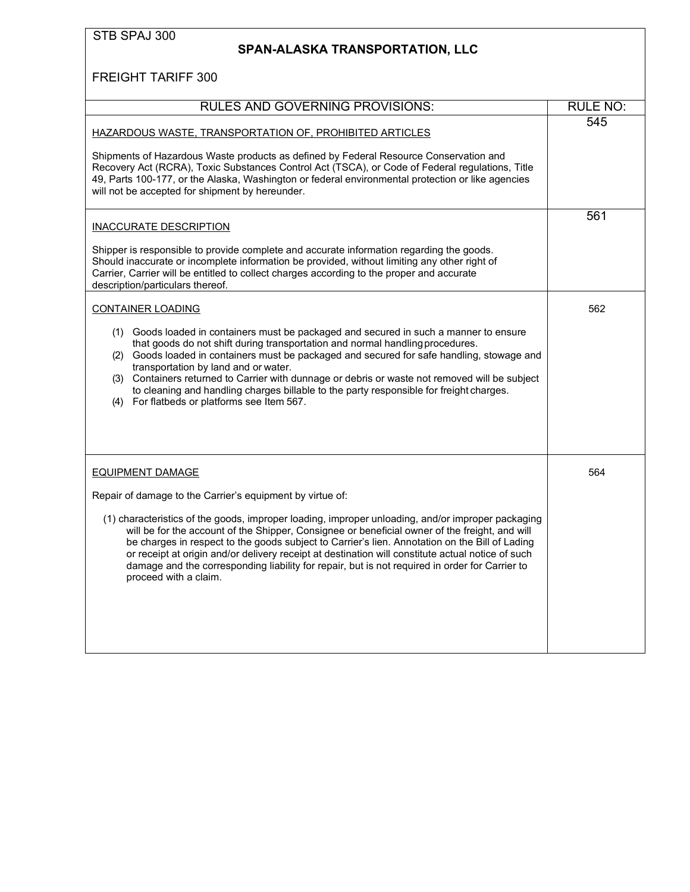### <span id="page-17-0"></span>**SPAN-ALASKA TRANSPORTATION, LLC**

| <b>RULES AND GOVERNING PROVISIONS:</b>                                                                                                                                                                                                                                                                                                                                                                                                                                                                                                                       | <b>RULE NO:</b> |
|--------------------------------------------------------------------------------------------------------------------------------------------------------------------------------------------------------------------------------------------------------------------------------------------------------------------------------------------------------------------------------------------------------------------------------------------------------------------------------------------------------------------------------------------------------------|-----------------|
| HAZARDOUS WASTE, TRANSPORTATION OF, PROHIBITED ARTICLES<br>Shipments of Hazardous Waste products as defined by Federal Resource Conservation and<br>Recovery Act (RCRA), Toxic Substances Control Act (TSCA), or Code of Federal regulations, Title<br>49, Parts 100-177, or the Alaska, Washington or federal environmental protection or like agencies<br>will not be accepted for shipment by hereunder.                                                                                                                                                  | 545             |
| INACCURATE DESCRIPTION<br>Shipper is responsible to provide complete and accurate information regarding the goods.<br>Should inaccurate or incomplete information be provided, without limiting any other right of<br>Carrier, Carrier will be entitled to collect charges according to the proper and accurate<br>description/particulars thereof.                                                                                                                                                                                                          | 561             |
| <b>CONTAINER LOADING</b>                                                                                                                                                                                                                                                                                                                                                                                                                                                                                                                                     | 562             |
| (1) Goods loaded in containers must be packaged and secured in such a manner to ensure<br>that goods do not shift during transportation and normal handling procedures.<br>(2) Goods loaded in containers must be packaged and secured for safe handling, stowage and<br>transportation by land and or water.<br>(3) Containers returned to Carrier with dunnage or debris or waste not removed will be subject<br>to cleaning and handling charges billable to the party responsible for freight charges.<br>For flatbeds or platforms see Item 567.<br>(4) |                 |
| EQUIPMENT DAMAGE                                                                                                                                                                                                                                                                                                                                                                                                                                                                                                                                             | 564             |
| Repair of damage to the Carrier's equipment by virtue of:                                                                                                                                                                                                                                                                                                                                                                                                                                                                                                    |                 |
| (1) characteristics of the goods, improper loading, improper unloading, and/or improper packaging<br>will be for the account of the Shipper, Consignee or beneficial owner of the freight, and will<br>be charges in respect to the goods subject to Carrier's lien. Annotation on the Bill of Lading<br>or receipt at origin and/or delivery receipt at destination will constitute actual notice of such<br>damage and the corresponding liability for repair, but is not required in order for Carrier to<br>proceed with a claim.                        |                 |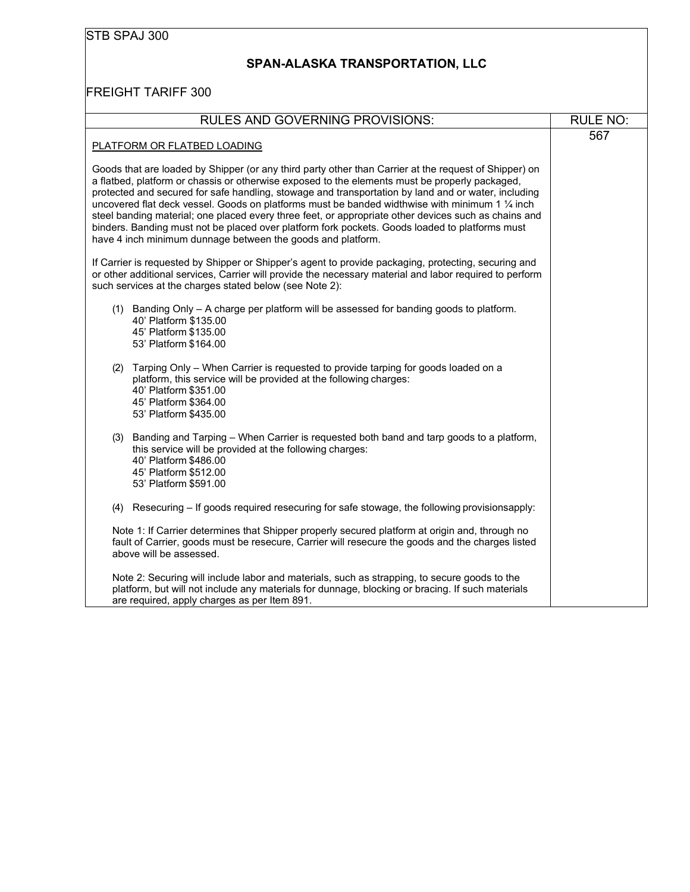# **SPAN-ALASKA TRANSPORTATION, LLC**

| <b>RULES AND GOVERNING PROVISIONS:</b>                                                                                                                                                                                                                                                                                                                                                                                                                                                                                                                                                                                                                                                     | <b>RULE NO:</b> |
|--------------------------------------------------------------------------------------------------------------------------------------------------------------------------------------------------------------------------------------------------------------------------------------------------------------------------------------------------------------------------------------------------------------------------------------------------------------------------------------------------------------------------------------------------------------------------------------------------------------------------------------------------------------------------------------------|-----------------|
| PLATFORM OR FLATBED LOADING                                                                                                                                                                                                                                                                                                                                                                                                                                                                                                                                                                                                                                                                | 567             |
| Goods that are loaded by Shipper (or any third party other than Carrier at the request of Shipper) on<br>a flatbed, platform or chassis or otherwise exposed to the elements must be properly packaged,<br>protected and secured for safe handling, stowage and transportation by land and or water, including<br>uncovered flat deck vessel. Goods on platforms must be banded widthwise with minimum 1 1/4 inch<br>steel banding material; one placed every three feet, or appropriate other devices such as chains and<br>binders. Banding must not be placed over platform fork pockets. Goods loaded to platforms must<br>have 4 inch minimum dunnage between the goods and platform. |                 |
| If Carrier is requested by Shipper or Shipper's agent to provide packaging, protecting, securing and<br>or other additional services, Carrier will provide the necessary material and labor required to perform<br>such services at the charges stated below (see Note 2):                                                                                                                                                                                                                                                                                                                                                                                                                 |                 |
| (1) Banding Only - A charge per platform will be assessed for banding goods to platform.<br>40' Platform \$135.00<br>45' Platform \$135.00<br>53' Platform \$164.00                                                                                                                                                                                                                                                                                                                                                                                                                                                                                                                        |                 |
| Tarping Only – When Carrier is requested to provide tarping for goods loaded on a<br>(2)<br>platform, this service will be provided at the following charges:<br>40' Platform \$351.00<br>45' Platform \$364.00<br>53' Platform \$435.00                                                                                                                                                                                                                                                                                                                                                                                                                                                   |                 |
| (3) Banding and Tarping - When Carrier is requested both band and tarp goods to a platform,<br>this service will be provided at the following charges:<br>40' Platform \$486.00<br>45' Platform \$512.00<br>53' Platform \$591.00                                                                                                                                                                                                                                                                                                                                                                                                                                                          |                 |
| (4) Resecuring – If goods required resecuring for safe stowage, the following provisionsapply:                                                                                                                                                                                                                                                                                                                                                                                                                                                                                                                                                                                             |                 |
| Note 1: If Carrier determines that Shipper properly secured platform at origin and, through no<br>fault of Carrier, goods must be resecure, Carrier will resecure the goods and the charges listed<br>above will be assessed.                                                                                                                                                                                                                                                                                                                                                                                                                                                              |                 |
| Note 2: Securing will include labor and materials, such as strapping, to secure goods to the<br>platform, but will not include any materials for dunnage, blocking or bracing. If such materials<br>are required, apply charges as per Item 891.                                                                                                                                                                                                                                                                                                                                                                                                                                           |                 |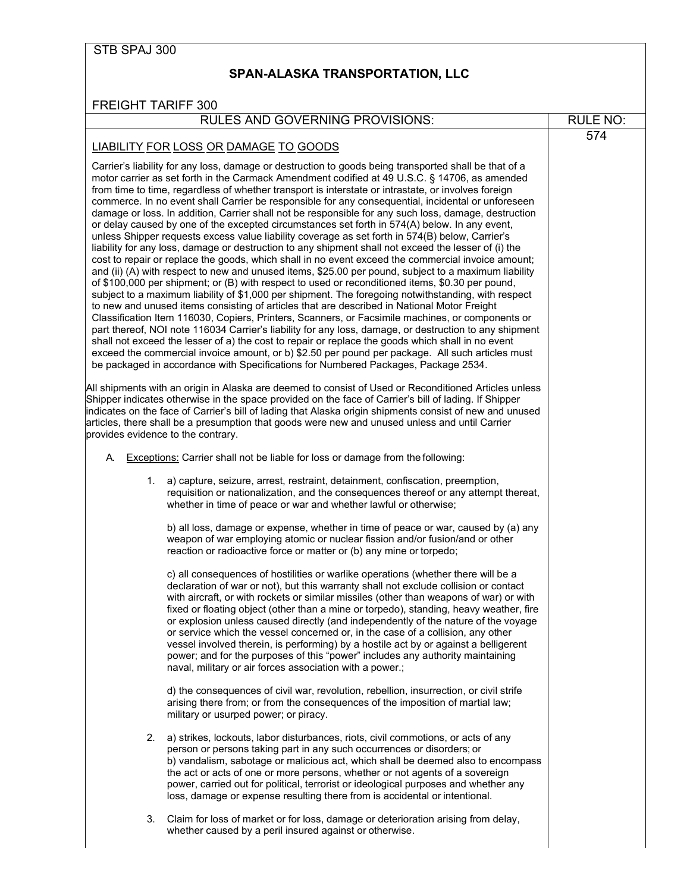#### <span id="page-19-0"></span>**SPAN-ALASKA TRANSPORTATION, LLC**

#### RULES AND GOVERNING PROVISIONS: RULE NO:

574

#### LIABILITY FOR LOSS OR DAMAGE TO GOODS

Carrier's liability for any loss, damage or destruction to goods being transported shall be that of a motor carrier as set forth in the Carmack Amendment codified at 49 U.S.C. § 14706, as amended from time to time, regardless of whether transport is interstate or intrastate, or involves foreign commerce. In no event shall Carrier be responsible for any consequential, incidental or unforeseen damage or loss. In addition, Carrier shall not be responsible for any such loss, damage, destruction or delay caused by one of the excepted circumstances set forth in 574(A) below. In any event, unless Shipper requests excess value liability coverage as set forth in 574(B) below, Carrier's liability for any loss, damage or destruction to any shipment shall not exceed the lesser of (i) the cost to repair or replace the goods, which shall in no event exceed the commercial invoice amount; and (ii) (A) with respect to new and unused items, \$25.00 per pound, subject to a maximum liability of \$100,000 per shipment; or (B) with respect to used or reconditioned items, \$0.30 per pound, subject to a maximum liability of \$1,000 per shipment. The foregoing notwithstanding, with respect to new and unused items consisting of articles that are described in National Motor Freight Classification Item 116030, Copiers, Printers, Scanners, or Facsimile machines, or components or part thereof, NOI note 116034 Carrier's liability for any loss, damage, or destruction to any shipment shall not exceed the lesser of a) the cost to repair or replace the goods which shall in no event exceed the commercial invoice amount, or b) \$2.50 per pound per package. All such articles must be packaged in accordance with Specifications for Numbered Packages, Package 2534.

All shipments with an origin in Alaska are deemed to consist of Used or Reconditioned Articles unless Shipper indicates otherwise in the space provided on the face of Carrier's bill of lading. If Shipper indicates on the face of Carrier's bill of lading that Alaska origin shipments consist of new and unused articles, there shall be a presumption that goods were new and unused unless and until Carrier provides evidence to the contrary.

- A. Exceptions: Carrier shall not be liable for loss or damage from the following:
	- 1. a) capture, seizure, arrest, restraint, detainment, confiscation, preemption, requisition or nationalization, and the consequences thereof or any attempt thereat, whether in time of peace or war and whether lawful or otherwise;

b) all loss, damage or expense, whether in time of peace or war, caused by (a) any weapon of war employing atomic or nuclear fission and/or fusion/and or other reaction or radioactive force or matter or (b) any mine or torpedo;

c) all consequences of hostilities or warlike operations (whether there will be a declaration of war or not), but this warranty shall not exclude collision or contact with aircraft, or with rockets or similar missiles (other than weapons of war) or with fixed or floating object (other than a mine or torpedo), standing, heavy weather, fire or explosion unless caused directly (and independently of the nature of the voyage or service which the vessel concerned or, in the case of a collision, any other vessel involved therein, is performing) by a hostile act by or against a belligerent power; and for the purposes of this "power" includes any authority maintaining naval, military or air forces association with a power.;

d) the consequences of civil war, revolution, rebellion, insurrection, or civil strife arising there from; or from the consequences of the imposition of martial law; military or usurped power; or piracy.

- 2. a) strikes, lockouts, labor disturbances, riots, civil commotions, or acts of any person or persons taking part in any such occurrences or disorders; or b) vandalism, sabotage or malicious act, which shall be deemed also to encompass the act or acts of one or more persons, whether or not agents of a sovereign power, carried out for political, terrorist or ideological purposes and whether any loss, damage or expense resulting there from is accidental or intentional.
- 3. Claim for loss of market or for loss, damage or deterioration arising from delay, whether caused by a peril insured against or otherwise.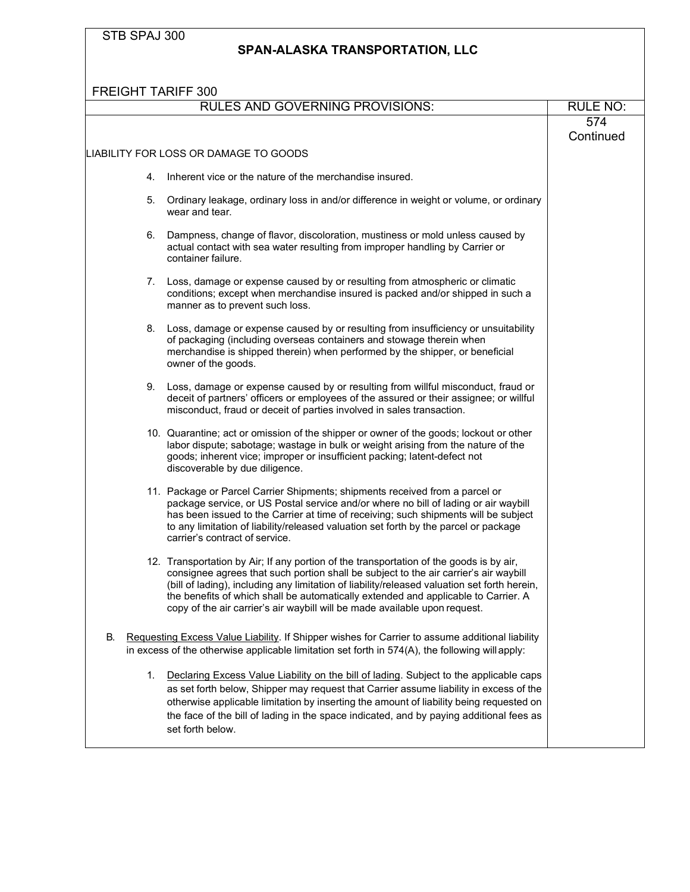#### **SPAN-ALASKA TRANSPORTATION, LLC**

FREIGHT TARIFF 300 RULES AND GOVERNING PROVISIONS: RULE NO: LIABILITY FOR LOSS OR DAMAGE TO GOODS 4. Inherent vice or the nature of the merchandise insured. 5. Ordinary leakage, ordinary loss in and/or difference in weight or volume, or ordinary wear and tear. 6. Dampness, change of flavor, discoloration, mustiness or mold unless caused by actual contact with sea water resulting from improper handling by Carrier or container failure. 7. Loss, damage or expense caused by or resulting from atmospheric or climatic conditions; except when merchandise insured is packed and/or shipped in such a manner as to prevent such loss. 8. Loss, damage or expense caused by or resulting from insufficiency or unsuitability of packaging (including overseas containers and stowage therein when merchandise is shipped therein) when performed by the shipper, or beneficial owner of the goods. 9. Loss, damage or expense caused by or resulting from willful misconduct, fraud or deceit of partners' officers or employees of the assured or their assignee; or willful misconduct, fraud or deceit of parties involved in sales transaction. 10. Quarantine; act or omission of the shipper or owner of the goods; lockout or other labor dispute; sabotage; wastage in bulk or weight arising from the nature of the goods; inherent vice; improper or insufficient packing; latent-defect not discoverable by due diligence. 11. Package or Parcel Carrier Shipments; shipments received from a parcel or package service, or US Postal service and/or where no bill of lading or air waybill has been issued to the Carrier at time of receiving; such shipments will be subject to any limitation of liability/released valuation set forth by the parcel or package carrier's contract of service. 12. Transportation by Air; If any portion of the transportation of the goods is by air, consignee agrees that such portion shall be subject to the air carrier's air waybill (bill of lading), including any limitation of liability/released valuation set forth herein, the benefits of which shall be automatically extended and applicable to Carrier. A copy of the air carrier's air waybill will be made available upon request. 574 **Continued** B. Requesting Excess Value Liability. If Shipper wishes for Carrier to assume additional liability in excess of the otherwise applicable limitation set forth in 574(A), the following willapply: 1. Declaring Excess Value Liability on the bill of lading. Subject to the applicable caps as set forth below, Shipper may request that Carrier assume liability in excess of the otherwise applicable limitation by inserting the amount of liability being requested on the face of the bill of lading in the space indicated, and by paying additional fees as set forth below.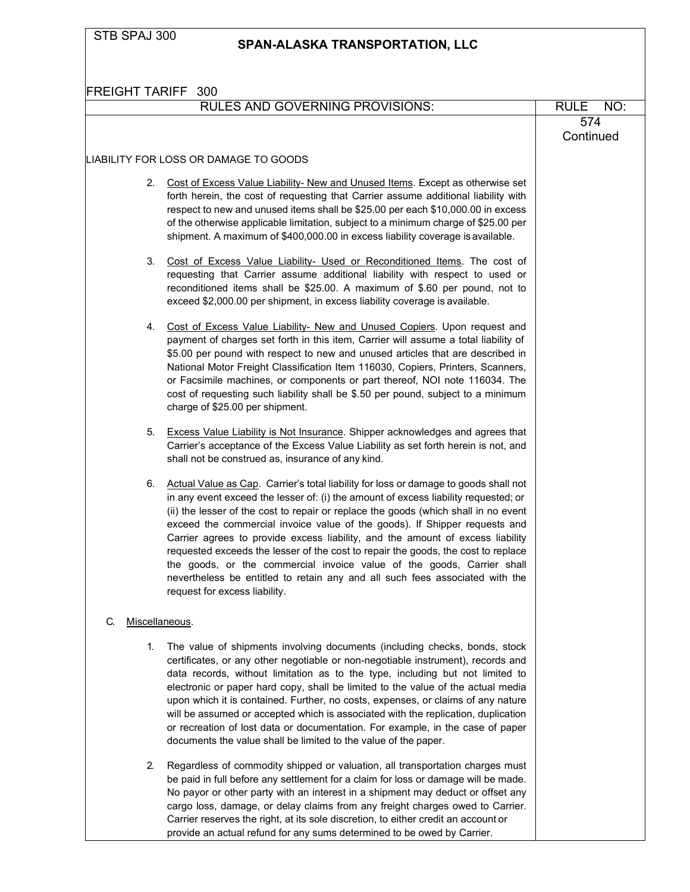### **SPAN-ALASKA TRANSPORTATION, LLC**

| FREIGHT TARIFF 300                                                                                                                                                                                                                                                                                                                                                                                                                                                                                                                                                                                                                                                                                                       |                    |
|--------------------------------------------------------------------------------------------------------------------------------------------------------------------------------------------------------------------------------------------------------------------------------------------------------------------------------------------------------------------------------------------------------------------------------------------------------------------------------------------------------------------------------------------------------------------------------------------------------------------------------------------------------------------------------------------------------------------------|--------------------|
| <b>RULES AND GOVERNING PROVISIONS:</b>                                                                                                                                                                                                                                                                                                                                                                                                                                                                                                                                                                                                                                                                                   | <b>RULE</b><br>NO: |
|                                                                                                                                                                                                                                                                                                                                                                                                                                                                                                                                                                                                                                                                                                                          | 574<br>Continued   |
| LIABILITY FOR LOSS OR DAMAGE TO GOODS                                                                                                                                                                                                                                                                                                                                                                                                                                                                                                                                                                                                                                                                                    |                    |
| Cost of Excess Value Liability- New and Unused Items. Except as otherwise set<br>2.<br>forth herein, the cost of requesting that Carrier assume additional liability with<br>respect to new and unused items shall be \$25.00 per each \$10,000.00 in excess<br>of the otherwise applicable limitation, subject to a minimum charge of \$25.00 per<br>shipment. A maximum of \$400,000.00 in excess liability coverage is available.                                                                                                                                                                                                                                                                                     |                    |
| Cost of Excess Value Liability- Used or Reconditioned Items. The cost of<br>3.<br>requesting that Carrier assume additional liability with respect to used or<br>reconditioned items shall be \$25.00. A maximum of \$.60 per pound, not to<br>exceed \$2,000.00 per shipment, in excess liability coverage is available.                                                                                                                                                                                                                                                                                                                                                                                                |                    |
| 4. Cost of Excess Value Liability- New and Unused Copiers. Upon request and<br>payment of charges set forth in this item, Carrier will assume a total liability of<br>\$5.00 per pound with respect to new and unused articles that are described in<br>National Motor Freight Classification Item 116030, Copiers, Printers, Scanners,<br>or Facsimile machines, or components or part thereof, NOI note 116034. The<br>cost of requesting such liability shall be \$.50 per pound, subject to a minimum<br>charge of \$25.00 per shipment.                                                                                                                                                                             |                    |
| <b>Excess Value Liability is Not Insurance</b> . Shipper acknowledges and agrees that<br>5.<br>Carrier's acceptance of the Excess Value Liability as set forth herein is not, and<br>shall not be construed as, insurance of any kind.                                                                                                                                                                                                                                                                                                                                                                                                                                                                                   |                    |
| Actual Value as Cap. Carrier's total liability for loss or damage to goods shall not<br>6.<br>in any event exceed the lesser of: (i) the amount of excess liability requested; or<br>(ii) the lesser of the cost to repair or replace the goods (which shall in no event<br>exceed the commercial invoice value of the goods). If Shipper requests and<br>Carrier agrees to provide excess liability, and the amount of excess liability<br>requested exceeds the lesser of the cost to repair the goods, the cost to replace<br>the goods, or the commercial invoice value of the goods, Carrier shall<br>nevertheless be entitled to retain any and all such fees associated with the<br>request for excess liability. |                    |
| C.<br>Miscellaneous.                                                                                                                                                                                                                                                                                                                                                                                                                                                                                                                                                                                                                                                                                                     |                    |
| The value of shipments involving documents (including checks, bonds, stock<br>1.<br>certificates, or any other negotiable or non-negotiable instrument), records and<br>data records, without limitation as to the type, including but not limited to<br>electronic or paper hard copy, shall be limited to the value of the actual media<br>upon which it is contained. Further, no costs, expenses, or claims of any nature<br>will be assumed or accepted which is associated with the replication, duplication<br>or recreation of lost data or documentation. For example, in the case of paper<br>documents the value shall be limited to the value of the paper.                                                  |                    |
| 2.<br>Regardless of commodity shipped or valuation, all transportation charges must<br>be paid in full before any settlement for a claim for loss or damage will be made.<br>No payor or other party with an interest in a shipment may deduct or offset any<br>cargo loss, damage, or delay claims from any freight charges owed to Carrier.<br>Carrier reserves the right, at its sole discretion, to either credit an account or<br>provide an actual refund for any sums determined to be owed by Carrier.                                                                                                                                                                                                           |                    |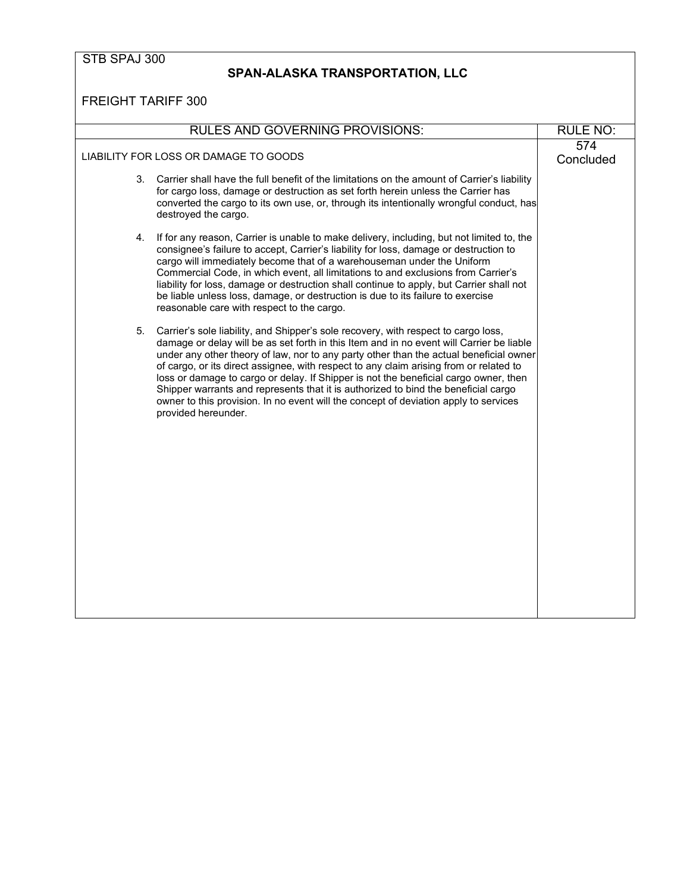### **SPAN-ALASKA TRANSPORTATION, LLC**

|                                       | <b>RULES AND GOVERNING PROVISIONS:</b>                                                                                                                                                                                                                                                                                                                                                                                                                                                                                                                                                                                                                          | <b>RULE NO:</b>  |
|---------------------------------------|-----------------------------------------------------------------------------------------------------------------------------------------------------------------------------------------------------------------------------------------------------------------------------------------------------------------------------------------------------------------------------------------------------------------------------------------------------------------------------------------------------------------------------------------------------------------------------------------------------------------------------------------------------------------|------------------|
| LIABILITY FOR LOSS OR DAMAGE TO GOODS |                                                                                                                                                                                                                                                                                                                                                                                                                                                                                                                                                                                                                                                                 | 574<br>Concluded |
| 3.                                    | Carrier shall have the full benefit of the limitations on the amount of Carrier's liability<br>for cargo loss, damage or destruction as set forth herein unless the Carrier has<br>converted the cargo to its own use, or, through its intentionally wrongful conduct, has<br>destroyed the cargo.                                                                                                                                                                                                                                                                                                                                                              |                  |
| 4.                                    | If for any reason, Carrier is unable to make delivery, including, but not limited to, the<br>consignee's failure to accept, Carrier's liability for loss, damage or destruction to<br>cargo will immediately become that of a warehouseman under the Uniform<br>Commercial Code, in which event, all limitations to and exclusions from Carrier's<br>liability for loss, damage or destruction shall continue to apply, but Carrier shall not<br>be liable unless loss, damage, or destruction is due to its failure to exercise<br>reasonable care with respect to the cargo.                                                                                  |                  |
| 5.                                    | Carrier's sole liability, and Shipper's sole recovery, with respect to cargo loss,<br>damage or delay will be as set forth in this Item and in no event will Carrier be liable<br>under any other theory of law, nor to any party other than the actual beneficial owner<br>of cargo, or its direct assignee, with respect to any claim arising from or related to<br>loss or damage to cargo or delay. If Shipper is not the beneficial cargo owner, then<br>Shipper warrants and represents that it is authorized to bind the beneficial cargo<br>owner to this provision. In no event will the concept of deviation apply to services<br>provided hereunder. |                  |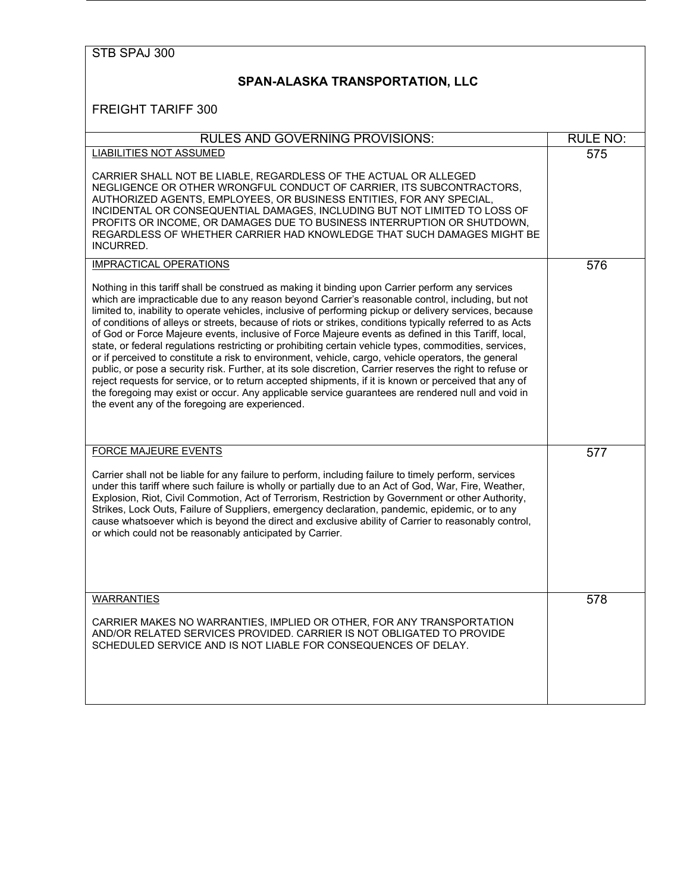# **SPAN-ALASKA TRANSPORTATION, LLC**

| <b>RULES AND GOVERNING PROVISIONS:</b>                                                                                                                                                                                                                                                                                                                                                                                                                                                                                                                                                                                                                                                                                                                                                                                                                                                                                                                                                                                                                                                                                              | <b>RULE NO:</b> |
|-------------------------------------------------------------------------------------------------------------------------------------------------------------------------------------------------------------------------------------------------------------------------------------------------------------------------------------------------------------------------------------------------------------------------------------------------------------------------------------------------------------------------------------------------------------------------------------------------------------------------------------------------------------------------------------------------------------------------------------------------------------------------------------------------------------------------------------------------------------------------------------------------------------------------------------------------------------------------------------------------------------------------------------------------------------------------------------------------------------------------------------|-----------------|
| <b>LIABILITIES NOT ASSUMED</b>                                                                                                                                                                                                                                                                                                                                                                                                                                                                                                                                                                                                                                                                                                                                                                                                                                                                                                                                                                                                                                                                                                      | 575             |
| CARRIER SHALL NOT BE LIABLE, REGARDLESS OF THE ACTUAL OR ALLEGED<br>NEGLIGENCE OR OTHER WRONGFUL CONDUCT OF CARRIER, ITS SUBCONTRACTORS,<br>AUTHORIZED AGENTS, EMPLOYEES, OR BUSINESS ENTITIES, FOR ANY SPECIAL,<br>INCIDENTAL OR CONSEQUENTIAL DAMAGES, INCLUDING BUT NOT LIMITED TO LOSS OF<br>PROFITS OR INCOME, OR DAMAGES DUE TO BUSINESS INTERRUPTION OR SHUTDOWN,<br>REGARDLESS OF WHETHER CARRIER HAD KNOWLEDGE THAT SUCH DAMAGES MIGHT BE<br><b>INCURRED.</b>                                                                                                                                                                                                                                                                                                                                                                                                                                                                                                                                                                                                                                                              |                 |
| <b>IMPRACTICAL OPERATIONS</b>                                                                                                                                                                                                                                                                                                                                                                                                                                                                                                                                                                                                                                                                                                                                                                                                                                                                                                                                                                                                                                                                                                       | 576             |
| Nothing in this tariff shall be construed as making it binding upon Carrier perform any services<br>which are impracticable due to any reason beyond Carrier's reasonable control, including, but not<br>limited to, inability to operate vehicles, inclusive of performing pickup or delivery services, because<br>of conditions of alleys or streets, because of riots or strikes, conditions typically referred to as Acts<br>of God or Force Majeure events, inclusive of Force Majeure events as defined in this Tariff, local,<br>state, or federal regulations restricting or prohibiting certain vehicle types, commodities, services,<br>or if perceived to constitute a risk to environment, vehicle, cargo, vehicle operators, the general<br>public, or pose a security risk. Further, at its sole discretion, Carrier reserves the right to refuse or<br>reject requests for service, or to return accepted shipments, if it is known or perceived that any of<br>the foregoing may exist or occur. Any applicable service guarantees are rendered null and void in<br>the event any of the foregoing are experienced. |                 |
| <b>FORCE MAJEURE EVENTS</b>                                                                                                                                                                                                                                                                                                                                                                                                                                                                                                                                                                                                                                                                                                                                                                                                                                                                                                                                                                                                                                                                                                         | 577             |
| Carrier shall not be liable for any failure to perform, including failure to timely perform, services<br>under this tariff where such failure is wholly or partially due to an Act of God, War, Fire, Weather,<br>Explosion, Riot, Civil Commotion, Act of Terrorism, Restriction by Government or other Authority,<br>Strikes, Lock Outs, Failure of Suppliers, emergency declaration, pandemic, epidemic, or to any<br>cause whatsoever which is beyond the direct and exclusive ability of Carrier to reasonably control,<br>or which could not be reasonably anticipated by Carrier.                                                                                                                                                                                                                                                                                                                                                                                                                                                                                                                                            |                 |
| <b>WARRANTIES</b>                                                                                                                                                                                                                                                                                                                                                                                                                                                                                                                                                                                                                                                                                                                                                                                                                                                                                                                                                                                                                                                                                                                   | 578             |
| CARRIER MAKES NO WARRANTIES, IMPLIED OR OTHER, FOR ANY TRANSPORTATION<br>AND/OR RELATED SERVICES PROVIDED. CARRIER IS NOT OBLIGATED TO PROVIDE<br>SCHEDULED SERVICE AND IS NOT LIABLE FOR CONSEQUENCES OF DELAY.                                                                                                                                                                                                                                                                                                                                                                                                                                                                                                                                                                                                                                                                                                                                                                                                                                                                                                                    |                 |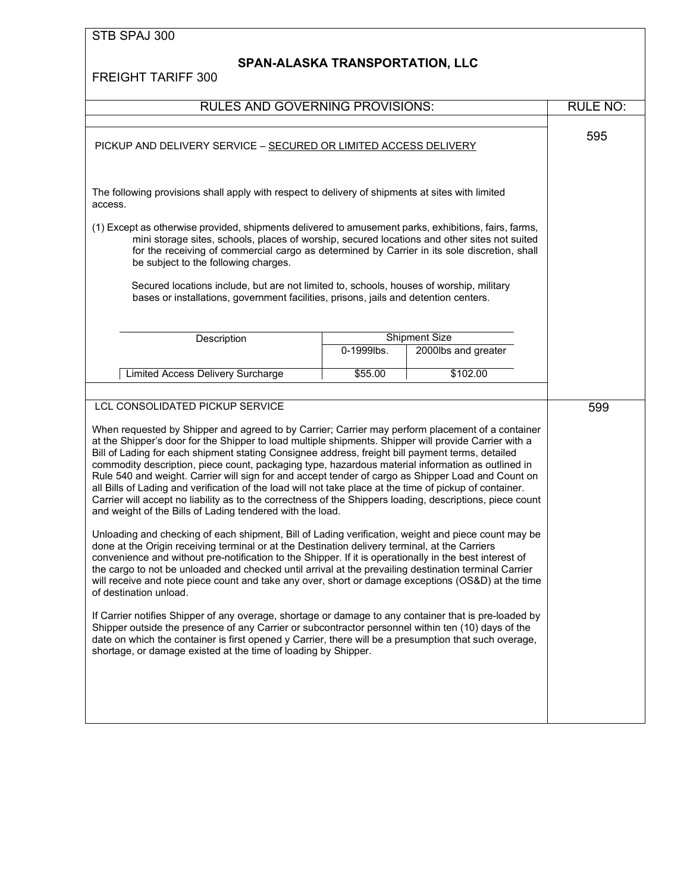# **SPAN-ALASKA TRANSPORTATION, LLC**

| RULES AND GOVERNING PROVISIONS:                                                                                                                                                                                                                                                                                                                                                                                                                                                                                                                                                                                                                                                                                                                                                                                |            |                      | <b>RULE NO:</b> |
|----------------------------------------------------------------------------------------------------------------------------------------------------------------------------------------------------------------------------------------------------------------------------------------------------------------------------------------------------------------------------------------------------------------------------------------------------------------------------------------------------------------------------------------------------------------------------------------------------------------------------------------------------------------------------------------------------------------------------------------------------------------------------------------------------------------|------------|----------------------|-----------------|
| PICKUP AND DELIVERY SERVICE - SECURED OR LIMITED ACCESS DELIVERY                                                                                                                                                                                                                                                                                                                                                                                                                                                                                                                                                                                                                                                                                                                                               |            | 595                  |                 |
| The following provisions shall apply with respect to delivery of shipments at sites with limited<br>access.                                                                                                                                                                                                                                                                                                                                                                                                                                                                                                                                                                                                                                                                                                    |            |                      |                 |
| (1) Except as otherwise provided, shipments delivered to amusement parks, exhibitions, fairs, farms,<br>mini storage sites, schools, places of worship, secured locations and other sites not suited<br>for the receiving of commercial cargo as determined by Carrier in its sole discretion, shall<br>be subject to the following charges.                                                                                                                                                                                                                                                                                                                                                                                                                                                                   |            |                      |                 |
| Secured locations include, but are not limited to, schools, houses of worship, military<br>bases or installations, government facilities, prisons, jails and detention centers.                                                                                                                                                                                                                                                                                                                                                                                                                                                                                                                                                                                                                                |            |                      |                 |
| Description                                                                                                                                                                                                                                                                                                                                                                                                                                                                                                                                                                                                                                                                                                                                                                                                    |            | <b>Shipment Size</b> |                 |
|                                                                                                                                                                                                                                                                                                                                                                                                                                                                                                                                                                                                                                                                                                                                                                                                                | 0-1999lbs. | 2000lbs and greater  |                 |
| Limited Access Delivery Surcharge                                                                                                                                                                                                                                                                                                                                                                                                                                                                                                                                                                                                                                                                                                                                                                              | \$55.00    | \$102.00             |                 |
|                                                                                                                                                                                                                                                                                                                                                                                                                                                                                                                                                                                                                                                                                                                                                                                                                |            |                      |                 |
| LCL CONSOLIDATED PICKUP SERVICE                                                                                                                                                                                                                                                                                                                                                                                                                                                                                                                                                                                                                                                                                                                                                                                |            |                      | 599             |
| When requested by Shipper and agreed to by Carrier; Carrier may perform placement of a container<br>at the Shipper's door for the Shipper to load multiple shipments. Shipper will provide Carrier with a<br>Bill of Lading for each shipment stating Consignee address, freight bill payment terms, detailed<br>commodity description, piece count, packaging type, hazardous material information as outlined in<br>Rule 540 and weight. Carrier will sign for and accept tender of cargo as Shipper Load and Count on<br>all Bills of Lading and verification of the load will not take place at the time of pickup of container.<br>Carrier will accept no liability as to the correctness of the Shippers loading, descriptions, piece count<br>and weight of the Bills of Lading tendered with the load. |            |                      |                 |
| Unloading and checking of each shipment, Bill of Lading verification, weight and piece count may be<br>done at the Origin receiving terminal or at the Destination delivery terminal, at the Carriers<br>convenience and without pre-notification to the Shipper. If it is operationally in the best interest of<br>the cargo to not be unloaded and checked until arrival at the prevailing destination terminal Carrier<br>will receive and note piece count and take any over, short or damage exceptions (OS&D) at the time<br>of destination unload.                                                                                                                                                                                                                                                      |            |                      |                 |
| If Carrier notifies Shipper of any overage, shortage or damage to any container that is pre-loaded by<br>Shipper outside the presence of any Carrier or subcontractor personnel within ten (10) days of the<br>date on which the container is first opened y Carrier, there will be a presumption that such overage,<br>shortage, or damage existed at the time of loading by Shipper.                                                                                                                                                                                                                                                                                                                                                                                                                         |            |                      |                 |
|                                                                                                                                                                                                                                                                                                                                                                                                                                                                                                                                                                                                                                                                                                                                                                                                                |            |                      |                 |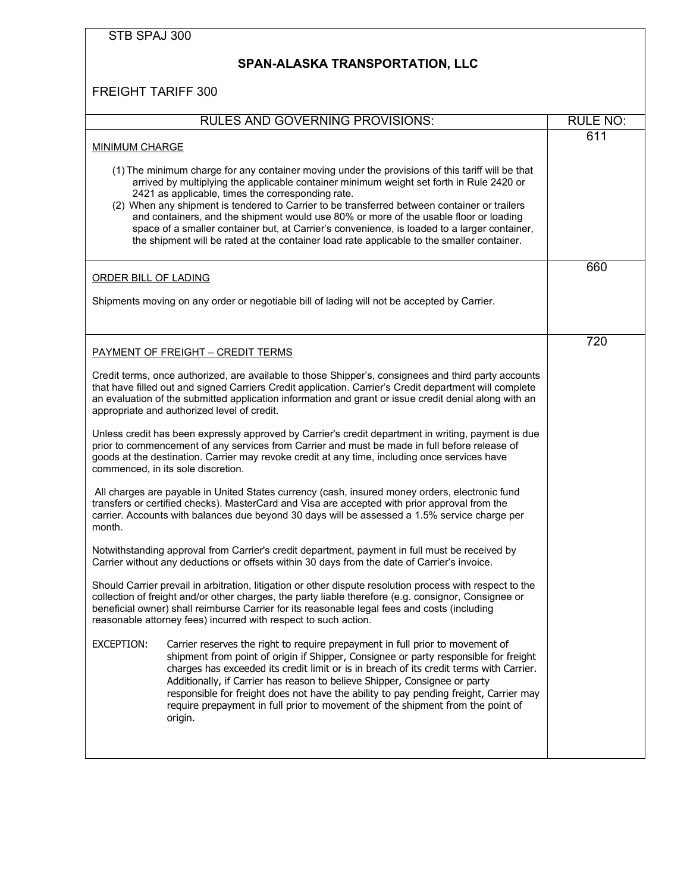| STB SPAJ 300                                                                                                                                                                                                                                                                                                                                                                                                                                                                                                                                                                                                                             |                 |
|------------------------------------------------------------------------------------------------------------------------------------------------------------------------------------------------------------------------------------------------------------------------------------------------------------------------------------------------------------------------------------------------------------------------------------------------------------------------------------------------------------------------------------------------------------------------------------------------------------------------------------------|-----------------|
| SPAN-ALASKA TRANSPORTATION, LLC                                                                                                                                                                                                                                                                                                                                                                                                                                                                                                                                                                                                          |                 |
| <b>FREIGHT TARIFF 300</b>                                                                                                                                                                                                                                                                                                                                                                                                                                                                                                                                                                                                                |                 |
| <b>RULES AND GOVERNING PROVISIONS:</b>                                                                                                                                                                                                                                                                                                                                                                                                                                                                                                                                                                                                   | <b>RULE NO:</b> |
| <b>MINIMUM CHARGE</b>                                                                                                                                                                                                                                                                                                                                                                                                                                                                                                                                                                                                                    | 611             |
| (1) The minimum charge for any container moving under the provisions of this tariff will be that<br>arrived by multiplying the applicable container minimum weight set forth in Rule 2420 or<br>2421 as applicable, times the corresponding rate.<br>(2) When any shipment is tendered to Carrier to be transferred between container or trailers<br>and containers, and the shipment would use 80% or more of the usable floor or loading<br>space of a smaller container but, at Carrier's convenience, is loaded to a larger container,<br>the shipment will be rated at the container load rate applicable to the smaller container. |                 |
| ORDER BILL OF LADING                                                                                                                                                                                                                                                                                                                                                                                                                                                                                                                                                                                                                     | 660             |
| Shipments moving on any order or negotiable bill of lading will not be accepted by Carrier.                                                                                                                                                                                                                                                                                                                                                                                                                                                                                                                                              |                 |
| <b>PAYMENT OF FREIGHT - CREDIT TERMS</b>                                                                                                                                                                                                                                                                                                                                                                                                                                                                                                                                                                                                 | 720             |
| Credit terms, once authorized, are available to those Shipper's, consignees and third party accounts<br>that have filled out and signed Carriers Credit application. Carrier's Credit department will complete<br>an evaluation of the submitted application information and grant or issue credit denial along with an<br>appropriate and authorized level of credit.                                                                                                                                                                                                                                                                   |                 |
| Unless credit has been expressly approved by Carrier's credit department in writing, payment is due<br>prior to commencement of any services from Carrier and must be made in full before release of<br>goods at the destination. Carrier may revoke credit at any time, including once services have<br>commenced, in its sole discretion.                                                                                                                                                                                                                                                                                              |                 |
| All charges are payable in United States currency (cash, insured money orders, electronic fund<br>transfers or certified checks). MasterCard and Visa are accepted with prior approval from the<br>carrier. Accounts with balances due beyond 30 days will be assessed a 1.5% service charge per<br>month.                                                                                                                                                                                                                                                                                                                               |                 |
| Notwithstanding approval from Carrier's credit department, payment in full must be received by<br>Carrier without any deductions or offsets within 30 days from the date of Carrier's invoice.                                                                                                                                                                                                                                                                                                                                                                                                                                           |                 |
| Should Carrier prevail in arbitration, litigation or other dispute resolution process with respect to the<br>collection of freight and/or other charges, the party liable therefore (e.g. consignor, Consignee or<br>beneficial owner) shall reimburse Carrier for its reasonable legal fees and costs (including<br>reasonable attorney fees) incurred with respect to such action.                                                                                                                                                                                                                                                     |                 |
| EXCEPTION:<br>Carrier reserves the right to require prepayment in full prior to movement of<br>shipment from point of origin if Shipper, Consignee or party responsible for freight<br>charges has exceeded its credit limit or is in breach of its credit terms with Carrier.<br>Additionally, if Carrier has reason to believe Shipper, Consignee or party<br>responsible for freight does not have the ability to pay pending freight, Carrier may<br>require prepayment in full prior to movement of the shipment from the point of<br>origin.                                                                                       |                 |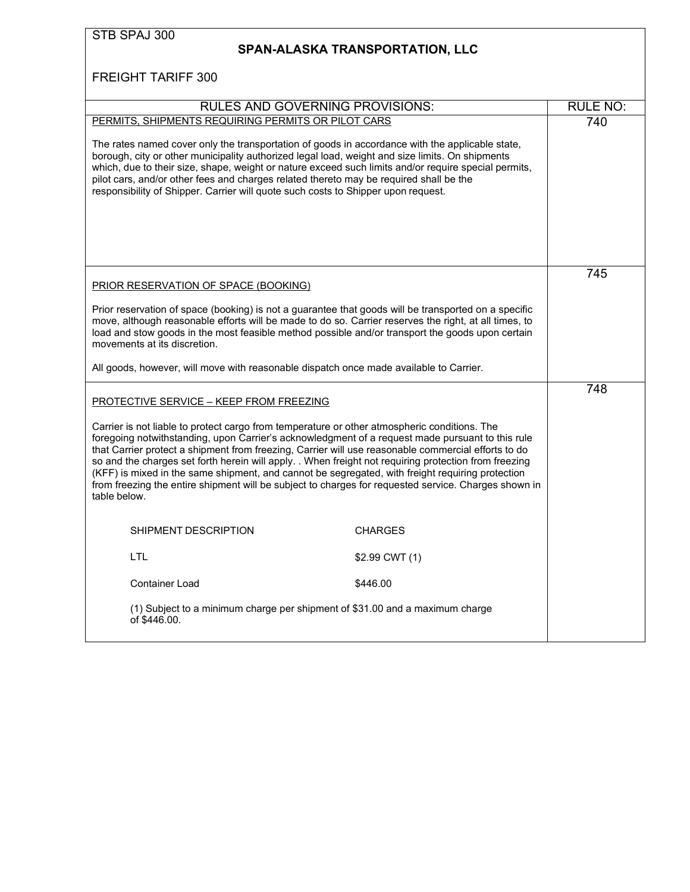| STB SPAJ 300 |  |
|--------------|--|
|              |  |

#### **SPAN-ALASKA TRANSPORTATION, LLC**

| <b>RULES AND GOVERNING PROVISIONS:</b>                                                                                                                                                                                                                                                                                                                                                                                                                                                                                                                                                                                                       |                | <b>RULE NO:</b> |
|----------------------------------------------------------------------------------------------------------------------------------------------------------------------------------------------------------------------------------------------------------------------------------------------------------------------------------------------------------------------------------------------------------------------------------------------------------------------------------------------------------------------------------------------------------------------------------------------------------------------------------------------|----------------|-----------------|
| PERMITS, SHIPMENTS REQUIRING PERMITS OR PILOT CARS                                                                                                                                                                                                                                                                                                                                                                                                                                                                                                                                                                                           |                | 740             |
| The rates named cover only the transportation of goods in accordance with the applicable state,<br>borough, city or other municipality authorized legal load, weight and size limits. On shipments<br>which, due to their size, shape, weight or nature exceed such limits and/or require special permits,<br>pilot cars, and/or other fees and charges related thereto may be required shall be the<br>responsibility of Shipper. Carrier will quote such costs to Shipper upon request.                                                                                                                                                    |                |                 |
| PRIOR RESERVATION OF SPACE (BOOKING)                                                                                                                                                                                                                                                                                                                                                                                                                                                                                                                                                                                                         |                | 745             |
| Prior reservation of space (booking) is not a guarantee that goods will be transported on a specific<br>move, although reasonable efforts will be made to do so. Carrier reserves the right, at all times, to<br>load and stow goods in the most feasible method possible and/or transport the goods upon certain<br>movements at its discretion.                                                                                                                                                                                                                                                                                            |                |                 |
| All goods, however, will move with reasonable dispatch once made available to Carrier.                                                                                                                                                                                                                                                                                                                                                                                                                                                                                                                                                       |                |                 |
| <b>PROTECTIVE SERVICE - KEEP FROM FREEZING</b>                                                                                                                                                                                                                                                                                                                                                                                                                                                                                                                                                                                               |                | 748             |
| Carrier is not liable to protect cargo from temperature or other atmospheric conditions. The<br>foregoing notwithstanding, upon Carrier's acknowledgment of a request made pursuant to this rule<br>that Carrier protect a shipment from freezing, Carrier will use reasonable commercial efforts to do<br>so and the charges set forth herein will apply. . When freight not requiring protection from freezing<br>(KFF) is mixed in the same shipment, and cannot be segregated, with freight requiring protection<br>from freezing the entire shipment will be subject to charges for requested service. Charges shown in<br>table below. |                |                 |
| SHIPMENT DESCRIPTION                                                                                                                                                                                                                                                                                                                                                                                                                                                                                                                                                                                                                         | <b>CHARGES</b> |                 |
| LTL                                                                                                                                                                                                                                                                                                                                                                                                                                                                                                                                                                                                                                          | \$2.99 CWT (1) |                 |
| <b>Container Load</b>                                                                                                                                                                                                                                                                                                                                                                                                                                                                                                                                                                                                                        | \$446.00       |                 |
| (1) Subject to a minimum charge per shipment of \$31.00 and a maximum charge<br>of \$446.00.                                                                                                                                                                                                                                                                                                                                                                                                                                                                                                                                                 |                |                 |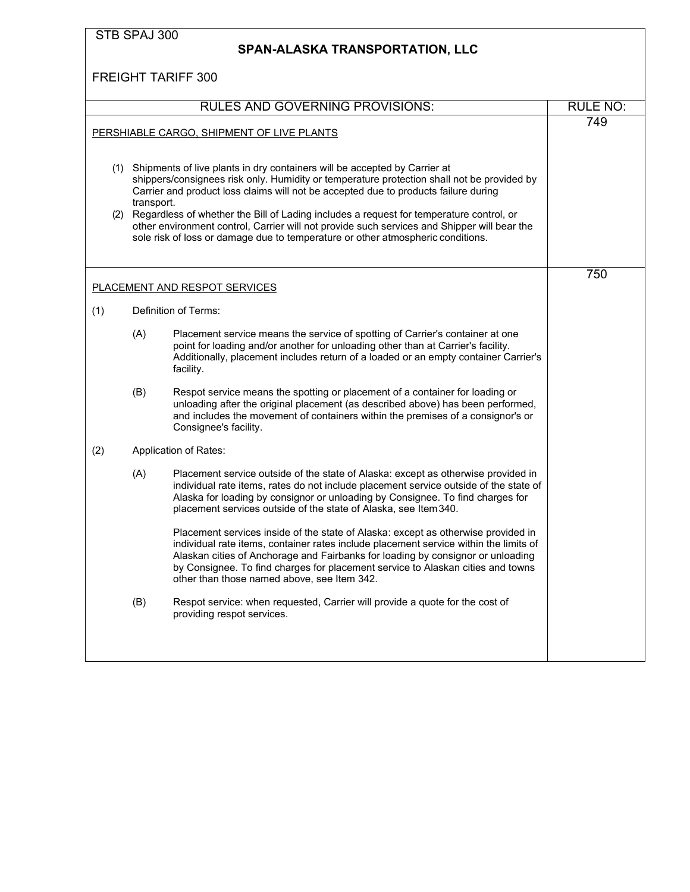|     | STB SPAJ 300 |                                                                                                                                                                                                                                                                                                                                                                                                                                                                                                                                                     |                 |
|-----|--------------|-----------------------------------------------------------------------------------------------------------------------------------------------------------------------------------------------------------------------------------------------------------------------------------------------------------------------------------------------------------------------------------------------------------------------------------------------------------------------------------------------------------------------------------------------------|-----------------|
|     |              | <b>SPAN-ALASKA TRANSPORTATION, LLC</b>                                                                                                                                                                                                                                                                                                                                                                                                                                                                                                              |                 |
|     |              | <b>FREIGHT TARIFF 300</b>                                                                                                                                                                                                                                                                                                                                                                                                                                                                                                                           |                 |
|     |              | <b>RULES AND GOVERNING PROVISIONS:</b>                                                                                                                                                                                                                                                                                                                                                                                                                                                                                                              | <b>RULE NO:</b> |
|     |              | PERSHIABLE CARGO, SHIPMENT OF LIVE PLANTS                                                                                                                                                                                                                                                                                                                                                                                                                                                                                                           | 749             |
|     | transport.   | (1) Shipments of live plants in dry containers will be accepted by Carrier at<br>shippers/consignees risk only. Humidity or temperature protection shall not be provided by<br>Carrier and product loss claims will not be accepted due to products failure during<br>(2) Regardless of whether the Bill of Lading includes a request for temperature control, or<br>other environment control, Carrier will not provide such services and Shipper will bear the<br>sole risk of loss or damage due to temperature or other atmospheric conditions. |                 |
|     |              | <b>PLACEMENT AND RESPOT SERVICES</b>                                                                                                                                                                                                                                                                                                                                                                                                                                                                                                                | 750             |
| (1) |              | Definition of Terms:                                                                                                                                                                                                                                                                                                                                                                                                                                                                                                                                |                 |
|     | (A)          | Placement service means the service of spotting of Carrier's container at one<br>point for loading and/or another for unloading other than at Carrier's facility.<br>Additionally, placement includes return of a loaded or an empty container Carrier's<br>facility.                                                                                                                                                                                                                                                                               |                 |
|     | (B)          | Respot service means the spotting or placement of a container for loading or<br>unloading after the original placement (as described above) has been performed,<br>and includes the movement of containers within the premises of a consignor's or<br>Consignee's facility.                                                                                                                                                                                                                                                                         |                 |
| (2) |              | Application of Rates:                                                                                                                                                                                                                                                                                                                                                                                                                                                                                                                               |                 |
|     | (A)          | Placement service outside of the state of Alaska: except as otherwise provided in<br>individual rate items, rates do not include placement service outside of the state of<br>Alaska for loading by consignor or unloading by Consignee. To find charges for<br>placement services outside of the state of Alaska, see Item 340.                                                                                                                                                                                                                    |                 |
|     |              | Placement services inside of the state of Alaska: except as otherwise provided in<br>individual rate items, container rates include placement service within the limits of<br>Alaskan cities of Anchorage and Fairbanks for loading by consignor or unloading<br>by Consignee. To find charges for placement service to Alaskan cities and towns<br>other than those named above, see Item 342.                                                                                                                                                     |                 |
|     | (B)          | Respot service: when requested, Carrier will provide a quote for the cost of<br>providing respot services.                                                                                                                                                                                                                                                                                                                                                                                                                                          |                 |
|     |              |                                                                                                                                                                                                                                                                                                                                                                                                                                                                                                                                                     |                 |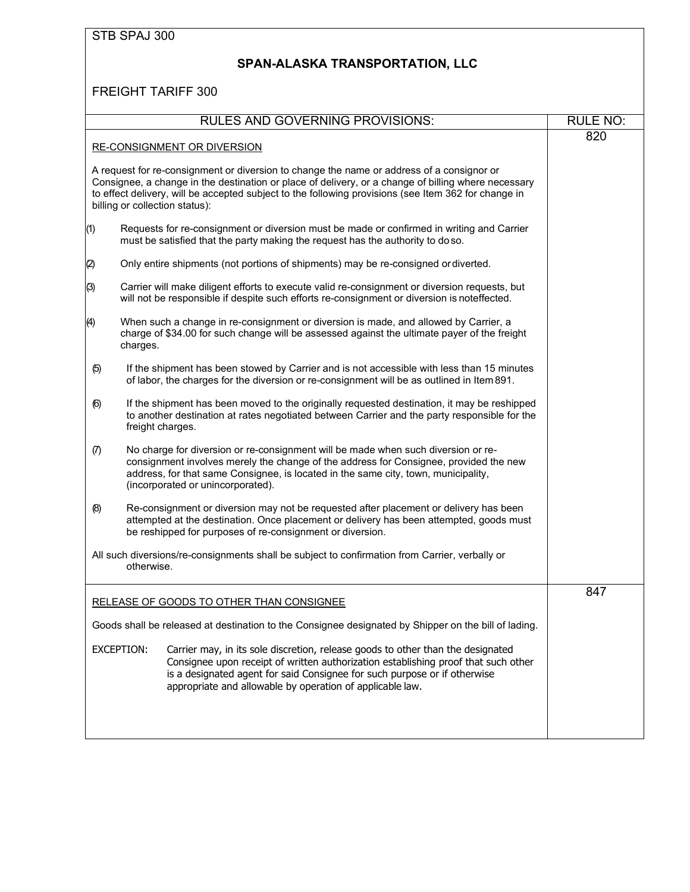# **SPAN-ALASKA TRANSPORTATION, LLC**

|                   | <b>RULES AND GOVERNING PROVISIONS:</b>                                                                                                                                                                                                                                                                                                     | <b>RULE NO:</b> |
|-------------------|--------------------------------------------------------------------------------------------------------------------------------------------------------------------------------------------------------------------------------------------------------------------------------------------------------------------------------------------|-----------------|
|                   |                                                                                                                                                                                                                                                                                                                                            | 820             |
|                   | <b>RE-CONSIGNMENT OR DIVERSION</b>                                                                                                                                                                                                                                                                                                         |                 |
|                   | A request for re-consignment or diversion to change the name or address of a consignor or<br>Consignee, a change in the destination or place of delivery, or a change of billing where necessary<br>to effect delivery, will be accepted subject to the following provisions (see Item 362 for change in<br>billing or collection status): |                 |
| (1)               | Requests for re-consignment or diversion must be made or confirmed in writing and Carrier<br>must be satisfied that the party making the request has the authority to doso.                                                                                                                                                                |                 |
| $\left( 2\right)$ | Only entire shipments (not portions of shipments) may be re-consigned or diverted.                                                                                                                                                                                                                                                         |                 |
| (3)               | Carrier will make diligent efforts to execute valid re-consignment or diversion requests, but<br>will not be responsible if despite such efforts re-consignment or diversion is noteffected.                                                                                                                                               |                 |
| (4)               | When such a change in re-consignment or diversion is made, and allowed by Carrier, a<br>charge of \$34.00 for such change will be assessed against the ultimate payer of the freight<br>charges.                                                                                                                                           |                 |
| (5)               | If the shipment has been stowed by Carrier and is not accessible with less than 15 minutes<br>of labor, the charges for the diversion or re-consignment will be as outlined in Item 891.                                                                                                                                                   |                 |
| (6)               | If the shipment has been moved to the originally requested destination, it may be reshipped<br>to another destination at rates negotiated between Carrier and the party responsible for the<br>freight charges.                                                                                                                            |                 |
| $\sigma$          | No charge for diversion or re-consignment will be made when such diversion or re-<br>consignment involves merely the change of the address for Consignee, provided the new<br>address, for that same Consignee, is located in the same city, town, municipality,<br>(incorporated or unincorporated).                                      |                 |
| (8)               | Re-consignment or diversion may not be requested after placement or delivery has been<br>attempted at the destination. Once placement or delivery has been attempted, goods must<br>be reshipped for purposes of re-consignment or diversion.                                                                                              |                 |
|                   | All such diversions/re-consignments shall be subject to confirmation from Carrier, verbally or<br>otherwise.                                                                                                                                                                                                                               |                 |
|                   | RELEASE OF GOODS TO OTHER THAN CONSIGNEE                                                                                                                                                                                                                                                                                                   | 847             |
|                   | Goods shall be released at destination to the Consignee designated by Shipper on the bill of lading.                                                                                                                                                                                                                                       |                 |
|                   | <b>EXCEPTION:</b><br>Carrier may, in its sole discretion, release goods to other than the designated<br>Consignee upon receipt of written authorization establishing proof that such other<br>is a designated agent for said Consignee for such purpose or if otherwise<br>appropriate and allowable by operation of applicable law.       |                 |
|                   |                                                                                                                                                                                                                                                                                                                                            |                 |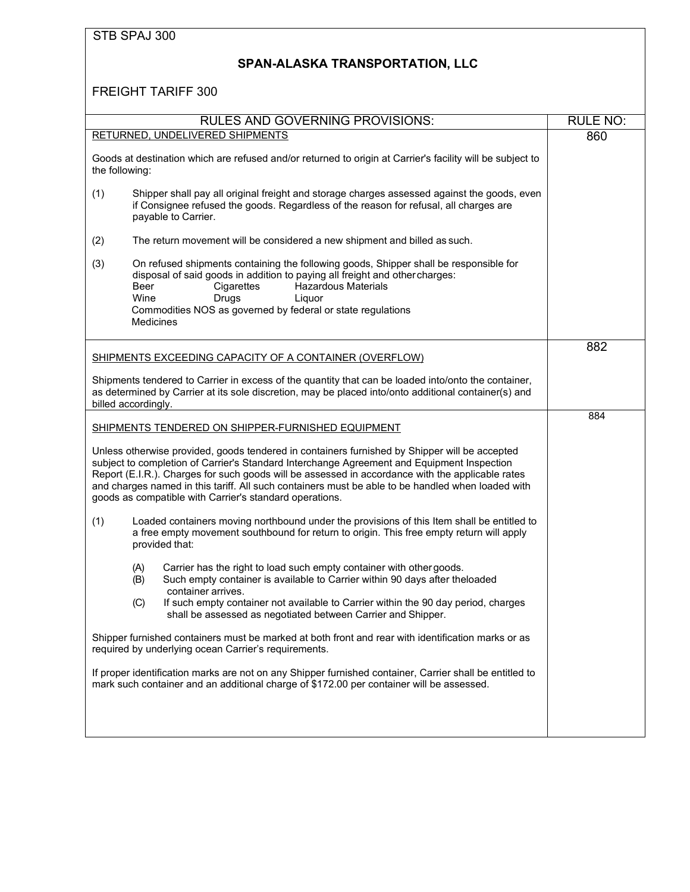| STB SPAJ 300 |  |
|--------------|--|
|              |  |

# **SPAN-ALASKA TRANSPORTATION, LLC**

|                | <b>RULES AND GOVERNING PROVISIONS:</b>                                                                                                                                                                                                                                                                                                                                                                                                                          | <b>RULE NO:</b> |
|----------------|-----------------------------------------------------------------------------------------------------------------------------------------------------------------------------------------------------------------------------------------------------------------------------------------------------------------------------------------------------------------------------------------------------------------------------------------------------------------|-----------------|
|                | RETURNED, UNDELIVERED SHIPMENTS                                                                                                                                                                                                                                                                                                                                                                                                                                 | 860             |
| the following: | Goods at destination which are refused and/or returned to origin at Carrier's facility will be subject to                                                                                                                                                                                                                                                                                                                                                       |                 |
| (1)            | Shipper shall pay all original freight and storage charges assessed against the goods, even<br>if Consignee refused the goods. Regardless of the reason for refusal, all charges are<br>payable to Carrier.                                                                                                                                                                                                                                                     |                 |
| (2)            | The return movement will be considered a new shipment and billed as such.                                                                                                                                                                                                                                                                                                                                                                                       |                 |
| (3)            | On refused shipments containing the following goods, Shipper shall be responsible for<br>disposal of said goods in addition to paying all freight and other charges:<br><b>Hazardous Materials</b><br>Beer<br>Cigarettes<br>Wine<br>Drugs<br>Liquor<br>Commodities NOS as governed by federal or state regulations<br><b>Medicines</b>                                                                                                                          |                 |
|                | SHIPMENTS EXCEEDING CAPACITY OF A CONTAINER (OVERFLOW)                                                                                                                                                                                                                                                                                                                                                                                                          | 882             |
|                | Shipments tendered to Carrier in excess of the quantity that can be loaded into/onto the container,<br>as determined by Carrier at its sole discretion, may be placed into/onto additional container(s) and<br>billed accordingly.                                                                                                                                                                                                                              |                 |
|                |                                                                                                                                                                                                                                                                                                                                                                                                                                                                 | 884             |
|                | SHIPMENTS TENDERED ON SHIPPER-FURNISHED EQUIPMENT                                                                                                                                                                                                                                                                                                                                                                                                               |                 |
|                | Unless otherwise provided, goods tendered in containers furnished by Shipper will be accepted<br>subject to completion of Carrier's Standard Interchange Agreement and Equipment Inspection<br>Report (E.I.R.). Charges for such goods will be assessed in accordance with the applicable rates<br>and charges named in this tariff. All such containers must be able to be handled when loaded with<br>goods as compatible with Carrier's standard operations. |                 |
| (1)            | Loaded containers moving northbound under the provisions of this Item shall be entitled to<br>a free empty movement southbound for return to origin. This free empty return will apply<br>provided that:                                                                                                                                                                                                                                                        |                 |
|                | Carrier has the right to load such empty container with other goods.<br>(A)<br>Such empty container is available to Carrier within 90 days after theloaded<br>(B)<br>container arrives.                                                                                                                                                                                                                                                                         |                 |
|                | (C)<br>If such empty container not available to Carrier within the 90 day period, charges<br>shall be assessed as negotiated between Carrier and Shipper.                                                                                                                                                                                                                                                                                                       |                 |
|                | Shipper furnished containers must be marked at both front and rear with identification marks or as<br>required by underlying ocean Carrier's requirements.                                                                                                                                                                                                                                                                                                      |                 |
|                | If proper identification marks are not on any Shipper furnished container, Carrier shall be entitled to<br>mark such container and an additional charge of \$172.00 per container will be assessed.                                                                                                                                                                                                                                                             |                 |
|                |                                                                                                                                                                                                                                                                                                                                                                                                                                                                 |                 |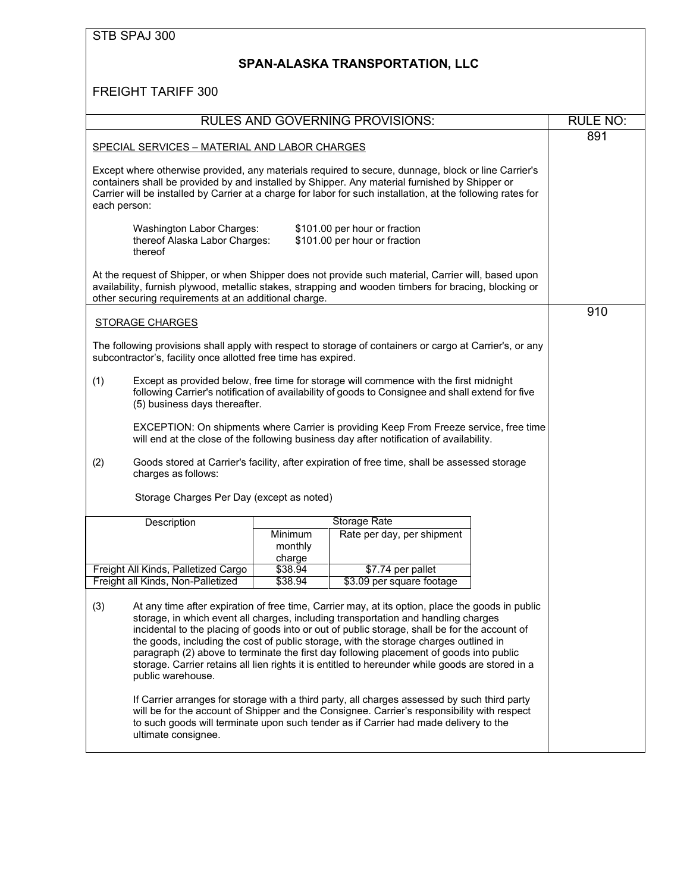### **SPAN-ALASKA TRANSPORTATION, LLC**

|                                                                       | <b>RULES AND GOVERNING PROVISIONS:</b>                                                                                                                                                                                                                                                                                                                                                                                                                                                                                                                                          | <b>RULE NO:</b> |  |
|-----------------------------------------------------------------------|---------------------------------------------------------------------------------------------------------------------------------------------------------------------------------------------------------------------------------------------------------------------------------------------------------------------------------------------------------------------------------------------------------------------------------------------------------------------------------------------------------------------------------------------------------------------------------|-----------------|--|
| SPECIAL SERVICES - MATERIAL AND LABOR CHARGES                         |                                                                                                                                                                                                                                                                                                                                                                                                                                                                                                                                                                                 | 891             |  |
| each person:                                                          | Except where otherwise provided, any materials required to secure, dunnage, block or line Carrier's<br>containers shall be provided by and installed by Shipper. Any material furnished by Shipper or<br>Carrier will be installed by Carrier at a charge for labor for such installation, at the following rates for                                                                                                                                                                                                                                                           |                 |  |
| Washington Labor Charges:<br>thereof Alaska Labor Charges:<br>thereof | \$101.00 per hour or fraction<br>\$101.00 per hour or fraction                                                                                                                                                                                                                                                                                                                                                                                                                                                                                                                  |                 |  |
| other securing requirements at an additional charge.                  | At the request of Shipper, or when Shipper does not provide such material, Carrier will, based upon<br>availability, furnish plywood, metallic stakes, strapping and wooden timbers for bracing, blocking or                                                                                                                                                                                                                                                                                                                                                                    |                 |  |
| <b>STORAGE CHARGES</b>                                                |                                                                                                                                                                                                                                                                                                                                                                                                                                                                                                                                                                                 | 910             |  |
| subcontractor's, facility once allotted free time has expired.        | The following provisions shall apply with respect to storage of containers or cargo at Carrier's, or any                                                                                                                                                                                                                                                                                                                                                                                                                                                                        |                 |  |
| (1)                                                                   | Except as provided below, free time for storage will commence with the first midnight<br>following Carrier's notification of availability of goods to Consignee and shall extend for five<br>(5) business days thereafter.                                                                                                                                                                                                                                                                                                                                                      |                 |  |
|                                                                       | EXCEPTION: On shipments where Carrier is providing Keep From Freeze service, free time<br>will end at the close of the following business day after notification of availability.                                                                                                                                                                                                                                                                                                                                                                                               |                 |  |
| (2)<br>charges as follows:                                            | Goods stored at Carrier's facility, after expiration of free time, shall be assessed storage                                                                                                                                                                                                                                                                                                                                                                                                                                                                                    |                 |  |
| Storage Charges Per Day (except as noted)                             |                                                                                                                                                                                                                                                                                                                                                                                                                                                                                                                                                                                 |                 |  |
| Description                                                           | <b>Storage Rate</b>                                                                                                                                                                                                                                                                                                                                                                                                                                                                                                                                                             |                 |  |
|                                                                       | Minimum<br>Rate per day, per shipment<br>monthly<br>charge                                                                                                                                                                                                                                                                                                                                                                                                                                                                                                                      |                 |  |
| Freight All Kinds, Palletized Cargo                                   | \$38.94<br>\$7.74 per pallet                                                                                                                                                                                                                                                                                                                                                                                                                                                                                                                                                    |                 |  |
| Freight all Kinds, Non-Palletized                                     | \$38.94<br>\$3.09 per square footage                                                                                                                                                                                                                                                                                                                                                                                                                                                                                                                                            |                 |  |
| (3)<br>public warehouse.                                              | At any time after expiration of free time, Carrier may, at its option, place the goods in public<br>storage, in which event all charges, including transportation and handling charges<br>incidental to the placing of goods into or out of public storage, shall be for the account of<br>the goods, including the cost of public storage, with the storage charges outlined in<br>paragraph (2) above to terminate the first day following placement of goods into public<br>storage. Carrier retains all lien rights it is entitled to hereunder while goods are stored in a |                 |  |
| ultimate consignee.                                                   | If Carrier arranges for storage with a third party, all charges assessed by such third party<br>will be for the account of Shipper and the Consignee. Carrier's responsibility with respect<br>to such goods will terminate upon such tender as if Carrier had made delivery to the                                                                                                                                                                                                                                                                                             |                 |  |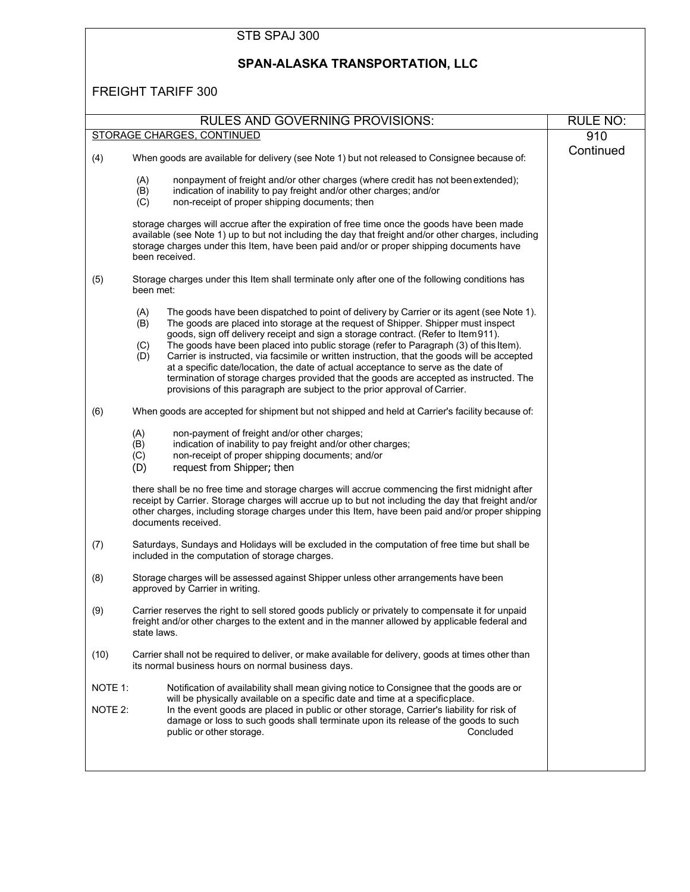|                    | STB SPAJ 300                                                                                                                                                                                                                                                                                                                                                                                                                                                                                                                                                                                                                                                                                                                                            |                 |  |  |  |
|--------------------|---------------------------------------------------------------------------------------------------------------------------------------------------------------------------------------------------------------------------------------------------------------------------------------------------------------------------------------------------------------------------------------------------------------------------------------------------------------------------------------------------------------------------------------------------------------------------------------------------------------------------------------------------------------------------------------------------------------------------------------------------------|-----------------|--|--|--|
|                    | SPAN-ALASKA TRANSPORTATION, LLC                                                                                                                                                                                                                                                                                                                                                                                                                                                                                                                                                                                                                                                                                                                         |                 |  |  |  |
|                    | <b>FREIGHT TARIFF 300</b>                                                                                                                                                                                                                                                                                                                                                                                                                                                                                                                                                                                                                                                                                                                               |                 |  |  |  |
|                    | <b>RULES AND GOVERNING PROVISIONS:</b>                                                                                                                                                                                                                                                                                                                                                                                                                                                                                                                                                                                                                                                                                                                  | <b>RULE NO:</b> |  |  |  |
|                    | STORAGE CHARGES, CONTINUED                                                                                                                                                                                                                                                                                                                                                                                                                                                                                                                                                                                                                                                                                                                              | 910             |  |  |  |
| (4)                | When goods are available for delivery (see Note 1) but not released to Consignee because of:                                                                                                                                                                                                                                                                                                                                                                                                                                                                                                                                                                                                                                                            | Continued       |  |  |  |
|                    | nonpayment of freight and/or other charges (where credit has not been extended);<br>(A)<br>(B)<br>indication of inability to pay freight and/or other charges; and/or<br>non-receipt of proper shipping documents; then<br>(C)                                                                                                                                                                                                                                                                                                                                                                                                                                                                                                                          |                 |  |  |  |
|                    | storage charges will accrue after the expiration of free time once the goods have been made<br>available (see Note 1) up to but not including the day that freight and/or other charges, including<br>storage charges under this Item, have been paid and/or or proper shipping documents have<br>been received.                                                                                                                                                                                                                                                                                                                                                                                                                                        |                 |  |  |  |
| (5)                | Storage charges under this Item shall terminate only after one of the following conditions has<br>been met:                                                                                                                                                                                                                                                                                                                                                                                                                                                                                                                                                                                                                                             |                 |  |  |  |
|                    | The goods have been dispatched to point of delivery by Carrier or its agent (see Note 1).<br>(A)<br>The goods are placed into storage at the request of Shipper. Shipper must inspect<br>(B)<br>goods, sign off delivery receipt and sign a storage contract. (Refer to Item 911).<br>The goods have been placed into public storage (refer to Paragraph (3) of this Item).<br>(C)<br>Carrier is instructed, via facsimile or written instruction, that the goods will be accepted<br>(D)<br>at a specific date/location, the date of actual acceptance to serve as the date of<br>termination of storage charges provided that the goods are accepted as instructed. The<br>provisions of this paragraph are subject to the prior approval of Carrier. |                 |  |  |  |
| (6)                | When goods are accepted for shipment but not shipped and held at Carrier's facility because of:                                                                                                                                                                                                                                                                                                                                                                                                                                                                                                                                                                                                                                                         |                 |  |  |  |
|                    | (A)<br>non-payment of freight and/or other charges;<br>indication of inability to pay freight and/or other charges;<br>(B)<br>non-receipt of proper shipping documents; and/or<br>(C)<br>(D)<br>request from Shipper; then                                                                                                                                                                                                                                                                                                                                                                                                                                                                                                                              |                 |  |  |  |
|                    | there shall be no free time and storage charges will accrue commencing the first midnight after<br>receipt by Carrier. Storage charges will accrue up to but not including the day that freight and/or<br>other charges, including storage charges under this Item, have been paid and/or proper shipping<br>documents received.                                                                                                                                                                                                                                                                                                                                                                                                                        |                 |  |  |  |
| (7)                | Saturdays, Sundays and Holidays will be excluded in the computation of free time but shall be<br>included in the computation of storage charges.                                                                                                                                                                                                                                                                                                                                                                                                                                                                                                                                                                                                        |                 |  |  |  |
| (8)                | Storage charges will be assessed against Shipper unless other arrangements have been<br>approved by Carrier in writing.                                                                                                                                                                                                                                                                                                                                                                                                                                                                                                                                                                                                                                 |                 |  |  |  |
| (9)                | Carrier reserves the right to sell stored goods publicly or privately to compensate it for unpaid<br>freight and/or other charges to the extent and in the manner allowed by applicable federal and<br>state laws.                                                                                                                                                                                                                                                                                                                                                                                                                                                                                                                                      |                 |  |  |  |
| (10)               | Carrier shall not be required to deliver, or make available for delivery, goods at times other than<br>its normal business hours on normal business days.                                                                                                                                                                                                                                                                                                                                                                                                                                                                                                                                                                                               |                 |  |  |  |
| NOTE 1:<br>NOTE 2: | Notification of availability shall mean giving notice to Consignee that the goods are or<br>will be physically available on a specific date and time at a specificplace.<br>In the event goods are placed in public or other storage, Carrier's liability for risk of<br>damage or loss to such goods shall terminate upon its release of the goods to such<br>Concluded<br>public or other storage.                                                                                                                                                                                                                                                                                                                                                    |                 |  |  |  |
|                    |                                                                                                                                                                                                                                                                                                                                                                                                                                                                                                                                                                                                                                                                                                                                                         |                 |  |  |  |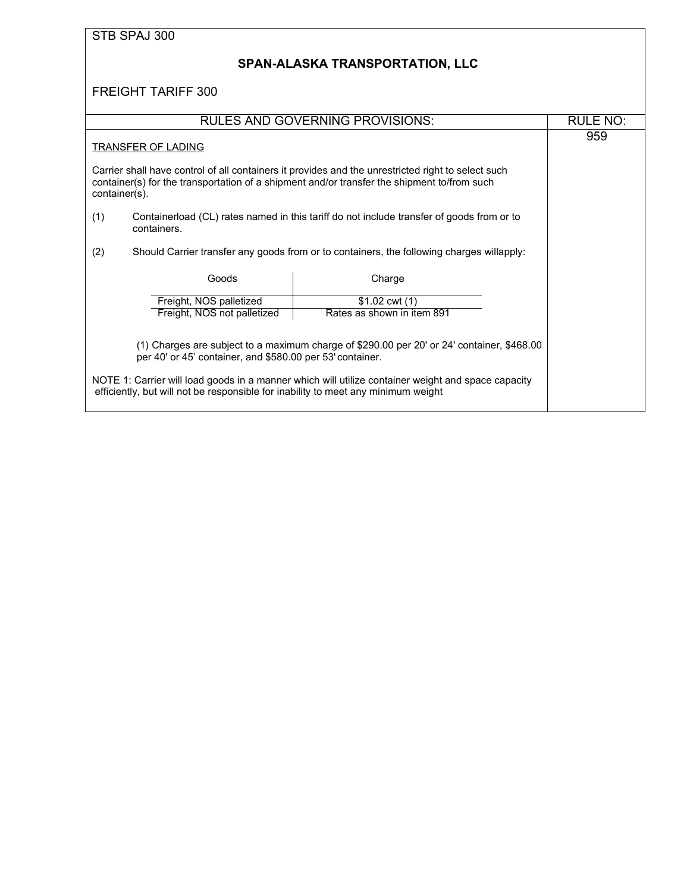<span id="page-32-0"></span>

| STB SPAJ 300                                                                                                                                            |                                                                                                                                                                                                   |                 |  |  |
|---------------------------------------------------------------------------------------------------------------------------------------------------------|---------------------------------------------------------------------------------------------------------------------------------------------------------------------------------------------------|-----------------|--|--|
|                                                                                                                                                         | SPAN-ALASKA TRANSPORTATION, LLC                                                                                                                                                                   |                 |  |  |
| <b>FREIGHT TARIFF 300</b>                                                                                                                               |                                                                                                                                                                                                   |                 |  |  |
|                                                                                                                                                         | <b>RULES AND GOVERNING PROVISIONS:</b>                                                                                                                                                            | <b>RULE NO:</b> |  |  |
| TRANSFER OF LADING                                                                                                                                      |                                                                                                                                                                                                   | 959             |  |  |
| container(s).                                                                                                                                           | Carrier shall have control of all containers it provides and the unrestricted right to select such<br>container(s) for the transportation of a shipment and/or transfer the shipment to/from such |                 |  |  |
| (1)<br>containers.                                                                                                                                      | Containerload (CL) rates named in this tariff do not include transfer of goods from or to                                                                                                         |                 |  |  |
| (2)                                                                                                                                                     | Should Carrier transfer any goods from or to containers, the following charges willapply:                                                                                                         |                 |  |  |
| Goods                                                                                                                                                   | Charge                                                                                                                                                                                            |                 |  |  |
| Freight, NOS palletized                                                                                                                                 | $$1.02$ cwt $(1)$                                                                                                                                                                                 |                 |  |  |
| Freight, NOS not palletized                                                                                                                             | Rates as shown in item 891                                                                                                                                                                        |                 |  |  |
| (1) Charges are subject to a maximum charge of \$290.00 per 20' or 24' container, \$468.00<br>per 40' or 45' container, and \$580.00 per 53' container. |                                                                                                                                                                                                   |                 |  |  |
|                                                                                                                                                         | NOTE 1: Carrier will load goods in a manner which will utilize container weight and space capacity<br>efficiently, but will not be responsible for inability to meet any minimum weight           |                 |  |  |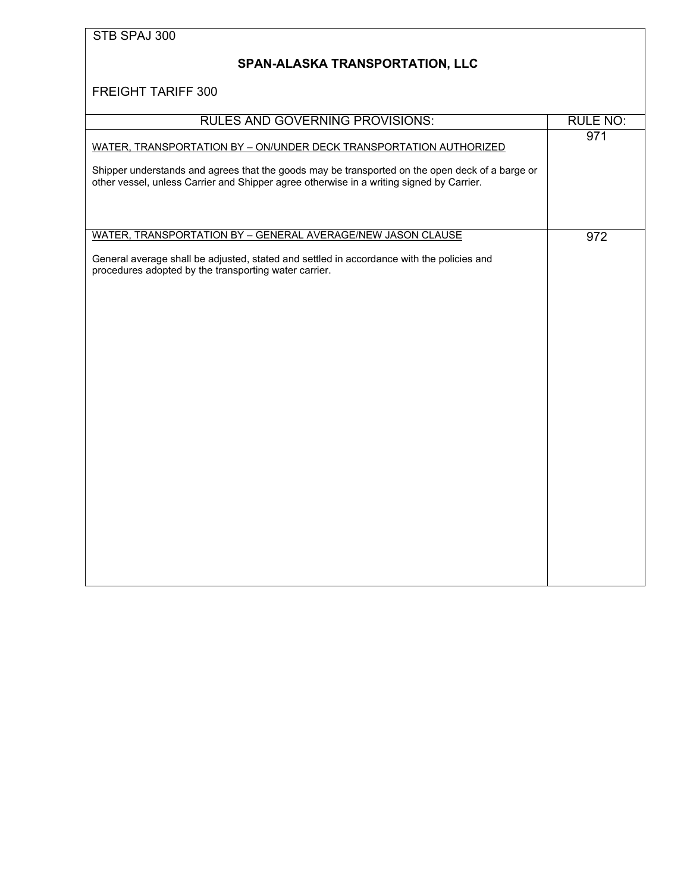# <span id="page-33-0"></span>**SPAN-ALASKA TRANSPORTATION, LLC**

| <b>RULES AND GOVERNING PROVISIONS:</b>                                                                                                                                                                                                                            | <b>RULE NO:</b> |
|-------------------------------------------------------------------------------------------------------------------------------------------------------------------------------------------------------------------------------------------------------------------|-----------------|
| WATER, TRANSPORTATION BY - ON/UNDER DECK TRANSPORTATION AUTHORIZED<br>Shipper understands and agrees that the goods may be transported on the open deck of a barge or<br>other vessel, unless Carrier and Shipper agree otherwise in a writing signed by Carrier. | 971             |
| WATER, TRANSPORTATION BY - GENERAL AVERAGE/NEW JASON CLAUSE                                                                                                                                                                                                       | 972             |
| General average shall be adjusted, stated and settled in accordance with the policies and<br>procedures adopted by the transporting water carrier.                                                                                                                |                 |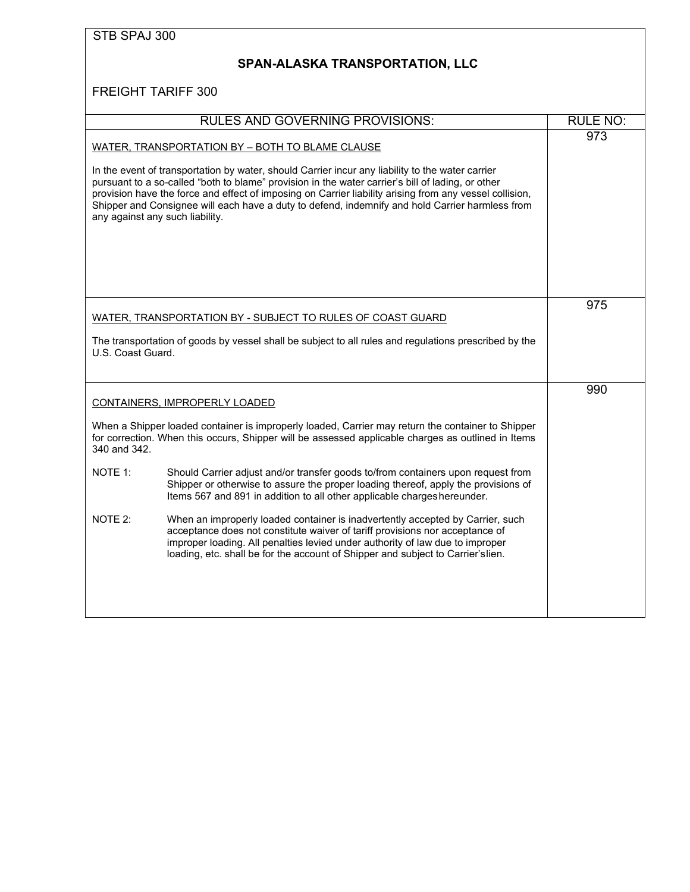<span id="page-34-0"></span>

| STB SPAJ 300      |                                                                                                                                                                                                                                                                                                                                                                                                                                                        |                 |
|-------------------|--------------------------------------------------------------------------------------------------------------------------------------------------------------------------------------------------------------------------------------------------------------------------------------------------------------------------------------------------------------------------------------------------------------------------------------------------------|-----------------|
|                   | SPAN-ALASKA TRANSPORTATION, LLC                                                                                                                                                                                                                                                                                                                                                                                                                        |                 |
|                   | FREIGHT TARIFF 300                                                                                                                                                                                                                                                                                                                                                                                                                                     |                 |
|                   | <b>RULES AND GOVERNING PROVISIONS:</b>                                                                                                                                                                                                                                                                                                                                                                                                                 | <b>RULE NO:</b> |
|                   | WATER, TRANSPORTATION BY - BOTH TO BLAME CLAUSE                                                                                                                                                                                                                                                                                                                                                                                                        | 973             |
|                   | In the event of transportation by water, should Carrier incur any liability to the water carrier<br>pursuant to a so-called "both to blame" provision in the water carrier's bill of lading, or other<br>provision have the force and effect of imposing on Carrier liability arising from any vessel collision,<br>Shipper and Consignee will each have a duty to defend, indemnify and hold Carrier harmless from<br>any against any such liability. |                 |
|                   |                                                                                                                                                                                                                                                                                                                                                                                                                                                        | 975             |
|                   | WATER, TRANSPORTATION BY - SUBJECT TO RULES OF COAST GUARD                                                                                                                                                                                                                                                                                                                                                                                             |                 |
| U.S. Coast Guard. | The transportation of goods by vessel shall be subject to all rules and regulations prescribed by the                                                                                                                                                                                                                                                                                                                                                  |                 |
|                   | <b>CONTAINERS, IMPROPERLY LOADED</b>                                                                                                                                                                                                                                                                                                                                                                                                                   | 990             |
| 340 and 342.      | When a Shipper loaded container is improperly loaded, Carrier may return the container to Shipper<br>for correction. When this occurs, Shipper will be assessed applicable charges as outlined in Items                                                                                                                                                                                                                                                |                 |
| NOTE 1:           | Should Carrier adjust and/or transfer goods to/from containers upon request from<br>Shipper or otherwise to assure the proper loading thereof, apply the provisions of<br>Items 567 and 891 in addition to all other applicable charges hereunder.                                                                                                                                                                                                     |                 |
| NOTE 2:           | When an improperly loaded container is inadvertently accepted by Carrier, such<br>acceptance does not constitute waiver of tariff provisions nor acceptance of<br>improper loading. All penalties levied under authority of law due to improper<br>loading, etc. shall be for the account of Shipper and subject to Carrier's lien.                                                                                                                    |                 |
|                   |                                                                                                                                                                                                                                                                                                                                                                                                                                                        |                 |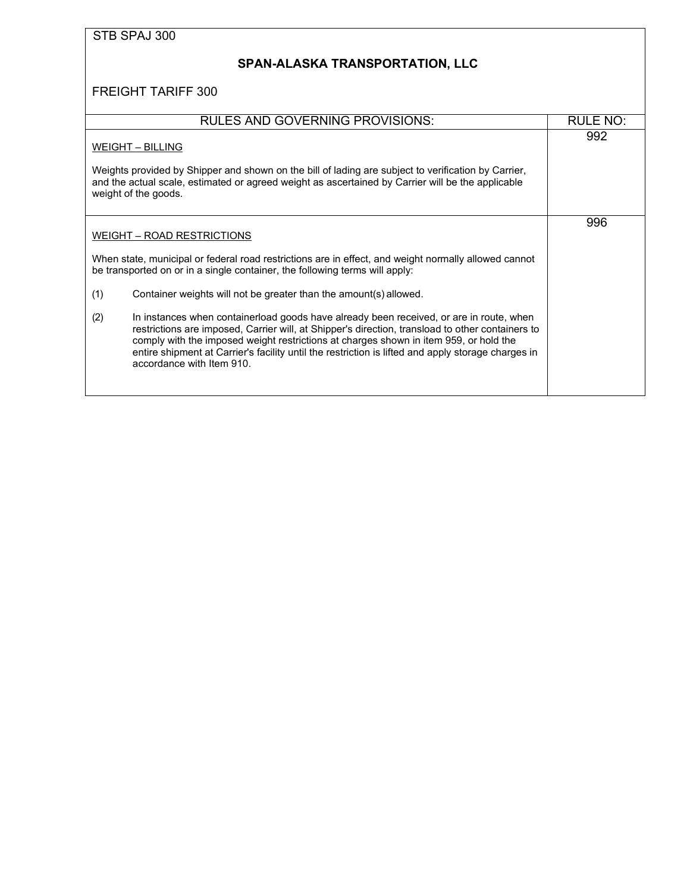### <span id="page-35-0"></span>**SPAN-ALASKA TRANSPORTATION, LLC**

| <b>RULES AND GOVERNING PROVISIONS:</b>                                                                                                                                                                                                                                                                                                                                                                                         | RULE NO: |
|--------------------------------------------------------------------------------------------------------------------------------------------------------------------------------------------------------------------------------------------------------------------------------------------------------------------------------------------------------------------------------------------------------------------------------|----------|
| <b>WEIGHT - BILLING</b><br>Weights provided by Shipper and shown on the bill of lading are subject to verification by Carrier,<br>and the actual scale, estimated or agreed weight as ascertained by Carrier will be the applicable<br>weight of the goods.                                                                                                                                                                    | 992      |
| WEIGHT - ROAD RESTRICTIONS<br>When state, municipal or federal road restrictions are in effect, and weight normally allowed cannot<br>be transported on or in a single container, the following terms will apply:                                                                                                                                                                                                              | 996      |
| (1)<br>Container weights will not be greater than the amount(s) allowed.                                                                                                                                                                                                                                                                                                                                                       |          |
| (2)<br>In instances when containerload goods have already been received, or are in route, when<br>restrictions are imposed, Carrier will, at Shipper's direction, transload to other containers to<br>comply with the imposed weight restrictions at charges shown in item 959, or hold the<br>entire shipment at Carrier's facility until the restriction is lifted and apply storage charges in<br>accordance with Item 910. |          |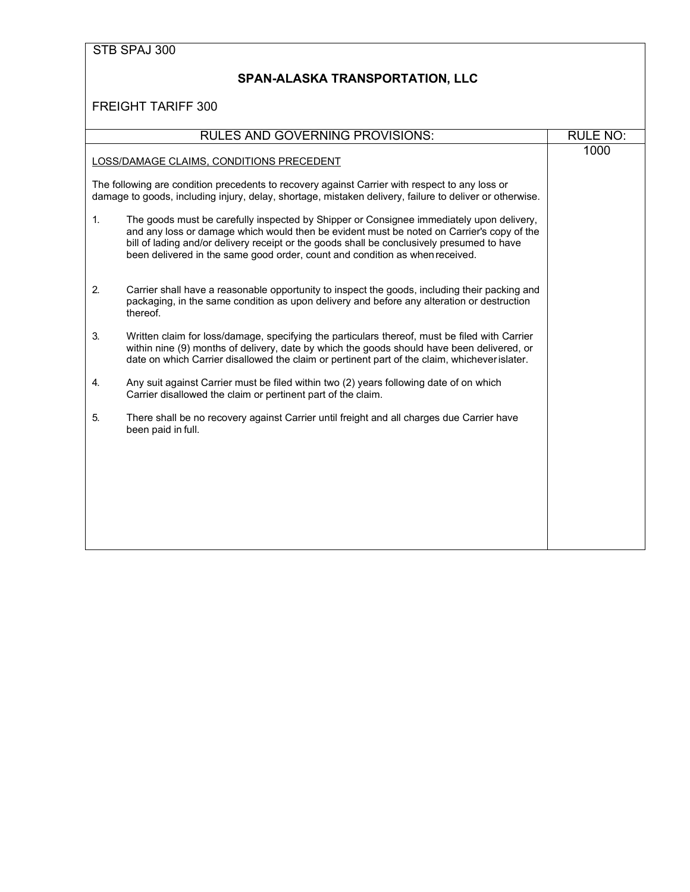#### **SPAN-ALASKA TRANSPORTATION, LLC**

|                                                                                                                                                                                                           | <b>RULES AND GOVERNING PROVISIONS:</b>                                                                                                                                                                                                                                                                                                                              | <b>RULE NO:</b> |
|-----------------------------------------------------------------------------------------------------------------------------------------------------------------------------------------------------------|---------------------------------------------------------------------------------------------------------------------------------------------------------------------------------------------------------------------------------------------------------------------------------------------------------------------------------------------------------------------|-----------------|
| LOSS/DAMAGE CLAIMS, CONDITIONS PRECEDENT                                                                                                                                                                  | 1000                                                                                                                                                                                                                                                                                                                                                                |                 |
| The following are condition precedents to recovery against Carrier with respect to any loss or<br>damage to goods, including injury, delay, shortage, mistaken delivery, failure to deliver or otherwise. |                                                                                                                                                                                                                                                                                                                                                                     |                 |
| $\mathbf{1}$ .                                                                                                                                                                                            | The goods must be carefully inspected by Shipper or Consignee immediately upon delivery,<br>and any loss or damage which would then be evident must be noted on Carrier's copy of the<br>bill of lading and/or delivery receipt or the goods shall be conclusively presumed to have<br>been delivered in the same good order, count and condition as when received. |                 |
| 2.                                                                                                                                                                                                        | Carrier shall have a reasonable opportunity to inspect the goods, including their packing and<br>packaging, in the same condition as upon delivery and before any alteration or destruction<br>thereof.                                                                                                                                                             |                 |
| 3.                                                                                                                                                                                                        | Written claim for loss/damage, specifying the particulars thereof, must be filed with Carrier<br>within nine (9) months of delivery, date by which the goods should have been delivered, or<br>date on which Carrier disallowed the claim or pertinent part of the claim, whichever islater.                                                                        |                 |
| 4.                                                                                                                                                                                                        | Any suit against Carrier must be filed within two (2) years following date of on which<br>Carrier disallowed the claim or pertinent part of the claim.                                                                                                                                                                                                              |                 |
| 5.                                                                                                                                                                                                        | There shall be no recovery against Carrier until freight and all charges due Carrier have<br>been paid in full.                                                                                                                                                                                                                                                     |                 |
|                                                                                                                                                                                                           |                                                                                                                                                                                                                                                                                                                                                                     |                 |
|                                                                                                                                                                                                           |                                                                                                                                                                                                                                                                                                                                                                     |                 |
|                                                                                                                                                                                                           |                                                                                                                                                                                                                                                                                                                                                                     |                 |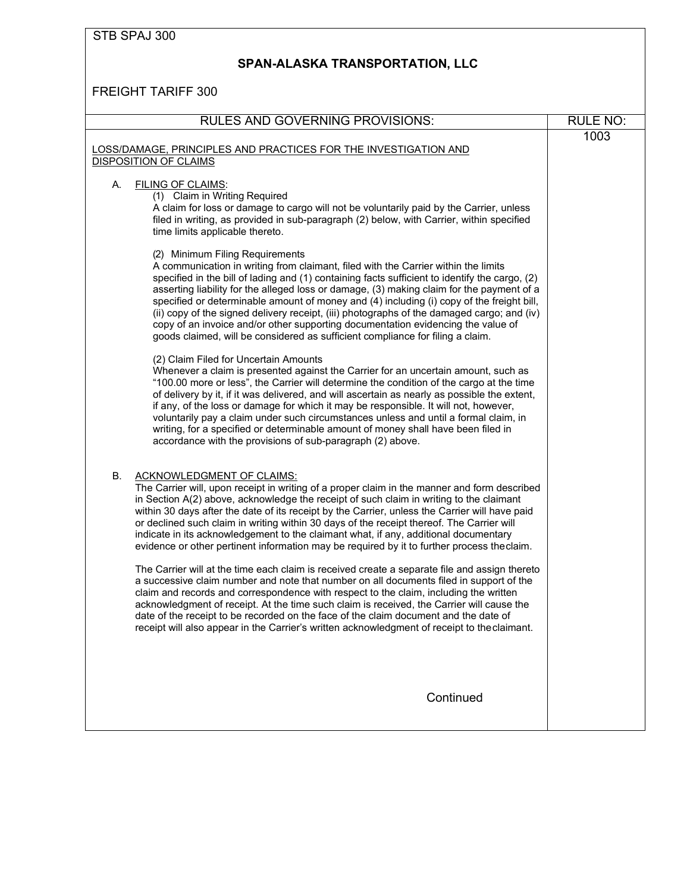# <span id="page-37-0"></span>**SPAN-ALASKA TRANSPORTATION, LLC**

| <b>RULES AND GOVERNING PROVISIONS:</b>                                                                                                                                                                                                                                                                                                                                                                                                                                                                                                                                                                                                                                                                                                                                                                                                                                                                                                                                                                                                                                                                                                                                                    | <b>RULE NO:</b> |
|-------------------------------------------------------------------------------------------------------------------------------------------------------------------------------------------------------------------------------------------------------------------------------------------------------------------------------------------------------------------------------------------------------------------------------------------------------------------------------------------------------------------------------------------------------------------------------------------------------------------------------------------------------------------------------------------------------------------------------------------------------------------------------------------------------------------------------------------------------------------------------------------------------------------------------------------------------------------------------------------------------------------------------------------------------------------------------------------------------------------------------------------------------------------------------------------|-----------------|
| LOSS/DAMAGE, PRINCIPLES AND PRACTICES FOR THE INVESTIGATION AND<br><b>DISPOSITION OF CLAIMS</b>                                                                                                                                                                                                                                                                                                                                                                                                                                                                                                                                                                                                                                                                                                                                                                                                                                                                                                                                                                                                                                                                                           | 1003            |
| <b>FILING OF CLAIMS:</b><br>А.<br>(1) Claim in Writing Required<br>A claim for loss or damage to cargo will not be voluntarily paid by the Carrier, unless<br>filed in writing, as provided in sub-paragraph (2) below, with Carrier, within specified<br>time limits applicable thereto.                                                                                                                                                                                                                                                                                                                                                                                                                                                                                                                                                                                                                                                                                                                                                                                                                                                                                                 |                 |
| (2) Minimum Filing Requirements<br>A communication in writing from claimant, filed with the Carrier within the limits<br>specified in the bill of lading and (1) containing facts sufficient to identify the cargo, (2)<br>asserting liability for the alleged loss or damage, (3) making claim for the payment of a<br>specified or determinable amount of money and (4) including (i) copy of the freight bill,<br>(ii) copy of the signed delivery receipt, (iii) photographs of the damaged cargo; and (iv)<br>copy of an invoice and/or other supporting documentation evidencing the value of<br>goods claimed, will be considered as sufficient compliance for filing a claim.                                                                                                                                                                                                                                                                                                                                                                                                                                                                                                     |                 |
| (2) Claim Filed for Uncertain Amounts<br>Whenever a claim is presented against the Carrier for an uncertain amount, such as<br>"100.00 more or less", the Carrier will determine the condition of the cargo at the time<br>of delivery by it, if it was delivered, and will ascertain as nearly as possible the extent,<br>if any, of the loss or damage for which it may be responsible. It will not, however,<br>voluntarily pay a claim under such circumstances unless and until a formal claim, in<br>writing, for a specified or determinable amount of money shall have been filed in<br>accordance with the provisions of sub-paragraph (2) above.                                                                                                                                                                                                                                                                                                                                                                                                                                                                                                                                |                 |
| В.<br>ACKNOWLEDGMENT OF CLAIMS:<br>The Carrier will, upon receipt in writing of a proper claim in the manner and form described<br>in Section A(2) above, acknowledge the receipt of such claim in writing to the claimant<br>within 30 days after the date of its receipt by the Carrier, unless the Carrier will have paid<br>or declined such claim in writing within 30 days of the receipt thereof. The Carrier will<br>indicate in its acknowledgement to the claimant what, if any, additional documentary<br>evidence or other pertinent information may be required by it to further process theclaim.<br>The Carrier will at the time each claim is received create a separate file and assign thereto<br>a successive claim number and note that number on all documents filed in support of the<br>claim and records and correspondence with respect to the claim, including the written<br>acknowledgment of receipt. At the time such claim is received, the Carrier will cause the<br>date of the receipt to be recorded on the face of the claim document and the date of<br>receipt will also appear in the Carrier's written acknowledgment of receipt to the claimant. |                 |
| Continued                                                                                                                                                                                                                                                                                                                                                                                                                                                                                                                                                                                                                                                                                                                                                                                                                                                                                                                                                                                                                                                                                                                                                                                 |                 |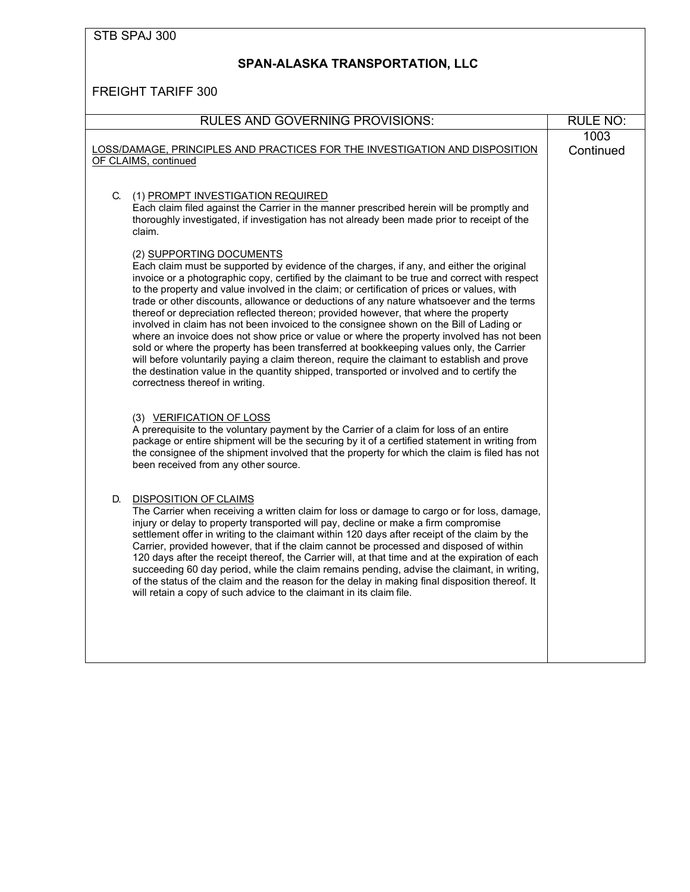### **SPAN-ALASKA TRANSPORTATION, LLC**

| <b>RULES AND GOVERNING PROVISIONS:</b>                                                                                                                                                                                                                                                                                                                                                                                                                                                                                                                                                                                                                                                                                                                                                                                                                                                                                                                                                                                     | <b>RULE NO:</b>   |
|----------------------------------------------------------------------------------------------------------------------------------------------------------------------------------------------------------------------------------------------------------------------------------------------------------------------------------------------------------------------------------------------------------------------------------------------------------------------------------------------------------------------------------------------------------------------------------------------------------------------------------------------------------------------------------------------------------------------------------------------------------------------------------------------------------------------------------------------------------------------------------------------------------------------------------------------------------------------------------------------------------------------------|-------------------|
| LOSS/DAMAGE, PRINCIPLES AND PRACTICES FOR THE INVESTIGATION AND DISPOSITION<br>OF CLAIMS, continued                                                                                                                                                                                                                                                                                                                                                                                                                                                                                                                                                                                                                                                                                                                                                                                                                                                                                                                        | 1003<br>Continued |
| C.<br>(1) PROMPT INVESTIGATION REQUIRED<br>Each claim filed against the Carrier in the manner prescribed herein will be promptly and<br>thoroughly investigated, if investigation has not already been made prior to receipt of the<br>claim.                                                                                                                                                                                                                                                                                                                                                                                                                                                                                                                                                                                                                                                                                                                                                                              |                   |
| (2) SUPPORTING DOCUMENTS<br>Each claim must be supported by evidence of the charges, if any, and either the original<br>invoice or a photographic copy, certified by the claimant to be true and correct with respect<br>to the property and value involved in the claim; or certification of prices or values, with<br>trade or other discounts, allowance or deductions of any nature whatsoever and the terms<br>thereof or depreciation reflected thereon; provided however, that where the property<br>involved in claim has not been invoiced to the consignee shown on the Bill of Lading or<br>where an invoice does not show price or value or where the property involved has not been<br>sold or where the property has been transferred at bookkeeping values only, the Carrier<br>will before voluntarily paying a claim thereon, require the claimant to establish and prove<br>the destination value in the quantity shipped, transported or involved and to certify the<br>correctness thereof in writing. |                   |
| (3) VERIFICATION OF LOSS<br>A prerequisite to the voluntary payment by the Carrier of a claim for loss of an entire<br>package or entire shipment will be the securing by it of a certified statement in writing from<br>the consignee of the shipment involved that the property for which the claim is filed has not<br>been received from any other source.                                                                                                                                                                                                                                                                                                                                                                                                                                                                                                                                                                                                                                                             |                   |
| <b>DISPOSITION OF CLAIMS</b><br>D.<br>The Carrier when receiving a written claim for loss or damage to cargo or for loss, damage,<br>injury or delay to property transported will pay, decline or make a firm compromise<br>settlement offer in writing to the claimant within 120 days after receipt of the claim by the<br>Carrier, provided however, that if the claim cannot be processed and disposed of within<br>120 days after the receipt thereof, the Carrier will, at that time and at the expiration of each<br>succeeding 60 day period, while the claim remains pending, advise the claimant, in writing,<br>of the status of the claim and the reason for the delay in making final disposition thereof. It<br>will retain a copy of such advice to the claimant in its claim file.                                                                                                                                                                                                                         |                   |
|                                                                                                                                                                                                                                                                                                                                                                                                                                                                                                                                                                                                                                                                                                                                                                                                                                                                                                                                                                                                                            |                   |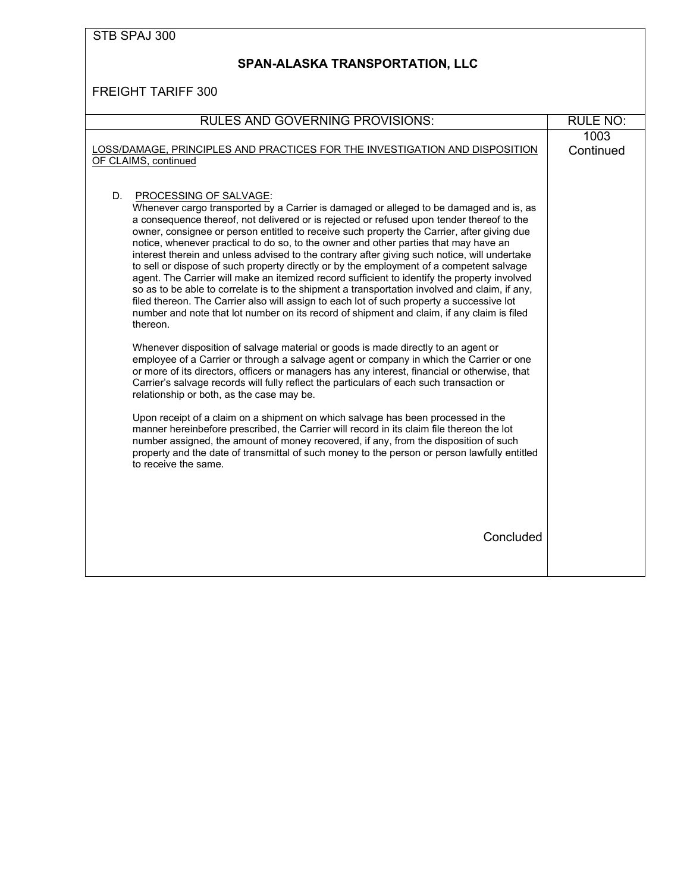# **SPAN-ALASKA TRANSPORTATION, LLC**

| <b>RULES AND GOVERNING PROVISIONS:</b>                                                                                                                                                                                                                                                                                                                                                                                                                                                                                                                                                                                                                                                                                                                                                                                                                                                                                                                                                                                                                                                             | <b>RULE NO:</b>   |
|----------------------------------------------------------------------------------------------------------------------------------------------------------------------------------------------------------------------------------------------------------------------------------------------------------------------------------------------------------------------------------------------------------------------------------------------------------------------------------------------------------------------------------------------------------------------------------------------------------------------------------------------------------------------------------------------------------------------------------------------------------------------------------------------------------------------------------------------------------------------------------------------------------------------------------------------------------------------------------------------------------------------------------------------------------------------------------------------------|-------------------|
| LOSS/DAMAGE, PRINCIPLES AND PRACTICES FOR THE INVESTIGATION AND DISPOSITION<br>OF CLAIMS, continued                                                                                                                                                                                                                                                                                                                                                                                                                                                                                                                                                                                                                                                                                                                                                                                                                                                                                                                                                                                                | 1003<br>Continued |
| D.<br>PROCESSING OF SALVAGE:<br>Whenever cargo transported by a Carrier is damaged or alleged to be damaged and is, as<br>a consequence thereof, not delivered or is rejected or refused upon tender thereof to the<br>owner, consignee or person entitled to receive such property the Carrier, after giving due<br>notice, whenever practical to do so, to the owner and other parties that may have an<br>interest therein and unless advised to the contrary after giving such notice, will undertake<br>to sell or dispose of such property directly or by the employment of a competent salvage<br>agent. The Carrier will make an itemized record sufficient to identify the property involved<br>so as to be able to correlate is to the shipment a transportation involved and claim, if any,<br>filed thereon. The Carrier also will assign to each lot of such property a successive lot<br>number and note that lot number on its record of shipment and claim, if any claim is filed<br>thereon.<br>Whenever disposition of salvage material or goods is made directly to an agent or |                   |
| employee of a Carrier or through a salvage agent or company in which the Carrier or one<br>or more of its directors, officers or managers has any interest, financial or otherwise, that<br>Carrier's salvage records will fully reflect the particulars of each such transaction or<br>relationship or both, as the case may be.                                                                                                                                                                                                                                                                                                                                                                                                                                                                                                                                                                                                                                                                                                                                                                  |                   |
| Upon receipt of a claim on a shipment on which salvage has been processed in the<br>manner hereinbefore prescribed, the Carrier will record in its claim file thereon the lot<br>number assigned, the amount of money recovered, if any, from the disposition of such<br>property and the date of transmittal of such money to the person or person lawfully entitled<br>to receive the same.                                                                                                                                                                                                                                                                                                                                                                                                                                                                                                                                                                                                                                                                                                      |                   |
| Concluded                                                                                                                                                                                                                                                                                                                                                                                                                                                                                                                                                                                                                                                                                                                                                                                                                                                                                                                                                                                                                                                                                          |                   |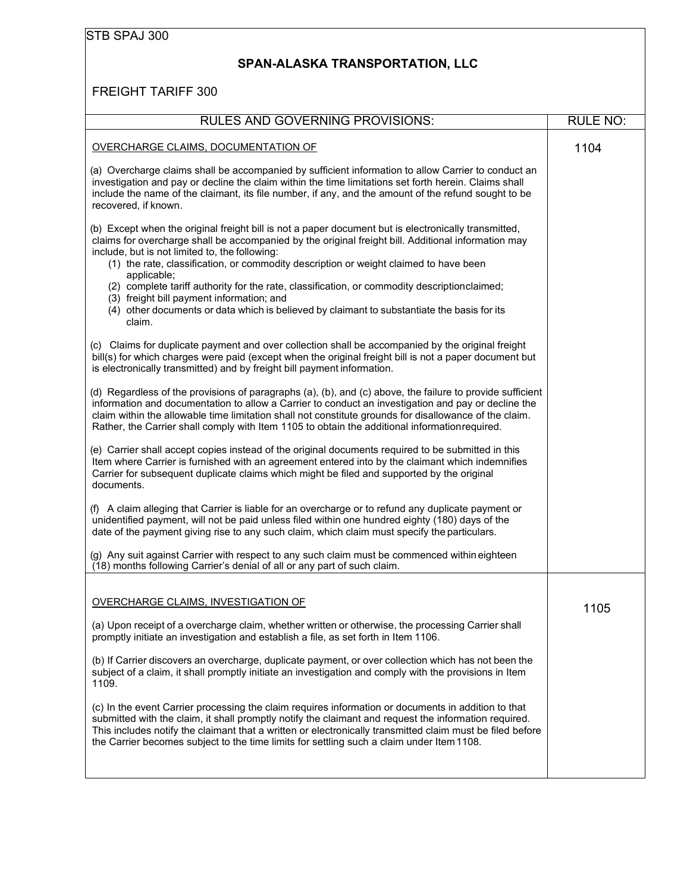## <span id="page-40-0"></span>**SPAN-ALASKA TRANSPORTATION, LLC**

| <b>RULES AND GOVERNING PROVISIONS:</b>                                                                                                                                                                                                                                                                                                                                                                                                                                                                                                                                                                                      | <b>RULE NO:</b> |
|-----------------------------------------------------------------------------------------------------------------------------------------------------------------------------------------------------------------------------------------------------------------------------------------------------------------------------------------------------------------------------------------------------------------------------------------------------------------------------------------------------------------------------------------------------------------------------------------------------------------------------|-----------------|
| OVERCHARGE CLAIMS, DOCUMENTATION OF                                                                                                                                                                                                                                                                                                                                                                                                                                                                                                                                                                                         | 1104            |
| (a) Overcharge claims shall be accompanied by sufficient information to allow Carrier to conduct an<br>investigation and pay or decline the claim within the time limitations set forth herein. Claims shall<br>include the name of the claimant, its file number, if any, and the amount of the refund sought to be<br>recovered, if known.                                                                                                                                                                                                                                                                                |                 |
| (b) Except when the original freight bill is not a paper document but is electronically transmitted,<br>claims for overcharge shall be accompanied by the original freight bill. Additional information may<br>include, but is not limited to, the following:<br>(1) the rate, classification, or commodity description or weight claimed to have been<br>applicable;<br>(2) complete tariff authority for the rate, classification, or commodity descriptionclaimed;<br>(3) freight bill payment information; and<br>(4) other documents or data which is believed by claimant to substantiate the basis for its<br>claim. |                 |
| (c) Claims for duplicate payment and over collection shall be accompanied by the original freight<br>bill(s) for which charges were paid (except when the original freight bill is not a paper document but<br>is electronically transmitted) and by freight bill payment information.                                                                                                                                                                                                                                                                                                                                      |                 |
| (d) Regardless of the provisions of paragraphs (a), (b), and (c) above, the failure to provide sufficient<br>information and documentation to allow a Carrier to conduct an investigation and pay or decline the<br>claim within the allowable time limitation shall not constitute grounds for disallowance of the claim.<br>Rather, the Carrier shall comply with Item 1105 to obtain the additional informationrequired.                                                                                                                                                                                                 |                 |
| (e) Carrier shall accept copies instead of the original documents required to be submitted in this<br>Item where Carrier is furnished with an agreement entered into by the claimant which indemnifies<br>Carrier for subsequent duplicate claims which might be filed and supported by the original<br>documents.                                                                                                                                                                                                                                                                                                          |                 |
| (f) A claim alleging that Carrier is liable for an overcharge or to refund any duplicate payment or<br>unidentified payment, will not be paid unless filed within one hundred eighty (180) days of the<br>date of the payment giving rise to any such claim, which claim must specify the particulars.                                                                                                                                                                                                                                                                                                                      |                 |
| (g) Any suit against Carrier with respect to any such claim must be commenced within eighteen<br>(18) months following Carrier's denial of all or any part of such claim.                                                                                                                                                                                                                                                                                                                                                                                                                                                   |                 |
| OVERCHARGE CLAIMS, INVESTIGATION OF<br>(a) Upon receipt of a overcharge claim, whether written or otherwise, the processing Carrier shall                                                                                                                                                                                                                                                                                                                                                                                                                                                                                   | 1105            |
| promptly initiate an investigation and establish a file, as set forth in Item 1106.                                                                                                                                                                                                                                                                                                                                                                                                                                                                                                                                         |                 |
| (b) If Carrier discovers an overcharge, duplicate payment, or over collection which has not been the<br>subject of a claim, it shall promptly initiate an investigation and comply with the provisions in Item<br>1109.                                                                                                                                                                                                                                                                                                                                                                                                     |                 |
| (c) In the event Carrier processing the claim requires information or documents in addition to that<br>submitted with the claim, it shall promptly notify the claimant and request the information required.<br>This includes notify the claimant that a written or electronically transmitted claim must be filed before<br>the Carrier becomes subject to the time limits for settling such a claim under Item 1108.                                                                                                                                                                                                      |                 |
|                                                                                                                                                                                                                                                                                                                                                                                                                                                                                                                                                                                                                             |                 |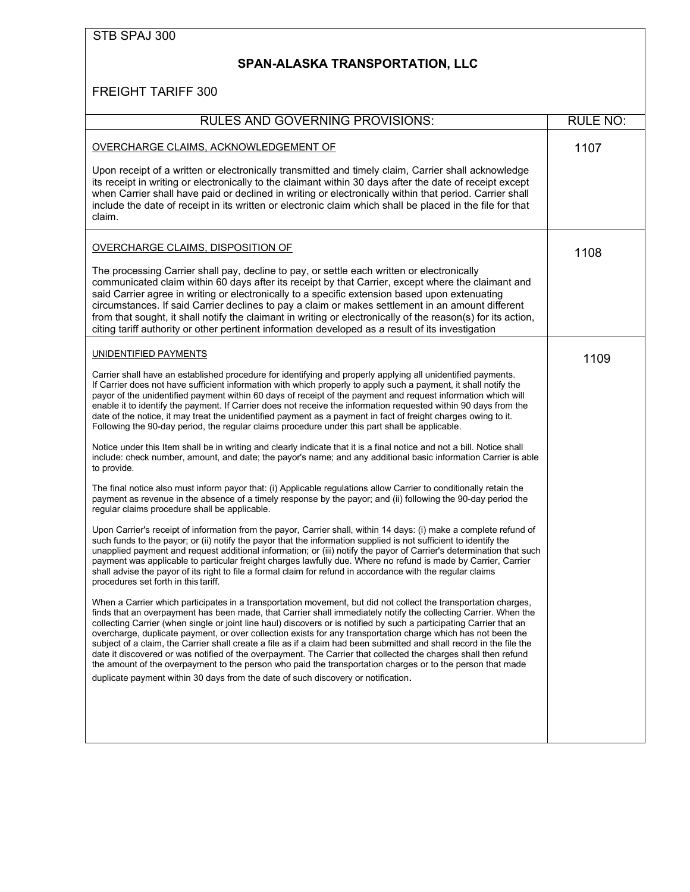| STB SPAJ 300 |
|--------------|
|--------------|

# **SPAN-ALASKA TRANSPORTATION, LLC**

| <b>RULES AND GOVERNING PROVISIONS:</b>                                                                                                                                                                                                                                                                                                                                                                                                                                                                                                                                                                                                                                                                                                                                                                                                                                                                                                                                                                                                                                                                                                                                                                                                                                                                                                                                                                                                                                                                                                                                                                                                                                                                                                                                                                                                                                                                                                                                                                                                                                                                                                                                                                                                                                                                                                                                                                                                                                                                                                                                                                                                                                                                                                                                                                                                           | <b>RULE NO:</b> |
|--------------------------------------------------------------------------------------------------------------------------------------------------------------------------------------------------------------------------------------------------------------------------------------------------------------------------------------------------------------------------------------------------------------------------------------------------------------------------------------------------------------------------------------------------------------------------------------------------------------------------------------------------------------------------------------------------------------------------------------------------------------------------------------------------------------------------------------------------------------------------------------------------------------------------------------------------------------------------------------------------------------------------------------------------------------------------------------------------------------------------------------------------------------------------------------------------------------------------------------------------------------------------------------------------------------------------------------------------------------------------------------------------------------------------------------------------------------------------------------------------------------------------------------------------------------------------------------------------------------------------------------------------------------------------------------------------------------------------------------------------------------------------------------------------------------------------------------------------------------------------------------------------------------------------------------------------------------------------------------------------------------------------------------------------------------------------------------------------------------------------------------------------------------------------------------------------------------------------------------------------------------------------------------------------------------------------------------------------------------------------------------------------------------------------------------------------------------------------------------------------------------------------------------------------------------------------------------------------------------------------------------------------------------------------------------------------------------------------------------------------------------------------------------------------------------------------------------------------|-----------------|
| OVERCHARGE CLAIMS, ACKNOWLEDGEMENT OF<br>Upon receipt of a written or electronically transmitted and timely claim, Carrier shall acknowledge<br>its receipt in writing or electronically to the claimant within 30 days after the date of receipt except<br>when Carrier shall have paid or declined in writing or electronically within that period. Carrier shall<br>include the date of receipt in its written or electronic claim which shall be placed in the file for that<br>claim.                                                                                                                                                                                                                                                                                                                                                                                                                                                                                                                                                                                                                                                                                                                                                                                                                                                                                                                                                                                                                                                                                                                                                                                                                                                                                                                                                                                                                                                                                                                                                                                                                                                                                                                                                                                                                                                                                                                                                                                                                                                                                                                                                                                                                                                                                                                                                       | 1107            |
| OVERCHARGE CLAIMS, DISPOSITION OF<br>The processing Carrier shall pay, decline to pay, or settle each written or electronically<br>communicated claim within 60 days after its receipt by that Carrier, except where the claimant and<br>said Carrier agree in writing or electronically to a specific extension based upon extenuating<br>circumstances. If said Carrier declines to pay a claim or makes settlement in an amount different<br>from that sought, it shall notify the claimant in writing or electronically of the reason(s) for its action,<br>citing tariff authority or other pertinent information developed as a result of its investigation                                                                                                                                                                                                                                                                                                                                                                                                                                                                                                                                                                                                                                                                                                                                                                                                                                                                                                                                                                                                                                                                                                                                                                                                                                                                                                                                                                                                                                                                                                                                                                                                                                                                                                                                                                                                                                                                                                                                                                                                                                                                                                                                                                                | 1108            |
| UNIDENTIFIED PAYMENTS<br>Carrier shall have an established procedure for identifying and properly applying all unidentified payments.<br>If Carrier does not have sufficient information with which properly to apply such a payment, it shall notify the<br>payor of the unidentified payment within 60 days of receipt of the payment and request information which will<br>enable it to identify the payment. If Carrier does not receive the information requested within 90 days from the<br>date of the notice, it may treat the unidentified payment as a payment in fact of freight charges owing to it.<br>Following the 90-day period, the regular claims procedure under this part shall be applicable.<br>Notice under this Item shall be in writing and clearly indicate that it is a final notice and not a bill. Notice shall<br>include: check number, amount, and date; the payor's name; and any additional basic information Carrier is able<br>to provide.<br>The final notice also must inform payor that: (i) Applicable regulations allow Carrier to conditionally retain the<br>payment as revenue in the absence of a timely response by the payor; and (ii) following the 90-day period the<br>regular claims procedure shall be applicable.<br>Upon Carrier's receipt of information from the payor, Carrier shall, within 14 days: (i) make a complete refund of<br>such funds to the payor; or (ii) notify the payor that the information supplied is not sufficient to identify the<br>unapplied payment and request additional information; or (iii) notify the payor of Carrier's determination that such<br>payment was applicable to particular freight charges lawfully due. Where no refund is made by Carrier, Carrier<br>shall advise the payor of its right to file a formal claim for refund in accordance with the regular claims<br>procedures set forth in this tariff.<br>When a Carrier which participates in a transportation movement, but did not collect the transportation charges,<br>finds that an overpayment has been made, that Carrier shall immediately notify the collecting Carrier. When the<br>collecting Carrier (when single or joint line haul) discovers or is notified by such a participating Carrier that an<br>overcharge, duplicate payment, or over collection exists for any transportation charge which has not been the<br>subject of a claim, the Carrier shall create a file as if a claim had been submitted and shall record in the file the<br>date it discovered or was notified of the overpayment. The Carrier that collected the charges shall then refund<br>the amount of the overpayment to the person who paid the transportation charges or to the person that made<br>duplicate payment within 30 days from the date of such discovery or notification. | 1109            |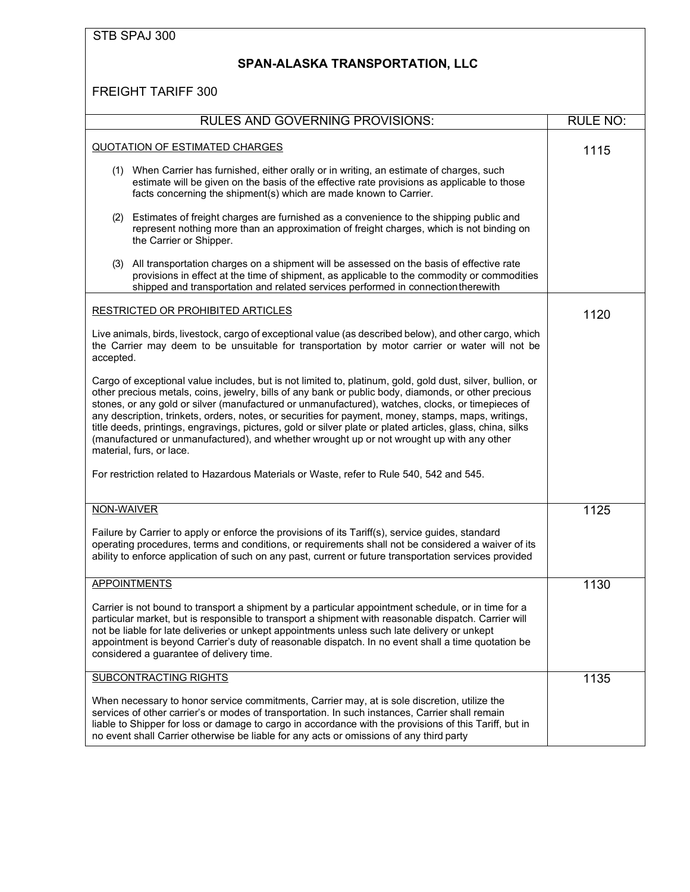### **SPAN-ALASKA TRANSPORTATION, LLC**

| <b>RULES AND GOVERNING PROVISIONS:</b>                                                                                                                                                                                                                                                                                                                                                                                                                                                                                                                                                                                                                                | <b>RULE NO:</b> |
|-----------------------------------------------------------------------------------------------------------------------------------------------------------------------------------------------------------------------------------------------------------------------------------------------------------------------------------------------------------------------------------------------------------------------------------------------------------------------------------------------------------------------------------------------------------------------------------------------------------------------------------------------------------------------|-----------------|
| <b>QUOTATION OF ESTIMATED CHARGES</b>                                                                                                                                                                                                                                                                                                                                                                                                                                                                                                                                                                                                                                 | 1115            |
| (1) When Carrier has furnished, either orally or in writing, an estimate of charges, such<br>estimate will be given on the basis of the effective rate provisions as applicable to those<br>facts concerning the shipment(s) which are made known to Carrier.                                                                                                                                                                                                                                                                                                                                                                                                         |                 |
| Estimates of freight charges are furnished as a convenience to the shipping public and<br>(2)<br>represent nothing more than an approximation of freight charges, which is not binding on<br>the Carrier or Shipper.                                                                                                                                                                                                                                                                                                                                                                                                                                                  |                 |
| All transportation charges on a shipment will be assessed on the basis of effective rate<br>(3)<br>provisions in effect at the time of shipment, as applicable to the commodity or commodities<br>shipped and transportation and related services performed in connection therewith                                                                                                                                                                                                                                                                                                                                                                                   |                 |
| <b>RESTRICTED OR PROHIBITED ARTICLES</b>                                                                                                                                                                                                                                                                                                                                                                                                                                                                                                                                                                                                                              | 1120            |
| Live animals, birds, livestock, cargo of exceptional value (as described below), and other cargo, which<br>the Carrier may deem to be unsuitable for transportation by motor carrier or water will not be<br>accepted.                                                                                                                                                                                                                                                                                                                                                                                                                                                |                 |
| Cargo of exceptional value includes, but is not limited to, platinum, gold, gold dust, silver, bullion, or<br>other precious metals, coins, jewelry, bills of any bank or public body, diamonds, or other precious<br>stones, or any gold or silver (manufactured or unmanufactured), watches, clocks, or timepieces of<br>any description, trinkets, orders, notes, or securities for payment, money, stamps, maps, writings,<br>title deeds, printings, engravings, pictures, gold or silver plate or plated articles, glass, china, silks<br>(manufactured or unmanufactured), and whether wrought up or not wrought up with any other<br>material, furs, or lace. |                 |
| For restriction related to Hazardous Materials or Waste, refer to Rule 540, 542 and 545.                                                                                                                                                                                                                                                                                                                                                                                                                                                                                                                                                                              |                 |
| NON-WAIVER                                                                                                                                                                                                                                                                                                                                                                                                                                                                                                                                                                                                                                                            | 1125            |
| Failure by Carrier to apply or enforce the provisions of its Tariff(s), service guides, standard<br>operating procedures, terms and conditions, or requirements shall not be considered a waiver of its<br>ability to enforce application of such on any past, current or future transportation services provided                                                                                                                                                                                                                                                                                                                                                     |                 |
| <b>APPOINTMENTS</b>                                                                                                                                                                                                                                                                                                                                                                                                                                                                                                                                                                                                                                                   | 1130            |
| Carrier is not bound to transport a shipment by a particular appointment schedule, or in time for a<br>particular market, but is responsible to transport a shipment with reasonable dispatch. Carrier will<br>not be liable for late deliveries or unkept appointments unless such late delivery or unkept<br>appointment is beyond Carrier's duty of reasonable dispatch. In no event shall a time quotation be<br>considered a guarantee of delivery time.                                                                                                                                                                                                         |                 |
| SUBCONTRACTING RIGHTS                                                                                                                                                                                                                                                                                                                                                                                                                                                                                                                                                                                                                                                 | 1135            |
| When necessary to honor service commitments, Carrier may, at is sole discretion, utilize the<br>services of other carrier's or modes of transportation. In such instances, Carrier shall remain<br>liable to Shipper for loss or damage to cargo in accordance with the provisions of this Tariff, but in<br>no event shall Carrier otherwise be liable for any acts or omissions of any third party                                                                                                                                                                                                                                                                  |                 |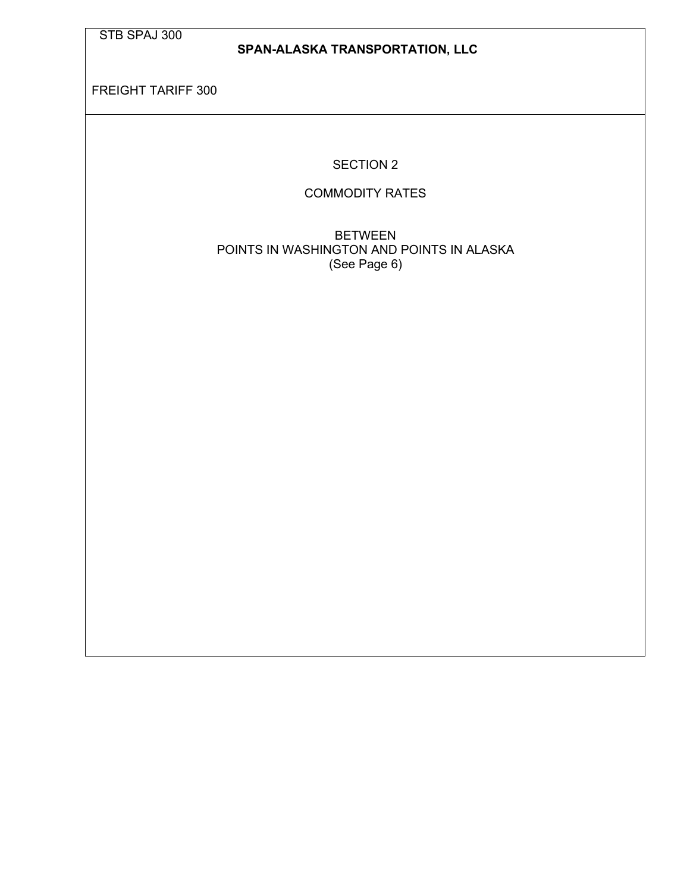#### **SPAN-ALASKA TRANSPORTATION, LLC**

FREIGHT TARIFF 300

SECTION 2

#### COMMODITY RATES

BETWEEN POINTS IN WASHINGTON AND POINTS IN ALASKA (See Page 6)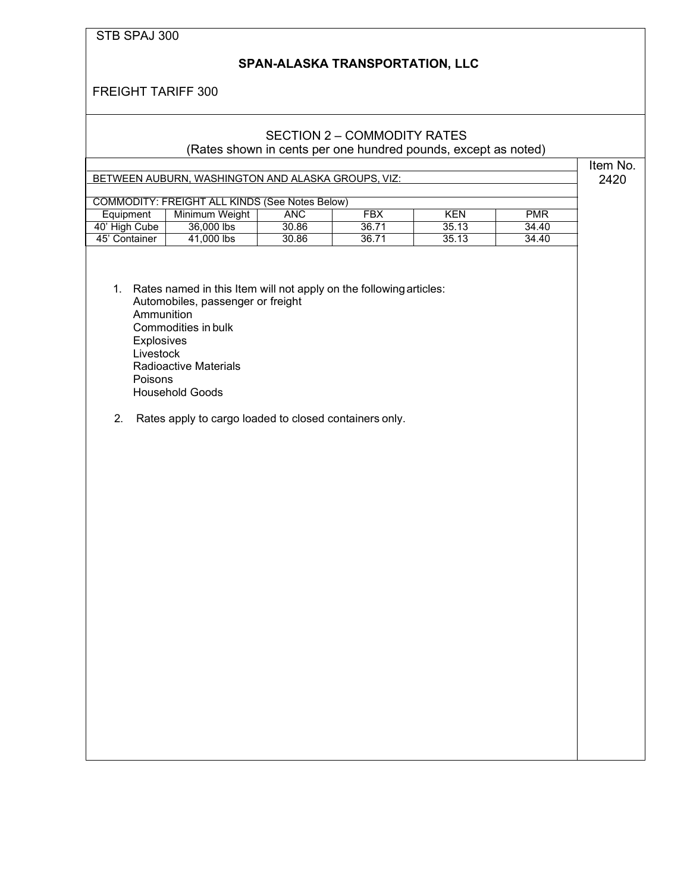#### **SPAN-ALASKA TRANSPORTATION, LLC**

FREIGHT TARIFF 300

### SECTION 2 – COMMODITY RATES

(Rates shown in cents per one hundred pounds, except as noted)

Item No. 2420

| COMMODITY: FREIGHT ALL KINDS (See Notes Below) |                |       |       |       |            |
|------------------------------------------------|----------------|-------|-------|-------|------------|
| Equipment                                      | Minimum Weight | ANC   | FBX   | KFN   | <b>PMR</b> |
| 40' High Cube                                  | 36,000 lbs     | 30.86 | 36.71 | 35.13 | 34.40      |
| 45' Container                                  | 41,000 lbs     | 30.86 | 36.71 | 35.13 | 34.40      |

- 1. Rates named in this Item will not apply on the followingarticles: Automobiles, passenger or freight Ammunition Commodities in bulk **Explosives** Livestock Radioactive Materials Poisons Household Goods
- 2. Rates apply to cargo loaded to closed containers only.

BETWEEN AUBURN, WASHINGTON AND ALASKA GROUPS, VIZ: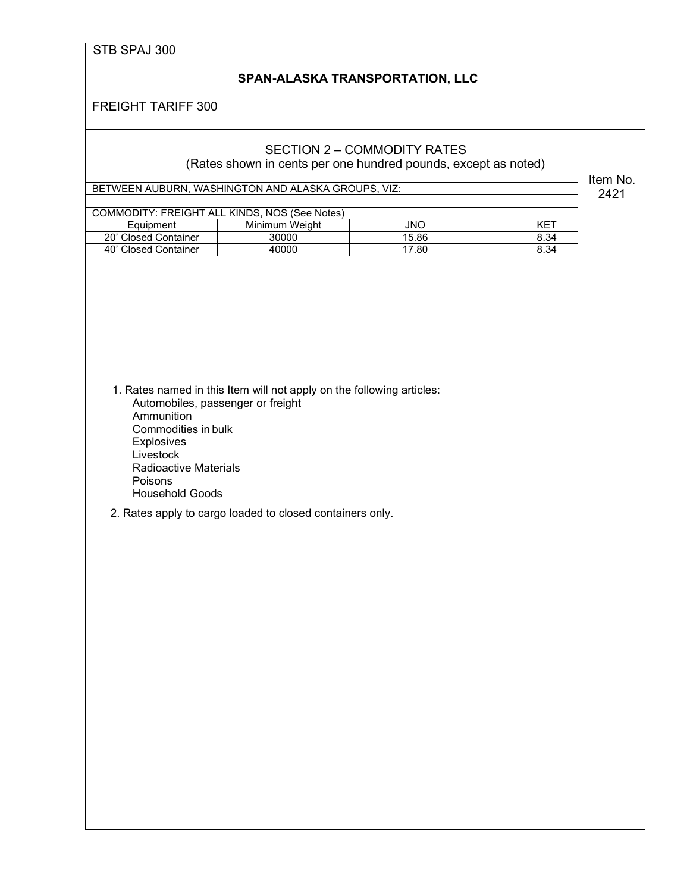#### **SPAN-ALASKA TRANSPORTATION, LLC**

FREIGHT TARIFF 300

#### SECTION 2 – COMMODITY RATES (Rates shown in cents per one hundred pounds, except as noted)

BETWEEN AUBURN, WASHINGTON AND ALASKA GROUPS, VIZ:

Item No. 2421

| COMMODITY: FREIGHT ALL KINDS, NOS (See Notes) |                |       |                 |  |
|-----------------------------------------------|----------------|-------|-----------------|--|
| Equipment                                     | Minimum Weiaht | JNO   | KE <sup>7</sup> |  |
| 20' Closed Container                          | 30000          | 15.86 | 8.34            |  |
| 40' Closed Container                          | 40000          | 17.80 | 8.34            |  |
|                                               |                |       |                 |  |

| 1. Rates named in this Item will not apply on the following articles: |
|-----------------------------------------------------------------------|
| Automobiles, passenger or freight                                     |
| Ammunition                                                            |
| Commodities in bulk                                                   |
| <b>Explosives</b>                                                     |
| Livestock                                                             |
| Radioactive Materials                                                 |
| <b>Poisons</b>                                                        |
| <b>Household Goods</b>                                                |

2. Rates apply to cargo loaded to closed containers only.